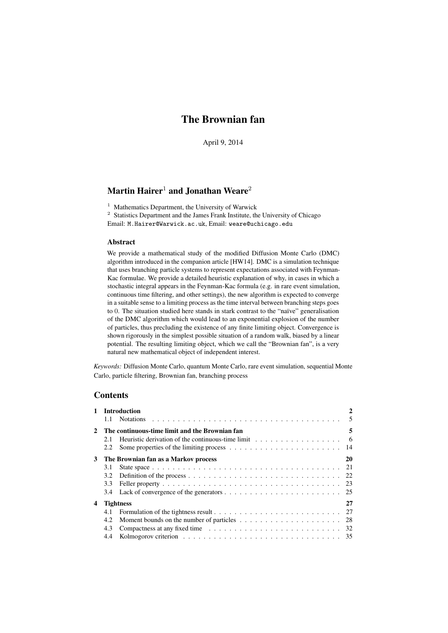# The Brownian fan

April 9, 2014

# Martin Hairer<sup>1</sup> and Jonathan Weare<sup>2</sup>

<sup>1</sup> Mathematics Department, the University of Warwick

<sup>2</sup> Statistics Department and the James Frank Institute, the University of Chicago Email: M.Hairer@Warwick.ac.uk, Email: weare@uchicago.edu

# Abstract

We provide a mathematical study of the modified Diffusion Monte Carlo (DMC) algorithm introduced in the companion article [HW14]. DMC is a simulation technique that uses branching particle systems to represent expectations associated with Feynman-Kac formulae. We provide a detailed heuristic explanation of why, in cases in which a stochastic integral appears in the Feynman-Kac formula (e.g. in rare event simulation, continuous time filtering, and other settings), the new algorithm is expected to converge in a suitable sense to a limiting process as the time interval between branching steps goes to 0. The situation studied here stands in stark contrast to the "naïve" generalisation of the DMC algorithm which would lead to an exponential explosion of the number of particles, thus precluding the existence of any finite limiting object. Convergence is shown rigorously in the simplest possible situation of a random walk, biased by a linear potential. The resulting limiting object, which we call the "Brownian fan", is a very natural new mathematical object of independent interest.

*Keywords:* Diffusion Monte Carlo, quantum Monte Carlo, rare event simulation, sequential Monte Carlo, particle filtering, Brownian fan, branching process

# **Contents**

|   | 1 Introduction                                   |                                                                                        |    |  |
|---|--------------------------------------------------|----------------------------------------------------------------------------------------|----|--|
|   |                                                  |                                                                                        |    |  |
|   | 2 The continuous-time limit and the Brownian fan |                                                                                        |    |  |
|   | 2.1                                              | Heuristic derivation of the continuous-time limit $\ldots \ldots \ldots \ldots \ldots$ |    |  |
|   | 2.2                                              |                                                                                        |    |  |
|   |                                                  | 3 The Brownian fan as a Markov process                                                 | 20 |  |
|   | 3.1                                              |                                                                                        |    |  |
|   | 3.2                                              |                                                                                        |    |  |
|   | 3.3                                              |                                                                                        |    |  |
|   |                                                  |                                                                                        |    |  |
| 4 |                                                  | <b>Tightness</b>                                                                       | 27 |  |
|   | 4.1                                              |                                                                                        |    |  |
|   | 4.2                                              |                                                                                        |    |  |
|   | 4.3                                              |                                                                                        |    |  |
|   | 4.4                                              |                                                                                        |    |  |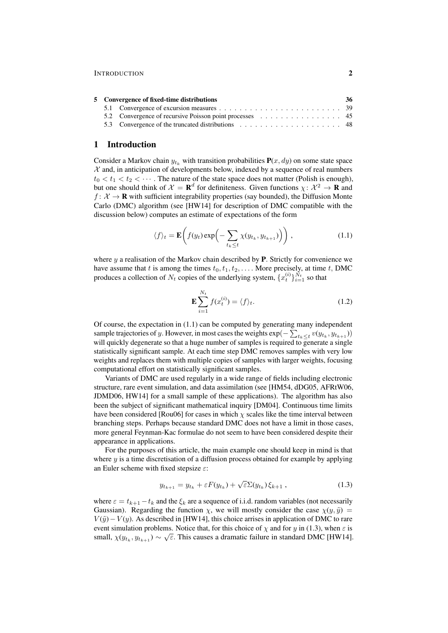| 5 Convergence of fixed-time distributions |  |  |  |
|-------------------------------------------|--|--|--|
|                                           |  |  |  |
|                                           |  |  |  |
|                                           |  |  |  |

# 1 Introduction

Consider a Markov chain  $y_{t_k}$  with transition probabilities  $P(x, dy)$  on some state space  $X$  and, in anticipation of developments below, indexed by a sequence of real numbers  $t_0 < t_1 < t_2 < \cdots$ . The nature of the state space does not matter (Polish is enough), but one should think of  $\mathcal{X} = \mathbf{R}^d$  for definiteness. Given functions  $\chi: \mathcal{X}^2 \to \mathbf{R}$  and  $f: \mathcal{X} \to \mathbf{R}$  with sufficient integrability properties (say bounded), the Diffusion Monte Carlo (DMC) algorithm (see [HW14] for description of DMC compatible with the discussion below) computes an estimate of expectations of the form

$$
\langle f \rangle_t = \mathbf{E} \bigg( f(y_t) \exp \bigg( - \sum_{t_k \le t} \chi(y_{t_k}, y_{t_{k+1}}) \bigg) \bigg) , \qquad (1.1)
$$

where  $y$  a realisation of the Markov chain described by **P**. Strictly for convenience we have assume that t is among the times  $t_0, t_1, t_2, \ldots$ . More precisely, at time t, DMC produces a collection of  $N_t$  copies of the underlying system,  $\{x_t^{(i)}\}_{i=1}^{N_t}$  so that

$$
\mathbf{E}\sum_{i=1}^{N_t} f(x_t^{(i)}) = \langle f \rangle_t.
$$
 (1.2)

Of course, the expectation in (1.1) can be computed by generating many independent sample trajectories of y. However, in most cases the weights  $\exp(-\sum_{t_k \leq t} v(y_{t_k}, y_{t_{k+1}}))$ will quickly degenerate so that a huge number of samples is required to generate a single statistically significant sample. At each time step DMC removes samples with very low weights and replaces them with multiple copies of samples with larger weights, focusing computational effort on statistically significant samples.

Variants of DMC are used regularly in a wide range of fields including electronic structure, rare event simulation, and data assimilation (see [HM54, dDG05, AFRtW06, JDMD06, HW14] for a small sample of these applications). The algorithm has also been the subject of significant mathematical inquiry [DM04]. Continuous time limits have been considered [Rou06] for cases in which  $\chi$  scales like the time interval between branching steps. Perhaps because standard DMC does not have a limit in those cases, more general Feynman-Kac formulae do not seem to have been considered despite their appearance in applications.

For the purposes of this article, the main example one should keep in mind is that where  $y$  is a time discretisation of a diffusion process obtained for example by applying an Euler scheme with fixed stepsize  $\varepsilon$ :

$$
y_{t_{k+1}} = y_{t_k} + \varepsilon F(y_{t_k}) + \sqrt{\varepsilon} \Sigma(y_{t_k}) \xi_{k+1} , \qquad (1.3)
$$

where  $\varepsilon = t_{k+1} - t_k$  and the  $\xi_k$  are a sequence of i.i.d. random variables (not necessarily Gaussian). Regarding the function  $\chi$ , we will mostly consider the case  $\chi(y, \tilde{y}) =$  $V(\tilde{y}) - V(y)$ . As described in [HW14], this choice arrises in application of DMC to rare event simulation problems. Notice that, for this choice of  $\chi$  and for y in (1.3), when  $\varepsilon$  is small,  $\chi(y_{t_k}, y_{t_{k+1}}) \sim \sqrt{\varepsilon}$ . This causes a dramatic failure in standard DMC [HW14].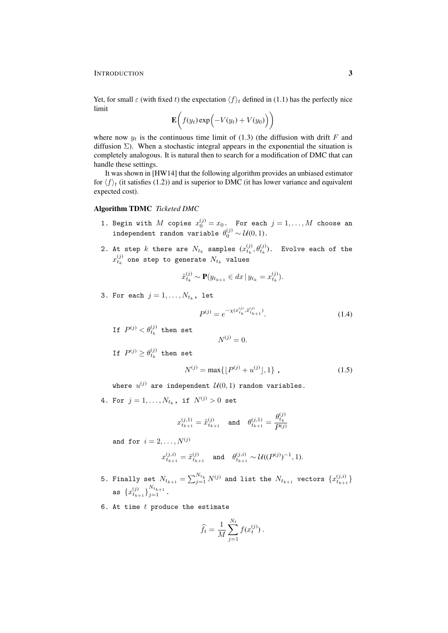INTRODUCTION 3

Yet, for small  $\varepsilon$  (with fixed t) the expectation  $\langle f \rangle_t$  defined in (1.1) has the perfectly nice limit

$$
\mathbf{E}\bigg(f(y_t)\exp\bigg(-V(y_t)+V(y_0)\bigg)\bigg)
$$

where now  $y_t$  is the continuous time limit of (1.3) (the diffusion with drift F and diffusion  $\Sigma$ ). When a stochastic integral appears in the exponential the situation is completely analogous. It is natural then to search for a modification of DMC that can handle these settings.

It was shown in [HW14] that the following algorithm provides an unbiased estimator for  $\langle f \rangle_t$  (it satisfies (1.2)) and is superior to DMC (it has lower variance and equivalent expected cost).

# Algorithm TDMC *Ticketed DMC*

- 1. Begin with  $M$  copies  $x_0^{(j)} = x_0$ . For each  $j = 1, \ldots, M$  choose an independent random variable  $\theta_0^{(j)} \sim \mathcal{U}(0,1)$ .
- 2. At step  $k$  there are  $N_{t_k}$  samples  $(x_{t_k}^{(j)}, \theta_{t_k}^{(j)})$ . Evolve each of the  $x_{t_k}^{\left(j\right)}$  one step to generate  $N_{t_k}$  values

$$
\tilde{x}_{t_k}^{(j)} \sim \mathbf{P}(y_{t_{k+1}} \in dx \, | \, y_{t_k} = x_{t_k}^{(j)}).
$$

 $N^{(j)} = 0.$ 

3. For each  $j = 1, \ldots, N_{t_k}$ , let

$$
P^{(j)} = e^{-\chi(x_{t_k}^{(j)}, \tilde{x}_{t_{k+1}}^{(j)})}.
$$
\n(1.4)

If  $P^{(j)} < \theta_{t_k}^{(j)}$  then set

$$
\text{If } P^{(j)} \geq \theta^{(j)}_{t_k} \text{ then set }
$$

$$
N^{(j)} = \max\{\lfloor P^{(j)} + u^{(j)} \rfloor, 1\},\tag{1.5}
$$

where  $u^{(j)}$  are independent  $\mathcal{U}(0,1)$  random variables.

4. For  $j = 1, ..., N_{t_k}$ , if  $N^{(j)} > 0$  set

$$
x_{t_{k+1}}^{(j,1)} = \tilde{x}_{t_{k+1}}^{(j)} \quad \text{and} \quad \theta_{t_{k+1}}^{(j,1)} = \frac{\theta_{t_k}^{(j)}}{P^{(j)}}
$$

and for  $i = 2, ..., N^{(j)}$ 

$$
x_{t_{k+1}}^{(j,i)} = \tilde{x}_{t_{k+1}}^{(j)} \quad \text{ and } \quad \theta_{t_{k+1}}^{(j,i)} \sim \mathcal{U}((P^{(j)})^{-1}, 1).
$$

- 5. Finally set  $N_{t_{k+1}}=\sum_{j=1}^{N_{t_k}}N^{(j)}$  and list the  $N_{t_{k+1}}$  vectors  $\{x_{t_{k+1}}^{(j,i)}\}$ as  $\{x_{t_{k+1}}^{(j)}\}_{j=1}^{N_{t_{k+1}}}$ .
- 6. At time  $t$  produce the estimate

$$
\widehat{f}_t = \frac{1}{M} \sum_{j=1}^{N_t} f(x_t^{(j)}) .
$$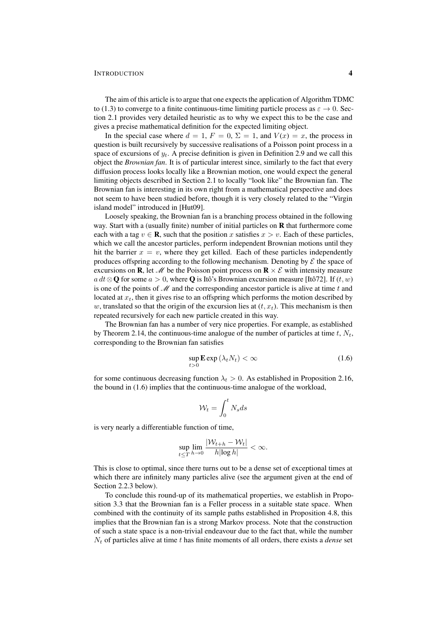#### INTRODUCTION 4

The aim of this article is to argue that one expects the application of Algorithm TDMC to (1.3) to converge to a finite continuous-time limiting particle process as  $\varepsilon \to 0$ . Section 2.1 provides very detailed heuristic as to why we expect this to be the case and gives a precise mathematical definition for the expected limiting object.

In the special case where  $d = 1$ ,  $F = 0$ ,  $\Sigma = 1$ , and  $V(x) = x$ , the process in question is built recursively by successive realisations of a Poisson point process in a space of excursions of  $y_t$ . A precise definition is given in Definition 2.9 and we call this object the *Brownian fan*. It is of particular interest since, similarly to the fact that every diffusion process looks locally like a Brownian motion, one would expect the general limiting objects described in Section 2.1 to locally "look like" the Brownian fan. The Brownian fan is interesting in its own right from a mathematical perspective and does not seem to have been studied before, though it is very closely related to the "Virgin island model" introduced in [Hut09].

Loosely speaking, the Brownian fan is a branching process obtained in the following way. Start with a (usually finite) number of initial particles on **R** that furthermore come each with a tag  $v \in \mathbf{R}$ , such that the position x satisfies  $x > v$ . Each of these particles, which we call the ancestor particles, perform independent Brownian motions until they hit the barrier  $x = v$ , where they get killed. Each of these particles independently produces offspring according to the following mechanism. Denoting by  $\mathcal E$  the space of excursions on **R**, let  $\mathcal{M}$  be the Poisson point process on **R**  $\times$  E with intensity measure a dt⊗Q for some  $a > 0$ , where Q is Itô's Brownian excursion measure [Itô72]. If  $(t, w)$ is one of the points of  $\mathcal M$  and the corresponding ancestor particle is alive at time t and located at  $x_t$ , then it gives rise to an offspring which performs the motion described by w, translated so that the origin of the excursion lies at  $(t, x_t)$ . This mechanism is then repeated recursively for each new particle created in this way.

The Brownian fan has a number of very nice properties. For example, as established by Theorem 2.14, the continuous-time analogue of the number of particles at time  $t$ ,  $N_t$ , corresponding to the Brownian fan satisfies

$$
\sup_{t>0} \mathbf{E} \exp\left(\lambda_t N_t\right) < \infty \tag{1.6}
$$

for some continuous decreasing function  $\lambda_t > 0$ . As established in Proposition 2.16, the bound in (1.6) implies that the continuous-time analogue of the workload,

$$
\mathcal{W}_t = \int_0^t N_s ds
$$

is very nearly a differentiable function of time,

$$
\sup_{t\leq T} \lim_{h\to 0} \frac{|\mathcal{W}_{t+h}-\mathcal{W}_t|}{h|\log h|} < \infty.
$$

This is close to optimal, since there turns out to be a dense set of exceptional times at which there are infinitely many particles alive (see the argument given at the end of Section 2.2.3 below).

To conclude this round-up of its mathematical properties, we establish in Proposition 3.3 that the Brownian fan is a Feller process in a suitable state space. When combined with the continuity of its sample paths established in Proposition 4.8, this implies that the Brownian fan is a strong Markov process. Note that the construction of such a state space is a non-trivial endeavour due to the fact that, while the number  $N_t$  of particles alive at time t has finite moments of all orders, there exists a *dense* set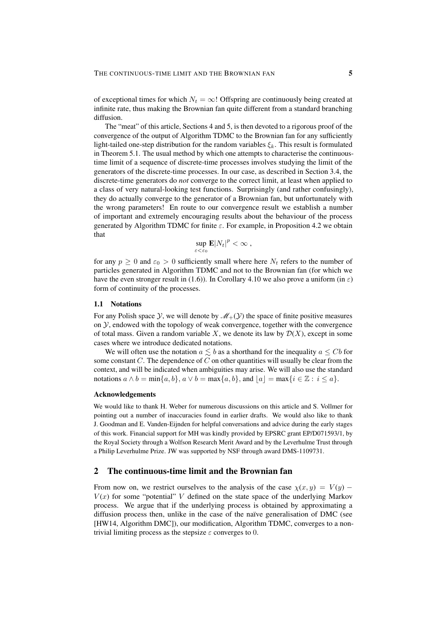of exceptional times for which  $N_t = \infty$ ! Offspring are continuously being created at infinite rate, thus making the Brownian fan quite different from a standard branching diffusion.

The "meat" of this article, Sections 4 and 5, is then devoted to a rigorous proof of the convergence of the output of Algorithm TDMC to the Brownian fan for any sufficiently light-tailed one-step distribution for the random variables  $\xi_k$ . This result is formulated in Theorem 5.1. The usual method by which one attempts to characterise the continuoustime limit of a sequence of discrete-time processes involves studying the limit of the generators of the discrete-time processes. In our case, as described in Section 3.4, the discrete-time generators do *not* converge to the correct limit, at least when applied to a class of very natural-looking test functions. Surprisingly (and rather confusingly), they do actually converge to the generator of a Brownian fan, but unfortunately with the wrong parameters! En route to our convergence result we establish a number of important and extremely encouraging results about the behaviour of the process generated by Algorithm TDMC for finite  $\varepsilon$ . For example, in Proposition 4.2 we obtain that

$$
\sup_{\varepsilon < \varepsilon_0} \mathbf{E} |N_t|^p < \infty \;,
$$

for any  $p \ge 0$  and  $\varepsilon_0 > 0$  sufficiently small where here  $N_t$  refers to the number of particles generated in Algorithm TDMC and not to the Brownian fan (for which we have the even stronger result in (1.6)). In Corollary 4.10 we also prove a uniform (in  $\varepsilon$ ) form of continuity of the processes.

#### 1.1 Notations

For any Polish space Y, we will denote by  $\mathcal{M}_+(\mathcal{Y})$  the space of finite positive measures on  $\mathcal{Y}$ , endowed with the topology of weak convergence, together with the convergence of total mass. Given a random variable X, we denote its law by  $\mathcal{D}(X)$ , except in some cases where we introduce dedicated notations.

We will often use the notation  $a \leq b$  as a shorthand for the inequality  $a \leq Cb$  for some constant  $C$ . The dependence of  $C$  on other quantities will usually be clear from the context, and will be indicated when ambiguities may arise. We will also use the standard notations  $a \wedge b = \min\{a, b\}, a \vee b = \max\{a, b\}, \text{and } |a| = \max\{i \in \mathbb{Z} : i \leq a\}.$ 

#### Acknowledgements

We would like to thank H. Weber for numerous discussions on this article and S. Vollmer for pointing out a number of inaccuracies found in earlier drafts. We would also like to thank J. Goodman and E. Vanden-Eijnden for helpful conversations and advice during the early stages of this work. Financial support for MH was kindly provided by EPSRC grant EP/D071593/1, by the Royal Society through a Wolfson Research Merit Award and by the Leverhulme Trust through a Philip Leverhulme Prize. JW was supported by NSF through award DMS-1109731.

## 2 The continuous-time limit and the Brownian fan

From now on, we restrict ourselves to the analysis of the case  $\chi(x, y) = V(y)$  –  $V(x)$  for some "potential" V defined on the state space of the underlying Markov process. We argue that if the underlying process is obtained by approximating a diffusion process then, unlike in the case of the naïve generalisation of DMC (see [HW14, Algorithm DMC]), our modification, Algorithm TDMC, converges to a nontrivial limiting process as the stepsize  $\varepsilon$  converges to 0.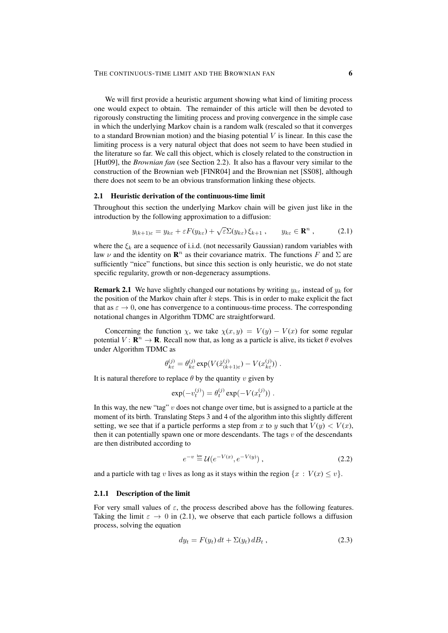We will first provide a heuristic argument showing what kind of limiting process one would expect to obtain. The remainder of this article will then be devoted to rigorously constructing the limiting process and proving convergence in the simple case in which the underlying Markov chain is a random walk (rescaled so that it converges to a standard Brownian motion) and the biasing potential  $V$  is linear. In this case the limiting process is a very natural object that does not seem to have been studied in the literature so far. We call this object, which is closely related to the construction in [Hut09], the *Brownian fan* (see Section 2.2). It also has a flavour very similar to the construction of the Brownian web [FINR04] and the Brownian net [SS08], although there does not seem to be an obvious transformation linking these objects.

### 2.1 Heuristic derivation of the continuous-time limit

Throughout this section the underlying Markov chain will be given just like in the introduction by the following approximation to a diffusion:

$$
y_{(k+1)\varepsilon} = y_{k\varepsilon} + \varepsilon F(y_{k\varepsilon}) + \sqrt{\varepsilon} \Sigma(y_{k\varepsilon}) \xi_{k+1} , \qquad y_{k\varepsilon} \in \mathbf{R}^n , \tag{2.1}
$$

where the  $\xi_k$  are a sequence of i.i.d. (not necessarily Gaussian) random variables with law  $\nu$  and the identity on  $\mathbf{R}^n$  as their covariance matrix. The functions F and  $\Sigma$  are sufficiently "nice" functions, but since this section is only heuristic, we do not state specific regularity, growth or non-degeneracy assumptions.

**Remark 2.1** We have slightly changed our notations by writing  $y_{k\epsilon}$  instead of  $y_k$  for the position of the Markov chain after  $k$  steps. This is in order to make explicit the fact that as  $\varepsilon \to 0$ , one has convergence to a continuous-time process. The corresponding notational changes in Algorithm TDMC are straightforward.

Concerning the function  $\chi$ , we take  $\chi(x, y) = V(y) - V(x)$  for some regular potential  $V: \mathbf{R}^n \to \mathbf{R}$ . Recall now that, as long as a particle is alive, its ticket  $\theta$  evolves under Algorithm TDMC as

$$
\theta_{k\varepsilon}^{(j)} = \theta_{k\varepsilon}^{(j)} \exp(V(\tilde{x}_{(k+1)\varepsilon}^{(j)}) - V(x_{k\varepsilon}^{(j)})) \ .
$$

It is natural therefore to replace  $\theta$  by the quantity v given by

$$
\exp(-v_t^{(j)}) = \theta_t^{(j)} \exp(-V(x_t^{(j)})) .
$$

In this way, the new "tag"  $v$  does not change over time, but is assigned to a particle at the moment of its birth. Translating Steps 3 and 4 of the algorithm into this slightly different setting, we see that if a particle performs a step from x to y such that  $V(y) < V(x)$ , then it can potentially spawn one or more descendants. The tags  $v$  of the descendants are then distributed according to

$$
e^{-v} \stackrel{\text{law}}{=} \mathcal{U}(e^{-V(x)}, e^{-V(y)}), \tag{2.2}
$$

and a particle with tag v lives as long as it stays within the region  $\{x : V(x) \le v\}$ .

### 2.1.1 Description of the limit

For very small values of  $\varepsilon$ , the process described above has the following features. Taking the limit  $\varepsilon \to 0$  in (2.1), we observe that each particle follows a diffusion process, solving the equation

$$
dy_t = F(y_t) dt + \Sigma(y_t) dB_t , \qquad (2.3)
$$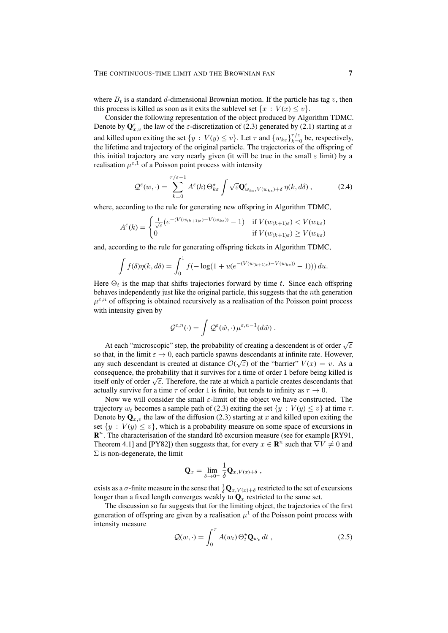where  $B_t$  is a standard d-dimensional Brownian motion. If the particle has tag v, then this process is killed as soon as it exits the sublevel set  $\{x : V(x) \le v\}$ .

Consider the following representation of the object produced by Algorithm TDMC. Denote by  $\mathbf{Q}_{x,v}^{\varepsilon}$  the law of the  $\varepsilon$ -discretization of (2.3) generated by (2.1) starting at x and killed upon exiting the set  $\{y : V(y) \le v\}$ . Let  $\tau$  and  $\{w_{k\epsilon}\}_{k=0}^{\tau/\epsilon}$  be, respectively, the lifetime and trajectory of the original particle. The trajectories of the offspring of this initial trajectory are very nearly given (it will be true in the small  $\varepsilon$  limit) by a realisation  $\mu^{\epsilon,1}$  of a Poisson point process with intensity

$$
\mathcal{Q}^{\varepsilon}(w,\cdot) = \sum_{k=0}^{\tau/\varepsilon-1} A^{\varepsilon}(k) \Theta_{k\varepsilon}^{\star} \int \sqrt{\varepsilon} \mathbf{Q}_{w_{k\varepsilon},V(w_{k\varepsilon})+\delta}^{\varepsilon} \eta(k,d\delta) , \qquad (2.4)
$$

where, according to the rule for generating new offspring in Algorithm TDMC,

$$
A^{\varepsilon}(k) = \begin{cases} \frac{1}{\sqrt{\varepsilon}} \left( e^{-(V(w_{(k+1)\varepsilon}) - V(w_{k\varepsilon}))} - 1 \right) & \text{if } V(w_{(k+1)\varepsilon}) < V(w_{k\varepsilon})\\ 0 & \text{if } V(w_{(k+1)\varepsilon}) \ge V(w_{k\varepsilon}) \end{cases}
$$

and, according to the rule for generating offspring tickets in Algorithm TDMC,

$$
\int f(\delta)\eta(k, d\delta) = \int_0^1 f(-\log(1 + u(e^{-(V(w_{(k+1)\varepsilon}) - V(w_{k\varepsilon}))} - 1))) du.
$$

Here  $\Theta_t$  is the map that shifts trajectories forward by time t. Since each offspring behaves independently just like the original particle, this suggests that the nth generation  $\mu^{\varepsilon,n}$  of offspring is obtained recursively as a realisation of the Poisson point process with intensity given by

$$
\mathcal{G}^{\varepsilon,n}(\cdot)=\int \mathcal{Q}^{\varepsilon}(\tilde{w},\cdot)\,\mu^{\varepsilon,n-1}(d\tilde{w})\,.
$$

At each "microscopic" step, the probability of creating a descendent is of order  $\sqrt{\varepsilon}$ so that, in the limit  $\varepsilon \to 0$ , each particle spawns descendants at infinite rate. However, any such descendant is created at distance  $\mathcal{O}(\sqrt{\varepsilon})$  of the "barrier"  $V(x) = v$ . As a consequence, the probability that it survives for a time of order 1 before being killed is Exercisely enter the probability that it survives for a time of order 1 before being kined is<br>itself only of order  $\sqrt{\varepsilon}$ . Therefore, the rate at which a particle creates descendants that actually survive for a time  $\tau$  of order 1 is finite, but tends to infinity as  $\tau \to 0$ .

Now we will consider the small  $\varepsilon$ -limit of the object we have constructed. The trajectory  $w_t$  becomes a sample path of (2.3) exiting the set  $\{y : V(y) \le v\}$  at time  $\tau$ . Denote by  $\mathbf{Q}_{x,v}$  the law of the diffusion (2.3) starting at x and killed upon exiting the set  $\{y : V(y) \le v\}$ , which is a probability measure on some space of excursions in  $\mathbb{R}^n$ . The characterisation of the standard Itô excursion measure (see for example [RY91, Theorem 4.1] and [PY82]) then suggests that, for every  $x \in \mathbb{R}^n$  such that  $\nabla V \neq 0$  and  $\Sigma$  is non-degenerate, the limit

$$
\mathbf{Q}_x = \lim_{\delta \to 0^+} \frac{1}{\delta} \mathbf{Q}_{x, V(x) + \delta} ,
$$

exists as a  $\sigma$ -finite measure in the sense that  $\frac{1}{\delta}Q_{x,V(x)+\delta}$  restricted to the set of excursions longer than a fixed length converges weakly to  $\mathbf{Q}_x$  restricted to the same set.

The discussion so far suggests that for the limiting object, the trajectories of the first generation of offspring are given by a realisation  $\mu^1$  of the Poisson point process with intensity measure

$$
\mathcal{Q}(w,\cdot) = \int_0^\tau A(w_t) \,\Theta_t^{\star} \mathbf{Q}_{w_t} \, dt \,, \tag{2.5}
$$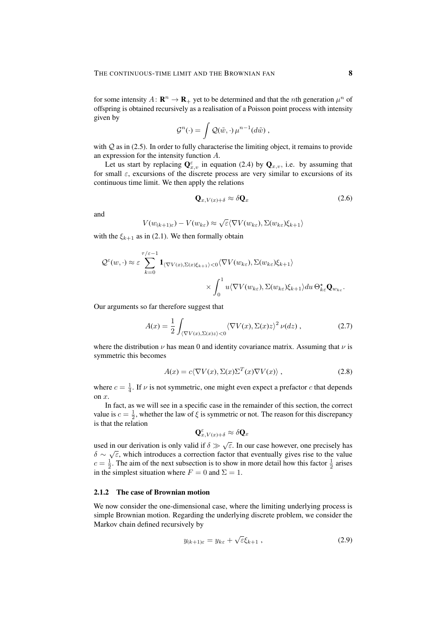for some intensity  $A: \mathbf{R}^n \to \mathbf{R}_+$  yet to be determined and that the *n*th generation  $\mu^n$  of offspring is obtained recursively as a realisation of a Poisson point process with intensity given by

$$
\mathcal{G}^n(\cdot) = \int \mathcal{Q}(\tilde{w}, \cdot) \mu^{n-1}(d\tilde{w}),
$$

with  $Q$  as in (2.5). In order to fully characterise the limiting object, it remains to provide an expression for the intensity function A.

Let us start by replacing  $\mathbf{Q}_{x,v}^{\varepsilon}$  in equation (2.4) by  $\mathbf{Q}_{x,v}$ , i.e. by assuming that for small  $\varepsilon$ , excursions of the discrete process are very similar to excursions of its continuous time limit. We then apply the relations

$$
\mathbf{Q}_{x,V(x)+\delta} \approx \delta \mathbf{Q}_x \tag{2.6}
$$

and

$$
V(w_{(k+1)\varepsilon}) - V(w_{k\varepsilon}) \approx \sqrt{\varepsilon} \langle \nabla V(w_{k\varepsilon}), \Sigma(w_{k\varepsilon}) \xi_{k+1} \rangle
$$

with the  $\xi_{k+1}$  as in (2.1). We then formally obtain

$$
\mathcal{Q}^{\varepsilon}(w,\cdot) \approx \varepsilon \sum_{k=0}^{\tau/\varepsilon-1} \mathbf{1}_{\langle \nabla V(x), \Sigma(x)\xi_{k+1}\rangle < 0} \langle \nabla V(w_{k\varepsilon}), \Sigma(w_{k\varepsilon})\xi_{k+1}\rangle \\
\times \int_{0}^{1} u \langle \nabla V(w_{k\varepsilon}), \Sigma(w_{k\varepsilon})\xi_{k+1}\rangle du \Theta_{k\varepsilon}^{\star} \mathbf{Q}_{w_{k\varepsilon}}.
$$

Our arguments so far therefore suggest that

$$
A(x) = \frac{1}{2} \int_{\langle \nabla V(x), \Sigma(x)z \rangle < 0} \langle \nabla V(x), \Sigma(x)z \rangle^2 \, \nu(dz) \,, \tag{2.7}
$$

where the distribution  $\nu$  has mean 0 and identity covariance matrix. Assuming that  $\nu$  is symmetric this becomes

$$
A(x) = c \langle \nabla V(x), \Sigma(x) \Sigma^T(x) \nabla V(x) \rangle, \qquad (2.8)
$$

where  $c = \frac{1}{4}$ . If  $\nu$  is not symmetric, one might even expect a prefactor c that depends on x.

In fact, as we will see in a specific case in the remainder of this section, the correct value is  $c = \frac{1}{2}$ , whether the law of  $\xi$  is symmetric or not. The reason for this discrepancy is that the relation

$$
\mathbf{Q}_{x,V(x)+\delta}^{\varepsilon}\approx\delta\mathbf{Q}_{x}
$$

used in our derivation is only valid if  $\delta \gg \sqrt{\varepsilon}$ . In our case however, one precisely has  $\delta \sim \sqrt{\varepsilon}$ , which introduces a correction factor that eventually gives rise to the value  $c = \frac{1}{2}$ . The aim of the next subsection is to show in more detail how this factor  $\frac{1}{2}$  arises in the simplest situation where  $F = 0$  and  $\Sigma = 1$ .

# 2.1.2 The case of Brownian motion

We now consider the one-dimensional case, where the limiting underlying process is simple Brownian motion. Regarding the underlying discrete problem, we consider the Markov chain defined recursively by

$$
y_{(k+1)\varepsilon} = y_{k\varepsilon} + \sqrt{\varepsilon} \xi_{k+1} \,, \tag{2.9}
$$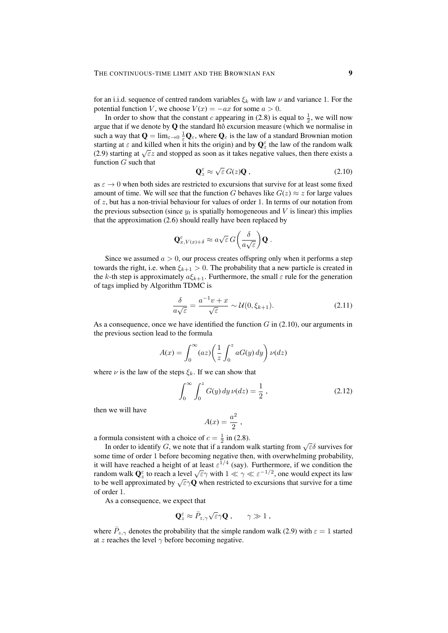for an i.i.d. sequence of centred random variables  $\xi_k$  with law  $\nu$  and variance 1. For the potential function V, we choose  $V(x) = -ax$  for some  $a > 0$ .

In order to show that the constant c appearing in (2.8) is equal to  $\frac{1}{2}$ , we will now argue that if we denote by  $Q$  the standard Itô excursion measure (which we normalise in such a way that  $\mathbf{Q} = \lim_{\varepsilon \to 0} \frac{1}{\varepsilon} \mathbf{Q}_{\varepsilon}$ , where  $\mathbf{Q}_{\varepsilon}$  is the law of a standard Brownian motion starting at  $\varepsilon$  and killed when it hits the origin) and by  $\mathbf{Q}_{z}^{\varepsilon}$  the law of the random walk Starting at  $\varepsilon$  and kined when it firs the origin) and by  $\mathbf{Q}_z$  the law of the random walk<br>(2.9) starting at  $\sqrt{\varepsilon}z$  and stopped as soon as it takes negative values, then there exists a function  $G$  such that √

$$
\mathbf{Q}_z^{\varepsilon} \approx \sqrt{\varepsilon} \, G(z) \mathbf{Q} \,, \tag{2.10}
$$

as  $\varepsilon \to 0$  when both sides are restricted to excursions that survive for at least some fixed amount of time. We will see that the function G behaves like  $G(z) \approx z$  for large values of  $z$ , but has a non-trivial behaviour for values of order 1. In terms of our notation from the previous subsection (since  $y_t$  is spatially homogeneous and V is linear) this implies that the approximation (2.6) should really have been replaced by

$$
\mathbf{Q}_{x,V(x)+\delta}^{\varepsilon} \approx a\sqrt{\varepsilon} \, G\bigg(\frac{\delta}{a\sqrt{\varepsilon}}\bigg) \mathbf{Q} .
$$

Since we assumed  $a > 0$ , our process creates offspring only when it performs a step towards the right, i.e. when  $\xi_{k+1} > 0$ . The probability that a new particle is created in the k-th step is approximately  $a\xi_{k+1}$ . Furthermore, the small  $\varepsilon$  rule for the generation of tags implied by Algorithm TDMC is

$$
\frac{\delta}{a\sqrt{\varepsilon}} = \frac{a^{-1}v + x}{\sqrt{\varepsilon}} \sim \mathcal{U}(0, \xi_{k+1}).\tag{2.11}
$$

As a consequence, once we have identified the function  $G$  in (2.10), our arguments in the previous section lead to the formula

$$
A(x) = \int_0^\infty (az) \left(\frac{1}{z} \int_0^z aG(y) \, dy\right) \nu(dz)
$$

where  $\nu$  is the law of the steps  $\xi_k$ . If we can show that

$$
\int_0^\infty \int_0^z G(y) \, dy \, \nu(dz) = \frac{1}{2} \,, \tag{2.12}
$$

then we will have

$$
A(x) = \frac{a^2}{2},
$$

a formula consistent with a choice of  $c = \frac{1}{2}$  in (2.8).

In order to identify G, we note that if a random walk starting from  $\sqrt{\varepsilon} \delta$  survives for In order to identify G, we note that if a random walk starting from  $\sqrt{\varepsilon} \delta$  survives for some time of order 1 before becoming negative then, with overwhelming probability, it will have reached a height of at least  $\varepsilon^{1/4}$  (say). Furthermore, if we condition the The will have reached a height of at least  $\epsilon$  and  $\epsilon$  (say). Furthermore, if we condition the random walk  $\mathbf{Q}_{z}^{\epsilon}$  to reach a level  $\sqrt{\epsilon}\gamma$  with  $1 \ll \gamma \ll \epsilon^{-1/2}$ , one would expect its law Trandom waik  $\mathbf{Q}_z$  to feach a level  $\sqrt{\varepsilon \gamma}$  when restricted to excursions that survive for a time of order 1.

As a consequence, we expect that

$$
\mathbf{Q}_{z}^{\varepsilon} \approx \bar{P}_{z,\gamma} \sqrt{\varepsilon} \gamma \mathbf{Q} , \qquad \gamma \gg 1 ,
$$

where  $\bar{P}_{z,\gamma}$  denotes the probability that the simple random walk (2.9) with  $\varepsilon = 1$  started at z reaches the level  $\gamma$  before becoming negative.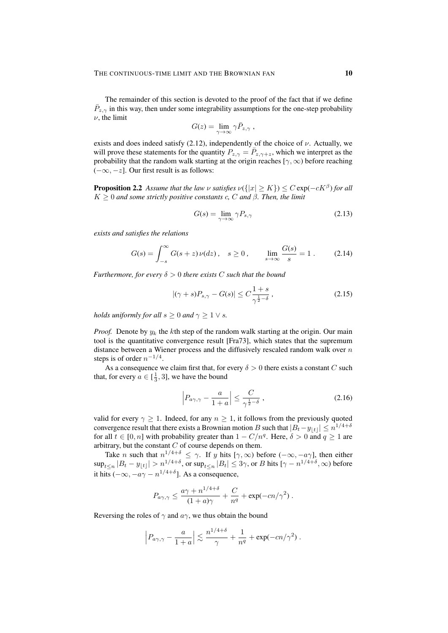The remainder of this section is devoted to the proof of the fact that if we define  $\bar{P}_{z,\gamma}$  in this way, then under some integrability assumptions for the one-step probability  $\nu$ , the limit

$$
G(z) = \lim_{\gamma \to \infty} \gamma \bar{P}_{z,\gamma} ,
$$

exists and does indeed satisfy  $(2.12)$ , independently of the choice of  $\nu$ . Actually, we will prove these statements for the quantity  $P_{z,\gamma} = \overline{P}_{z,\gamma+z}$ , which we interpret as the probability that the random walk starting at the origin reaches [ $\gamma$ ,  $\infty$ ) before reaching  $(-\infty, -z]$ . Our first result is as follows:

**Proposition 2.2** Assume that the law v satisfies  $\nu({{|x| \ge K}}) \le C \exp(-cK^{\beta})$  for all  $K \geq 0$  *and some strictly positive constants c, C and*  $\beta$ *. Then, the limit* 

$$
G(s) = \lim_{\gamma \to \infty} \gamma P_{s,\gamma} \tag{2.13}
$$

*exists and satisfies the relations*

$$
G(s) = \int_{-s}^{\infty} G(s+z)\,\nu(dz)\,, \quad s \ge 0\,, \qquad \lim_{s \to \infty} \frac{G(s)}{s} = 1\,.
$$
 (2.14)

*Furthermore, for every*  $\delta > 0$  *there exists* C *such that the bound* 

$$
|(\gamma + s)P_{s,\gamma} - G(s)| \le C\frac{1+s}{\gamma^{\frac{1}{2}-\delta}},\tag{2.15}
$$

*holds uniformly for all*  $s \geq 0$  *and*  $\gamma \geq 1 \vee s$ *.* 

*Proof.* Denote by  $y_k$  the kth step of the random walk starting at the origin. Our main tool is the quantitative convergence result [Fra73], which states that the supremum distance between a Wiener process and the diffusively rescaled random walk over  $n$ steps is of order  $n^{-1/4}$ .

As a consequence we claim first that, for every  $\delta > 0$  there exists a constant C such that, for every  $a \in [\frac{1}{3}, 3]$ , we have the bound

$$
\left| P_{a\gamma,\gamma} - \frac{a}{1+a} \right| \le \frac{C}{\gamma^{\frac{1}{2}-\delta}} \,, \tag{2.16}
$$

valid for every  $\gamma \geq 1$ . Indeed, for any  $n \geq 1$ , it follows from the previously quoted convergence result that there exists a Brownian motion  $B$  such that  $|B_t - y_{\lfloor t \rfloor}| \leq n^{1/4 + \delta}$ for all  $t \in [0, n]$  with probability greater than  $1 - C/n^q$ . Here,  $\delta > 0$  and  $q \ge 1$  are arbitrary, but the constant  $C$  of course depends on them.

Take *n* such that  $n^{1/4+\delta} \leq \gamma$ . If y hits  $[\gamma, \infty)$  before  $(-\infty, -a\gamma]$ , then either  $\sup_{t\leq n}|B_t-y_{\lfloor t\rfloor}|> n^{1/4+\delta},$  or  $\sup_{t\leq n}|B_t|\leq 3\gamma,$  or  $B$  hits  $[\gamma-n^{1/4+\delta},\infty)$  before it hits ( $-\infty$ ,  $-a\gamma - n^{1/4+\delta}$ ]. As a consequence,

$$
P_{a\gamma,\gamma} \le \frac{a\gamma + n^{1/4+\delta}}{(1+a)\gamma} + \frac{C}{n^q} + \exp(-cn/\gamma^2).
$$

Reversing the roles of  $\gamma$  and  $a\gamma$ , we thus obtain the bound

$$
\Big| P_{a\gamma,\gamma} - \frac{a}{1+a} \Big| \lesssim \frac{n^{1/4+\delta}}{\gamma} + \frac{1}{n^q} + \exp(-cn/\gamma^2) \; .
$$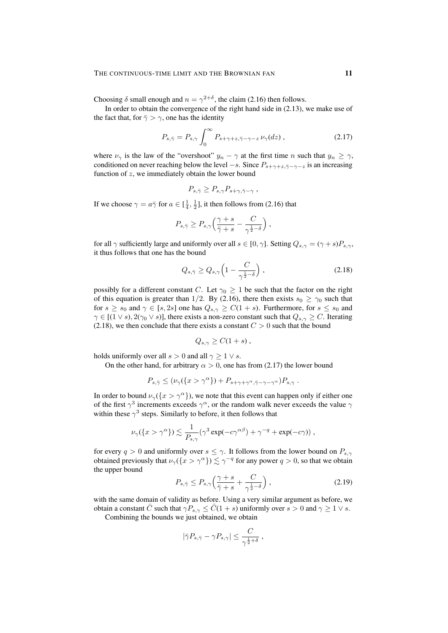Choosing  $\delta$  small enough and  $n = \gamma^{2+\delta}$ , the claim (2.16) then follows.

In order to obtain the convergence of the right hand side in (2.13), we make use of the fact that, for  $\bar{\gamma} > \gamma$ , one has the identity

$$
P_{s,\bar{\gamma}} = P_{s,\gamma} \int_0^\infty P_{s+\gamma+z,\bar{\gamma}-\gamma-z} \,\nu_\gamma(dz) \,, \tag{2.17}
$$

where  $\nu_{\gamma}$  is the law of the "overshoot"  $y_n - \gamma$  at the first time n such that  $y_n \geq \gamma$ , conditioned on never reaching below the level  $-s$ . Since  $P_{s+\gamma+z,\bar{\gamma}-\gamma-z}$  is an increasing function of  $z$ , we immediately obtain the lower bound

$$
P_{s,\bar{\gamma}} \ge P_{s,\gamma} P_{s+\gamma,\bar{\gamma}-\gamma} ,
$$

If we choose  $\gamma = a\bar{\gamma}$  for  $a \in [\frac{1}{4}, \frac{1}{2}]$ , it then follows from (2.16) that

$$
P_{s,\bar\gamma} \geq P_{s,\gamma} \Big( \frac{\gamma+s}{\bar\gamma+s} - \frac{C}{\gamma^{\frac{1}{2}-\delta}} \Big) \; ,
$$

for all  $\gamma$  sufficiently large and uniformly over all  $s \in [0, \gamma]$ . Setting  $Q_{s,\gamma} = (\gamma + s)P_{s,\gamma}$ , it thus follows that one has the bound

$$
Q_{s,\bar{\gamma}} \ge Q_{s,\gamma} \left( 1 - \frac{C}{\gamma^{\frac{1}{2} - \delta}} \right),\tag{2.18}
$$

possibly for a different constant C. Let  $\gamma_0 \geq 1$  be such that the factor on the right of this equation is greater than 1/2. By (2.16), there then exists  $s_0 \ge \gamma_0$  such that for  $s \ge s_0$  and  $\gamma \in [s, 2s]$  one has  $Q_{s,\gamma} \ge C(1 + s)$ . Furthermore, for  $s \le s_0$  and  $\gamma \in [(1 \vee s), 2(\gamma_0 \vee s)]$ , there exists a non-zero constant such that  $Q_{s,\gamma} \geq C$ . Iterating (2.18), we then conclude that there exists a constant  $C > 0$  such that the bound

$$
Q_{s,\gamma} \geq C(1+s) ,
$$

holds uniformly over all  $s > 0$  and all  $\gamma > 1 \vee s$ .

On the other hand, for arbitrary  $\alpha > 0$ , one has from (2.17) the lower bound

$$
P_{s,\bar{\gamma}} \leq (\nu_{\gamma}(\{x > \gamma^{\alpha}\}) + P_{s+\gamma+\gamma^{\alpha},\bar{\gamma}-\gamma-\gamma^{\alpha}})P_{s,\gamma}.
$$

In order to bound  $\nu_{\gamma}(\{x > \gamma^{\alpha}\})$ , we note that this event can happen only if either one of the first  $\gamma^3$  increments exceeds  $\gamma^{\alpha}$ , or the random walk never exceeds the value  $\gamma$ within these  $\gamma^3$  steps. Similarly to before, it then follows that

$$
\nu_{\gamma}(\lbrace x > \gamma^{\alpha} \rbrace) \lesssim \frac{1}{P_{s,\gamma}} (\gamma^3 \exp(-c\gamma^{\alpha\beta}) + \gamma^{-q} + \exp(-c\gamma)) ,
$$

for every  $q > 0$  and uniformly over  $s \leq \gamma$ . It follows from the lower bound on  $P_{s,\gamma}$ obtained previously that  $\nu_{\gamma}(\lbrace x > \gamma^{\alpha} \rbrace) \lesssim \gamma^{-q}$  for any power  $q > 0$ , so that we obtain the upper bound

$$
P_{s,\bar{\gamma}} \le P_{s,\gamma} \left( \frac{\gamma + s}{\bar{\gamma} + s} + \frac{C}{\gamma^{\frac{1}{2} - \delta}} \right),\tag{2.19}
$$

with the same domain of validity as before. Using a very similar argument as before, we obtain a constant  $\bar{C}$  such that  $\gamma P_{s,\gamma} \leq \bar{C}(1+s)$  uniformly over  $s > 0$  and  $\gamma \geq 1 \vee s$ .

Combining the bounds we just obtained, we obtain

$$
|\bar{\gamma}P_{s,\bar{\gamma}}-\gamma P_{s,\gamma}|\leq \frac{C}{\gamma^{\frac{1}{2}+\delta}}\;,
$$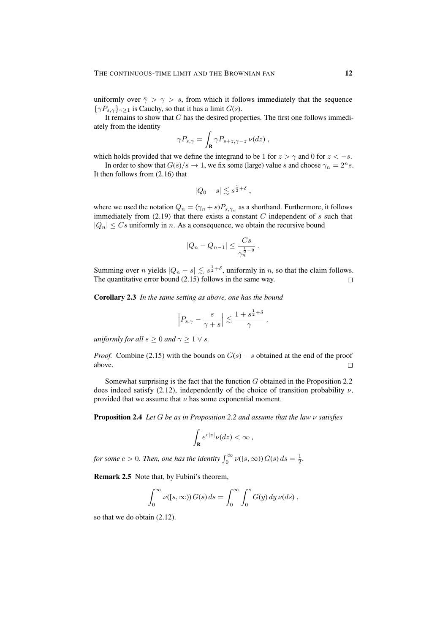uniformly over  $\bar{\gamma} > \gamma > s$ , from which it follows immediately that the sequence  ${ \gamma P_{s,\gamma} \}_{\gamma>1}$  is Cauchy, so that it has a limit  $G(s)$ .

It remains to show that  $G$  has the desired properties. The first one follows immediately from the identity

$$
\gamma P_{s,\gamma} = \int_{\mathbf{R}} \gamma P_{s+z,\gamma-z} \, \nu(dz) \,,
$$

which holds provided that we define the integrand to be 1 for  $z > \gamma$  and 0 for  $z < -s$ .

In order to show that  $G(s)/s \to 1$ , we fix some (large) value s and choose  $\gamma_n = 2^n s$ . It then follows from (2.16) that

$$
|Q_0-s|\lesssim s^{\frac{1}{2}+\delta} ,
$$

where we used the notation  $Q_n = (\gamma_n + s)P_{s,\gamma_n}$  as a shorthand. Furthermore, it follows immediately from  $(2.19)$  that there exists a constant  $C$  independent of  $s$  such that  $|Q_n| \leq Cs$  uniformly in n. As a consequence, we obtain the recursive bound

$$
|Q_n - Q_{n-1}| \le \frac{Cs}{\gamma_n^{\frac{1}{2} - \delta}}.
$$

Summing over *n* yields  $|Q_n - s| \leq s^{\frac{1}{2} + \delta}$ , uniformly in *n*, so that the claim follows. The quantitative error bound (2.15) follows in the same way.  $\Box$ 

Corollary 2.3 *In the same setting as above, one has the bound*

$$
\left|P_{s,\gamma}-\frac{s}{\gamma+s}\right|\lesssim \frac{1+s^{\frac{1}{2}+\delta}}{\gamma}\,,
$$

*uniformly for all*  $s > 0$  *and*  $\gamma > 1 \vee s$ *.* 

*Proof.* Combine (2.15) with the bounds on  $G(s) - s$  obtained at the end of the proof above.  $\Box$ 

Somewhat surprising is the fact that the function  $G$  obtained in the Proposition 2.2 does indeed satisfy (2.12), independently of the choice of transition probability  $\nu$ , provided that we assume that  $\nu$  has some exponential moment.

Proposition 2.4 *Let* G *be as in Proposition 2.2 and assume that the law* ν *satisfies*

$$
\int_{\mathbf{R}} e^{c|z|} \nu(dz) < \infty \,,
$$

*for some*  $c > 0$ *. Then, one has the identity*  $\int_0^\infty \nu(\lbrace s, \infty \rbrace) G(s) ds = \frac{1}{2}$ *.* 

Remark 2.5 Note that, by Fubini's theorem,

$$
\int_0^\infty \nu([s,\infty)) G(s) ds = \int_0^\infty \int_0^s G(y) dy \, \nu(ds),
$$

so that we do obtain (2.12).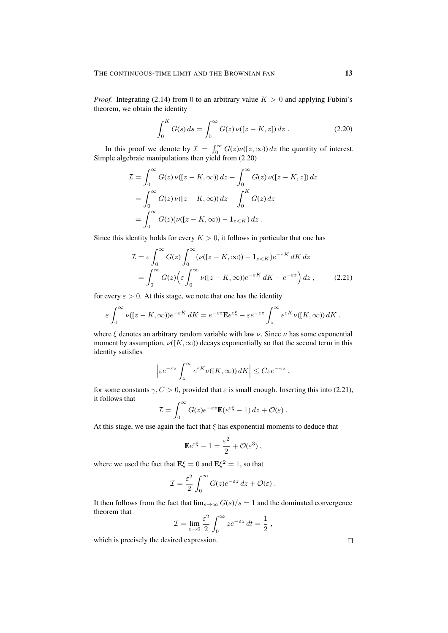*Proof.* Integrating (2.14) from 0 to an arbitrary value  $K > 0$  and applying Fubini's theorem, we obtain the identity

$$
\int_0^K G(s) \, ds = \int_0^\infty G(z) \, \nu([z - K, z]) \, dz \,. \tag{2.20}
$$

In this proof we denote by  $\mathcal{I} = \int_0^\infty G(z) \nu([z,\infty)) dz$  the quantity of interest. Simple algebraic manipulations then yield from (2.20)

$$
\mathcal{I} = \int_0^\infty G(z) \nu([z - K, \infty)) dz - \int_0^\infty G(z) \nu([z - K, z]) dz
$$
  
= 
$$
\int_0^\infty G(z) \nu([z - K, \infty)) dz - \int_0^K G(z) dz
$$
  
= 
$$
\int_0^\infty G(z) (\nu([z - K, \infty)) - \mathbf{1}_{z < K}) dz.
$$

Since this identity holds for every  $K > 0$ , it follows in particular that one has

$$
\mathcal{I} = \varepsilon \int_0^\infty G(z) \int_0^\infty (\nu([z - K, \infty)) - \mathbf{1}_{z < K}) e^{-\varepsilon K} dK dz
$$
  
= 
$$
\int_0^\infty G(z) \Big( \varepsilon \int_0^\infty \nu([z - K, \infty)) e^{-\varepsilon K} dK - e^{-\varepsilon z} \Big) dz , \qquad (2.21)
$$

for every  $\varepsilon > 0$ . At this stage, we note that one has the identity

$$
\varepsilon \int_0^\infty \nu([z-K,\infty)) e^{-\varepsilon K} dK = e^{-\varepsilon z} \mathbf{E} e^{\varepsilon \xi} - \varepsilon e^{-\varepsilon z} \int_z^\infty e^{\varepsilon K} \nu([K,\infty)) dK,
$$

where  $\xi$  denotes an arbitrary random variable with law  $\nu$ . Since  $\nu$  has some exponential moment by assumption,  $\nu([K,\infty))$  decays exponentially so that the second term in this identity satisfies

$$
\left|\varepsilon e^{-\varepsilon z}\int_z^\infty e^{\varepsilon K}\nu([K,\infty))\,dK\right|\leq C\varepsilon e^{-\gamma z}\;,
$$

for some constants  $\gamma$ ,  $C > 0$ , provided that  $\varepsilon$  is small enough. Inserting this into (2.21), it follows that  $\overline{a}$ 

$$
\mathcal{I} = \int_0^\infty G(z)e^{-\varepsilon z}\mathbf{E}(e^{\varepsilon \xi} - 1) dz + \mathcal{O}(\varepsilon).
$$

At this stage, we use again the fact that  $\xi$  has exponential moments to deduce that

$$
\mathbf{E}e^{\varepsilon\xi} - 1 = \frac{\varepsilon^2}{2} + \mathcal{O}(\varepsilon^3) ,
$$

where we used the fact that  $\mathbf{E}\xi = 0$  and  $\mathbf{E}\xi^2 = 1$ , so that

$$
\mathcal{I} = \frac{\varepsilon^2}{2} \int_0^\infty G(z) e^{-\varepsilon z} dz + \mathcal{O}(\varepsilon).
$$

It then follows from the fact that  $\lim_{s\to\infty} G(s)/s = 1$  and the dominated convergence theorem that

$$
\mathcal{I} = \lim_{\varepsilon \to 0} \frac{\varepsilon^2}{2} \int_0^\infty z e^{-\varepsilon z} \, dt = \frac{1}{2} \,,
$$

which is precisely the desired expression.

 $\Box$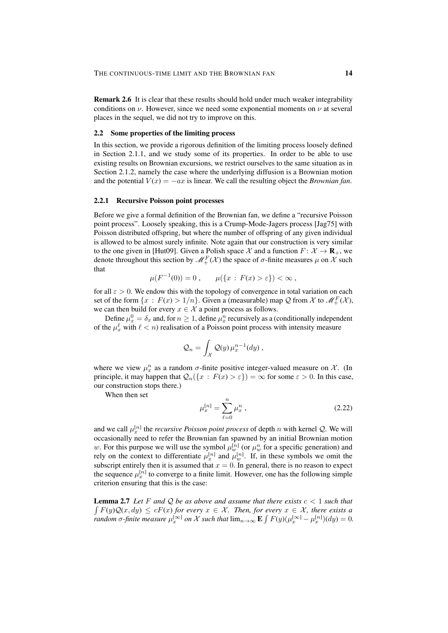Remark 2.6 It is clear that these results should hold under much weaker integrability conditions on  $\nu$ . However, since we need some exponential moments on  $\nu$  at several places in the sequel, we did not try to improve on this.

# 2.2 Some properties of the limiting process

In this section, we provide a rigorous definition of the limiting process loosely defined in Section 2.1.1, and we study some of its properties. In order to be able to use existing results on Brownian excursions, we restrict ourselves to the same situation as in Section 2.1.2, namely the case where the underlying diffusion is a Brownian motion and the potential  $V(x) = -ax$  is linear. We call the resulting object the *Brownian fan*.

#### 2.2.1 Recursive Poisson point processes

Before we give a formal definition of the Brownian fan, we define a "recursive Poisson point process". Loosely speaking, this is a Crump-Mode-Jagers process [Jag75] with Poisson distributed offspring, but where the number of offspring of any given individual is allowed to be almost surely infinite. Note again that our construction is very similar to the one given in [Hut09]. Given a Polish space  $\mathcal{X}$  and a function  $F: \mathcal{X} \to \mathbf{R}_{+}$ , we denote throughout this section by  $\mathcal{M}^F_+(\mathcal{X})$  the space of  $\sigma$ -finite measures  $\mu$  on  $\mathcal X$  such that

$$
\mu(F^{-1}(0)) = 0, \qquad \mu(\{x : F(x) > \varepsilon\}) < \infty,
$$

for all  $\varepsilon > 0$ . We endow this with the topology of convergence in total variation on each set of the form  $\{x : F(x) > 1/n\}$ . Given a (measurable) map Q from X to  $\mathcal{M}_{+}^{F}(\mathcal{X})$ , we can then build for every  $x \in \mathcal{X}$  a point process as follows.

Define  $\mu_x^0 = \delta_x$  and, for  $n \ge 1$ , define  $\mu_x^n$  recursively as a (conditionally independent of the  $\mu_x^{\ell}$  with  $\ell < n$ ) realisation of a Poisson point process with intensity measure

$$
\mathcal{Q}_n = \int_{\mathcal{X}} \mathcal{Q}(y) \,\mu_x^{n-1}(dy) \,,
$$

where we view  $\mu_x^n$  as a random  $\sigma$ -finite positive integer-valued measure on X. (In principle, it may happen that  $\mathcal{Q}_n({x : F(x) > \varepsilon}) = \infty$  for some  $\varepsilon > 0$ . In this case, our construction stops there.)

When then set

$$
\mu_x^{[n]} = \sum_{\ell=0}^n \mu_x^n \,, \tag{2.22}
$$

and we call  $\mu_x^{[n]}$  the *recursive Poisson point process* of depth n with kernel *Q*. We will occasionally need to refer the Brownian fan spawned by an initial Brownian motion w. For this purpose we will use the symbol  $\mu_w^{[n]}$  (or  $\mu_w^n$  for a specific generation) and rely on the context to differentiate  $\mu_x^{[n]}$  and  $\mu_w^{[n]}$ . If, in these symbols we omit the subscript entirely then it is assumed that  $x = 0$ . In general, there is no reason to expect the sequence  $\mu_x^{[n]}$  to converge to a finite limit. However, one has the following simple criterion ensuring that this is the case:

**Lemma 2.7** Let F and Q be as above and assume that there exists  $c < 1$  such that  $\int F(y)Q(x, dy) \le cF(x)$  for every  $x \in \mathcal{X}$ . Then, for every  $x \in \mathcal{X}$ , there exists a *random*  $\sigma$ -finite measure  $\mu_x^{[\infty]}$  on X such that  $\lim_{n\to\infty}$  **E**  $\int F(y)(\mu_x^{[\infty]} - \mu_x^{[n]})(dy) = 0$ .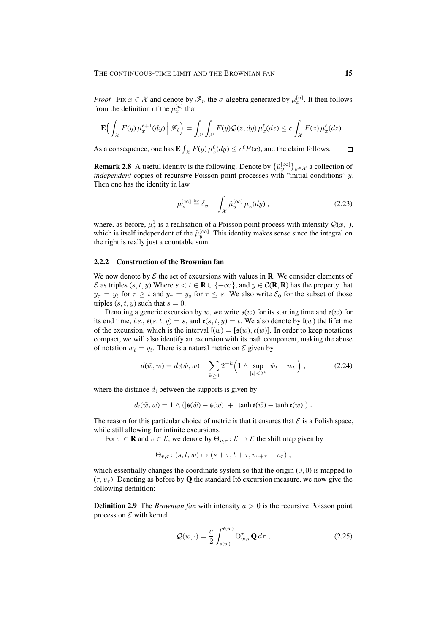*Proof.* Fix  $x \in \mathcal{X}$  and denote by  $\mathcal{F}_n$  the  $\sigma$ -algebra generated by  $\mu_x^{[n]}$ . It then follows from the definition of the  $\mu_x^{[n]}$  that

$$
\mathbf{E}\Big(\int_{\mathcal{X}} F(y)\,\mu_x^{\ell+1}(dy)\,\big|\,\mathscr{F}_\ell\Big) = \int_{\mathcal{X}} \int_{\mathcal{X}} F(y)\mathcal{Q}(z,dy)\,\mu_x^{\ell}(dz) \le c \int_{\mathcal{X}} F(z)\,\mu_x^{\ell}(dz)\,.
$$

As a consequence, one has  $\mathbf{E} \int_{\mathcal{X}} F(y) \mu_x^{\ell}(dy) \le c^{\ell} F(x)$ , and the claim follows.  $\Box$ 

**Remark 2.8** A useful identity is the following. Denote by  $\{\tilde{\mu}_y^{[\infty]}\}_{y \in \mathcal{X}}$  a collection of *independent* copies of recursive Poisson point processes with "initial conditions" y. Then one has the identity in law

$$
\mu_x^{[\infty]} \stackrel{\text{law}}{=} \delta_x + \int_{\mathcal{X}} \tilde{\mu}_y^{[\infty]} \mu_x^1(dy) , \qquad (2.23)
$$

where, as before,  $\mu_x^1$  is a realisation of a Poisson point process with intensity  $Q(x, \cdot)$ , which is itself independent of the  $\tilde{\mu}_y^{[\infty]}$ . This identity makes sense since the integral on the right is really just a countable sum.

# 2.2.2 Construction of the Brownian fan

We now denote by  $\mathcal E$  the set of excursions with values in **R**. We consider elements of  $\mathcal E$  as triples  $(s, t, y)$  Where  $s < t \in \mathbb{R} \cup \{+\infty\}$ , and  $y \in \mathcal C(\mathbb{R}, \mathbb{R})$  has the property that  $y_{\tau} = y_t$  for  $\tau \geq t$  and  $y_{\tau} = y_s$  for  $\tau \leq s$ . We also write  $\mathcal{E}_0$  for the subset of those triples  $(s, t, y)$  such that  $s = 0$ .

Denoting a generic excursion by w, we write  $\mathfrak{s}(w)$  for its starting time and  $\mathfrak{e}(w)$  for its end time, *i.e.*,  $s(s, t, y) = s$ , and  $e(s, t, y) = t$ . We also denote by  $I(w)$  the lifetime of the excursion, which is the interval  $l(w) = [\mathfrak{s}(w), \mathfrak{e}(w)]$ . In order to keep notations compact, we will also identify an excursion with its path component, making the abuse of notation  $w_t = y_t$ . There is a natural metric on  $\mathcal E$  given by

$$
d(\tilde{w}, w) = d_{\mathfrak{l}}(\tilde{w}, w) + \sum_{k \ge 1} 2^{-k} \left( 1 \wedge \sup_{|t| \le 2^k} |\tilde{w}_t - w_t| \right), \tag{2.24}
$$

where the distance  $d_l$  between the supports is given by

$$
d_{\mathfrak{l}}(\tilde{w},w) = 1 \wedge (|\mathfrak{s}(\tilde{w}) - \mathfrak{s}(w)| + |\tanh \mathfrak{e}(\tilde{w}) - \tanh \mathfrak{e}(w)|).
$$

The reason for this particular choice of metric is that it ensures that  $\mathcal E$  is a Polish space, while still allowing for infinite excursions.

For  $\tau \in \mathbf{R}$  and  $v \in \mathcal{E}$ , we denote by  $\Theta_{v,\tau} : \mathcal{E} \to \mathcal{E}$  the shift map given by

$$
\Theta_{v,\tau}: (s,t,w) \mapsto (s+\tau,t+\tau,w_{\cdot+\tau}+v_{\tau}),
$$

which essentially changes the coordinate system so that the origin  $(0, 0)$  is mapped to  $(\tau, v_{\tau})$ . Denoting as before by **Q** the standard Itô excursion measure, we now give the following definition:

**Definition 2.9** The *Brownian fan* with intensity  $a > 0$  is the recursive Poisson point process on  $\mathcal E$  with kernel

$$
\mathcal{Q}(w,\cdot) = \frac{a}{2} \int_{\mathfrak{s}(w)}^{\mathfrak{e}(w)} \Theta_{w,\tau}^{\star} \mathbf{Q} d\tau , \qquad (2.25)
$$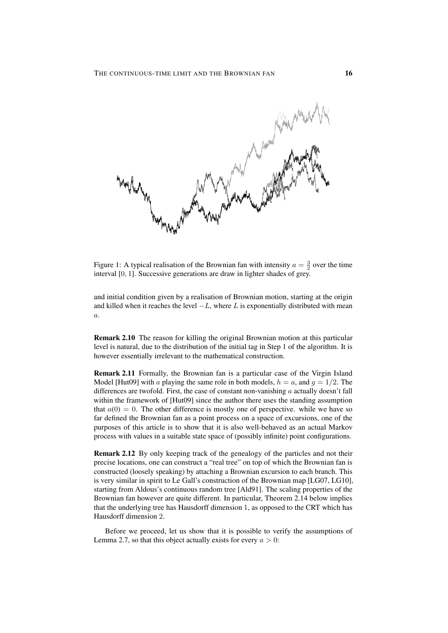

Figure 1: A typical realisation of the Brownian fan with intensity  $a = \frac{3}{2}$  over the time interval [0, 1]. Successive generations are draw in lighter shades of grey.

and initial condition given by a realisation of Brownian motion, starting at the origin and killed when it reaches the level  $-L$ , where L is exponentially distributed with mean  $\overline{a}$ .

Remark 2.10 The reason for killing the original Brownian motion at this particular level is natural, due to the distribution of the initial tag in Step 1 of the algorithm. It is however essentially irrelevant to the mathematical construction.

Remark 2.11 Formally, the Brownian fan is a particular case of the Virgin Island Model [Hut09] with a playing the same role in both models,  $h = a$ , and  $g = 1/2$ . The differences are twofold. First, the case of constant non-vanishing  $a$  actually doesn't fall within the framework of [Hut09] since the author there uses the standing assumption that  $a(0) = 0$ . The other difference is mostly one of perspective. while we have so far defined the Brownian fan as a point process on a space of excursions, one of the purposes of this article is to show that it is also well-behaved as an actual Markov process with values in a suitable state space of (possibly infinite) point configurations.

Remark 2.12 By only keeping track of the genealogy of the particles and not their precise locations, one can construct a "real tree" on top of which the Brownian fan is constructed (loosely speaking) by attaching a Brownian excursion to each branch. This is very similar in spirit to Le Gall's construction of the Brownian map [LG07, LG10], starting from Aldous's continuous random tree [Ald91]. The scaling properties of the Brownian fan however are quite different. In particular, Theorem 2.14 below implies that the underlying tree has Hausdorff dimension 1, as opposed to the CRT which has Hausdorff dimension 2.

Before we proceed, let us show that it is possible to verify the assumptions of Lemma 2.7, so that this object actually exists for every  $a > 0$ :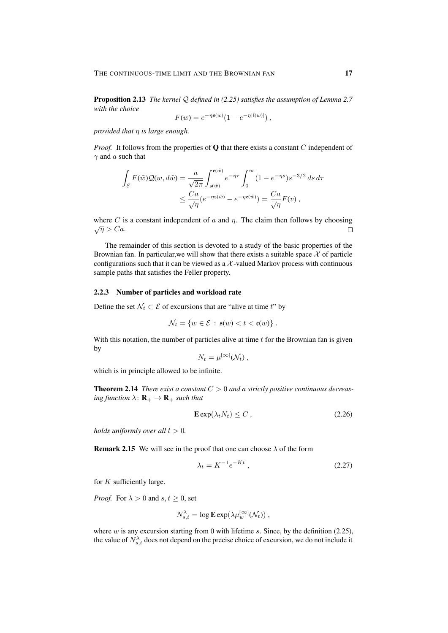Proposition 2.13 *The kernel* Q *defined in (2.25) satisfies the assumption of Lemma 2.7 with the choice*

$$
F(w) = e^{-\eta \mathfrak{s}(w)} (1 - e^{-\eta |I(w)|}),
$$

*provided that* η *is large enough.*

*Proof.* It follows from the properties of **Q** that there exists a constant C independent of  $\gamma$  and a such that

$$
\int_{\mathcal{E}} F(\tilde{w}) \mathcal{Q}(w, d\tilde{w}) = \frac{a}{\sqrt{2\pi}} \int_{\mathfrak{s}(\tilde{w})}^{\mathfrak{e}(\tilde{w})} e^{-\eta \tau} \int_0^{\infty} (1 - e^{-\eta s}) s^{-3/2} ds d\tau
$$

$$
\leq \frac{Ca}{\sqrt{\eta}} (e^{-\eta \mathfrak{s}(\tilde{w})} - e^{-\eta \mathfrak{e}(\tilde{w})}) = \frac{Ca}{\sqrt{\eta}} F(v) ,
$$

where C is a constant independent of a and  $\eta$ . The claim then follows by choosing  $\sqrt{\eta} > Ca.$  $\Box$ 

The remainder of this section is devoted to a study of the basic properties of the Brownian fan. In particular, we will show that there exists a suitable space  $\mathcal X$  of particle configurations such that it can be viewed as a  $X$ -valued Markov process with continuous sample paths that satisfies the Feller property.

# 2.2.3 Number of particles and workload rate

Define the set  $\mathcal{N}_t \subset \mathcal{E}$  of excursions that are "alive at time t" by

$$
\mathcal{N}_t = \{ w \in \mathcal{E} \, : \, \mathfrak{s}(w) < t < \mathfrak{e}(w) \} \, .
$$

With this notation, the number of particles alive at time  $t$  for the Brownian fan is given by

$$
N_t = \mu^{[\infty]}(\mathcal{N}_t) ,
$$

which is in principle allowed to be infinite.

Theorem 2.14 *There exist a constant* C > 0 *and a strictly positive continuous decreasing function*  $\lambda$ :  $\mathbf{R}_{+} \to \mathbf{R}_{+}$  *such that* 

$$
\mathbf{E} \exp(\lambda_t N_t) \le C \tag{2.26}
$$

*holds uniformly over all*  $t > 0$ *.* 

**Remark 2.15** We will see in the proof that one can choose  $\lambda$  of the form

$$
\lambda_t = K^{-1} e^{-Kt} \,,\tag{2.27}
$$

for  $K$  sufficiently large.

*Proof.* For  $\lambda > 0$  and  $s, t \geq 0$ , set

$$
N_{s,t}^{\lambda} = \log \mathbf{E} \exp(\lambda \mu_w^{\infty]}(\mathcal{N}_t)),
$$

where  $w$  is any excursion starting from 0 with lifetime  $s$ . Since, by the definition (2.25), the value of  $N_{s,t}^{\lambda}$  does not depend on the precise choice of excursion, we do not include it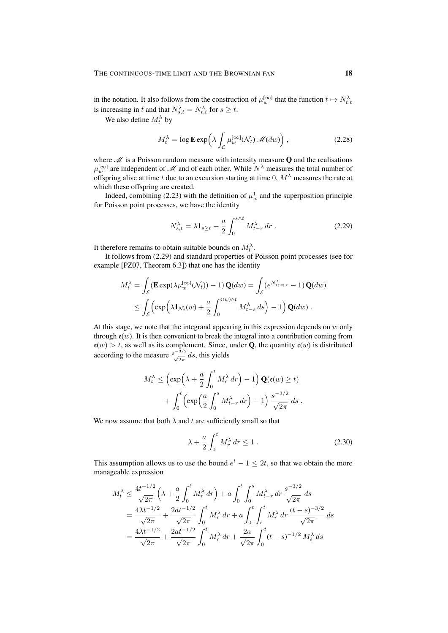in the notation. It also follows from the construction of  $\mu_w^{[\infty]}$  that the function  $t \mapsto N_{t,t}^{\lambda}$ is increasing in t and that  $N_{s,t}^{\lambda} = N_{t,t}^{\lambda}$  for  $s \geq t$ .

We also define  $M_t^{\lambda}$  by

$$
M_t^{\lambda} = \log \mathbf{E} \exp \left( \lambda \int_{\mathcal{E}} \mu_w^{[\infty]}(\mathcal{N}_t) \mathcal{M}(dw) \right), \qquad (2.28)
$$

where  $M$  is a Poisson random measure with intensity measure  $Q$  and the realisations  $\mu_w^{[\infty]}$  are independent of M and of each other. While  $N^{\lambda}$  measures the total number of offspring alive at time t due to an excursion starting at time 0,  $M^{\lambda}$  measures the rate at which these offspring are created.

Indeed, combining (2.23) with the definition of  $\mu_w^1$  and the superposition principle for Poisson point processes, we have the identity

$$
N_{s,t}^{\lambda} = \lambda \mathbf{1}_{s \ge t} + \frac{a}{2} \int_0^{s \wedge t} M_{t-r}^{\lambda} dr . \qquad (2.29)
$$

It therefore remains to obtain suitable bounds on  $M_t^{\lambda}$ .

It follows from (2.29) and standard properties of Poisson point processes (see for example [PZ07, Theorem 6.3]) that one has the identity

$$
M_t^{\lambda} = \int_{\mathcal{E}} (\mathbf{E} \exp(\lambda \mu_w^{\infty]}(\mathcal{N}_t)) - 1) \mathbf{Q}(dw) = \int_{\mathcal{E}} (e^{N_{\mathfrak{e}(w),t}^{\lambda}} - 1) \mathbf{Q}(dw)
$$
  
 
$$
\leq \int_{\mathcal{E}} \left( \exp\left(\lambda \mathbf{1}_{\mathcal{N}_t}(w) + \frac{a}{2} \int_0^{\mathfrak{e}(w)\wedge t} M_{t-s}^{\lambda} ds \right) - 1 \right) \mathbf{Q}(dw).
$$

At this stage, we note that the integrand appearing in this expression depends on  $w$  only through  $e(w)$ . It is then convenient to break the integral into a contribution coming from  $e(w) > t$ , as well as its complement. Since, under Q, the quantity  $e(w)$  is distributed according to the measure  $\frac{s^{-3/2}}{\sqrt{2\pi}}$  ds, this yields

$$
M_t^{\lambda} \le \left(\exp\left(\lambda + \frac{a}{2} \int_0^t M_r^{\lambda} dr\right) - 1\right) \mathbf{Q}(\mathfrak{e}(w) \ge t)
$$

$$
+ \int_0^t \left(\exp\left(\frac{a}{2} \int_0^s M_{t-r}^{\lambda} dr\right) - 1\right) \frac{s^{-3/2}}{\sqrt{2\pi}} ds.
$$

We now assume that both  $\lambda$  and t are sufficiently small so that

$$
\lambda + \frac{a}{2} \int_0^t M_r^{\lambda} dr \le 1.
$$
 (2.30)

This assumption allows us to use the bound  $e^t - 1 \leq 2t$ , so that we obtain the more manageable expression

$$
M_t^{\lambda} \le \frac{4t^{-1/2}}{\sqrt{2\pi}} \left(\lambda + \frac{a}{2} \int_0^t M_r^{\lambda} dr\right) + a \int_0^t \int_0^s M_{t-r}^{\lambda} dr \frac{s^{-3/2}}{\sqrt{2\pi}} ds
$$
  
=  $\frac{4\lambda t^{-1/2}}{\sqrt{2\pi}} + \frac{2at^{-1/2}}{\sqrt{2\pi}} \int_0^t M_r^{\lambda} dr + a \int_0^t \int_s^t M_r^{\lambda} dr \frac{(t-s)^{-3/2}}{\sqrt{2\pi}} ds$   
=  $\frac{4\lambda t^{-1/2}}{\sqrt{2\pi}} + \frac{2at^{-1/2}}{\sqrt{2\pi}} \int_0^t M_r^{\lambda} dr + \frac{2a}{\sqrt{2\pi}} \int_0^t (t-s)^{-1/2} M_s^{\lambda} ds$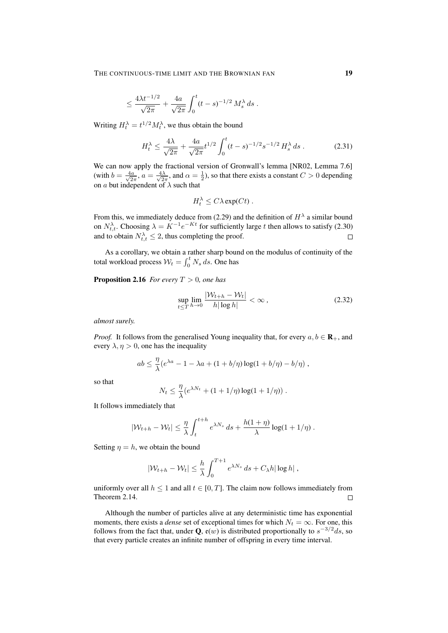$$
\leq \frac{4\lambda t^{-1/2}}{\sqrt{2\pi}} + \frac{4a}{\sqrt{2\pi}} \int_0^t (t-s)^{-1/2} M_s^{\lambda} ds.
$$

Writing  $H_t^{\lambda} = t^{1/2} M_t^{\lambda}$ , we thus obtain the bound

$$
H_t^{\lambda} \le \frac{4\lambda}{\sqrt{2\pi}} + \frac{4a}{\sqrt{2\pi}} t^{1/2} \int_0^t (t-s)^{-1/2} s^{-1/2} H_s^{\lambda} ds . \tag{2.31}
$$

We can now apply the fractional version of Gronwall's lemma [NR02, Lemma 7.6] (with  $b = \frac{4a}{\sqrt{2}}$  $\frac{a}{2\pi}$ ,  $a = \frac{4\lambda}{\sqrt{2\pi}}$  $\frac{d\lambda}{2\pi}$ , and  $\alpha = \frac{1}{2}$ ), so that there exists a constant  $C > 0$  depending on a but independent of  $\lambda$  such that

$$
H_t^{\lambda} \leq C\lambda \exp(Ct) .
$$

From this, we immediately deduce from (2.29) and the definition of  $H^{\lambda}$  a similar bound on  $N_{t,t}^{\lambda}$ . Choosing  $\lambda = K^{-1}e^{-Kt}$  for sufficiently large t then allows to satisfy (2.30) and to obtain  $N_{t,t}^{\lambda} \leq 2$ , thus completing the proof.  $\Box$ 

As a corollary, we obtain a rather sharp bound on the modulus of continuity of the total workload process  $W_t = \int_0^t N_s ds$ . One has

**Proposition 2.16** *For every*  $T > 0$ *, one has* 

$$
\sup_{t \le T} \lim_{h \to 0} \frac{|\mathcal{W}_{t+h} - \mathcal{W}_t|}{h|\log h|} < \infty \,, \tag{2.32}
$$

*almost surely.*

*Proof.* It follows from the generalised Young inequality that, for every  $a, b \in \mathbf{R}_+$ , and every  $\lambda, \eta > 0$ , one has the inequality

$$
ab \leq \frac{\eta}{\lambda}(e^{\lambda a} - 1 - \lambda a + (1 + b/\eta) \log(1 + b/\eta) - b/\eta) ,
$$

so that

$$
N_t \leq \frac{\eta}{\lambda} (e^{\lambda N_t} + (1 + 1/\eta) \log(1 + 1/\eta))
$$

It follows immediately that

$$
|\mathcal{W}_{t+h} - \mathcal{W}_t| \leq \frac{\eta}{\lambda} \int_t^{t+h} e^{\lambda N_s} ds + \frac{h(1+\eta)}{\lambda} \log(1+1/\eta).
$$

Setting  $\eta = h$ , we obtain the bound

$$
|\mathcal{W}_{t+h} - \mathcal{W}_t| \leq \frac{h}{\lambda} \int_0^{T+1} e^{\lambda N_s} ds + C_\lambda h |\log h|,
$$

uniformly over all  $h \leq 1$  and all  $t \in [0, T]$ . The claim now follows immediately from Theorem 2.14.  $\Box$ 

Although the number of particles alive at any deterministic time has exponential moments, there exists a *dense* set of exceptional times for which  $N_t = \infty$ . For one, this follows from the fact that, under Q,  $e(w)$  is distributed proportionally to  $s^{-3/2}ds$ , so that every particle creates an infinite number of offspring in every time interval.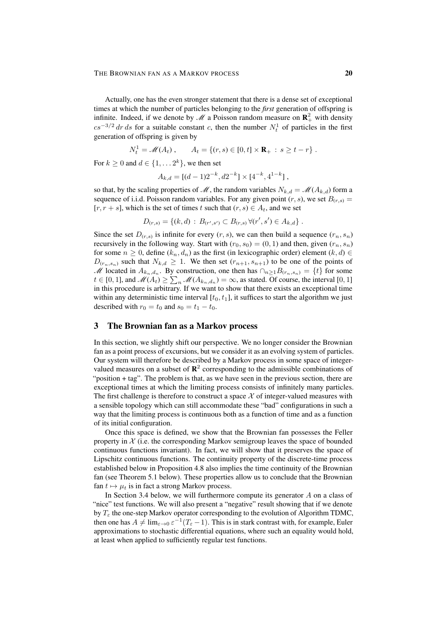Actually, one has the even stronger statement that there is a dense set of exceptional times at which the number of particles belonging to the *first* generation of offspring is infinite. Indeed, if we denote by  $\mathcal{M}$  a Poisson random measure on  $\mathbf{R}_+^2$  with density  $cs^{-3/2}$  dr ds for a suitable constant c, then the number  $N_t^1$  of particles in the first generation of offspring is given by

$$
N_t^1 = \mathcal{M}(A_t), \qquad A_t = \{(r, s) \in [0, t] \times \mathbf{R}_+ : s \ge t - r\}.
$$

For  $k \geq 0$  and  $d \in \{1, \ldots 2^k\}$ , we then set

$$
A_{k,d} = [(d-1)2^{-k}, d2^{-k}] \times [4^{-k}, 4^{1-k}],
$$

so that, by the scaling properties of  $\mathcal{M}$ , the random variables  $N_{k,d} = \mathcal{M}(A_{k,d})$  form a sequence of i.i.d. Poisson random variables. For any given point  $(r, s)$ , we set  $B(r, s)$  $[r, r + s]$ , which is the set of times t such that  $(r, s) \in A_t$ , and we set

$$
D_{(r,s)} = \{(k,d) : B_{(r',s')} \subset B_{(r,s)} \,\forall (r',s') \in A_{k,d}\}.
$$

Since the set  $D(r,s)$  is infinite for every  $(r, s)$ , we can then build a sequence  $(r_n, s_n)$ recursively in the following way. Start with  $(r_0, s_0) = (0, 1)$  and then, given  $(r_n, s_n)$ for some  $n \geq 0$ , define  $(k_n, d_n)$  as the first (in lexicographic order) element  $(k, d) \in$  $D(r_n, s_n)$  such that  $N_{k,d} \geq 1$ . We then set  $(r_{n+1}, s_{n+1})$  to be one of the points of M located in  $A_{k_n,d_n}$ . By construction, one then has  $\cap_{n\geq 1} B_{(r_n,s_n)} = \{t\}$  for some  $t \in [0, 1]$ , and  $\mathscr{M}(A_t) \geq \sum_n \mathscr{M}(A_{k_n, d_n}) = \infty$ , as stated. Of course, the interval [0, 1] in this procedure is arbitrary. If we want to show that there exists an exceptional time within any deterministic time interval  $[t_0, t_1]$ , it suffices to start the algorithm we just described with  $r_0 = t_0$  and  $s_0 = t_1 - t_0$ .

# 3 The Brownian fan as a Markov process

In this section, we slightly shift our perspective. We no longer consider the Brownian fan as a point process of excursions, but we consider it as an evolving system of particles. Our system will therefore be described by a Markov process in some space of integervalued measures on a subset of  $\mathbb{R}^2$  corresponding to the admissible combinations of "position + tag". The problem is that, as we have seen in the previous section, there are exceptional times at which the limiting process consists of infinitely many particles. The first challenge is therefore to construct a space  $X$  of integer-valued measures with a sensible topology which can still accommodate these "bad" configurations in such a way that the limiting process is continuous both as a function of time and as a function of its initial configuration.

Once this space is defined, we show that the Brownian fan possesses the Feller property in  $X$  (i.e. the corresponding Markov semigroup leaves the space of bounded continuous functions invariant). In fact, we will show that it preserves the space of Lipschitz continuous functions. The continuity property of the discrete-time process established below in Proposition 4.8 also implies the time continuity of the Brownian fan (see Theorem 5.1 below). These properties allow us to conclude that the Brownian fan  $t \mapsto \mu_t$  is in fact a strong Markov process.

In Section 3.4 below, we will furthermore compute its generator  $A$  on a class of "nice" test functions. We will also present a "negative" result showing that if we denote by  $T_{\varepsilon}$  the one-step Markov operator corresponding to the evolution of Algorithm TDMC, then one has  $A \neq \lim_{\varepsilon \to 0} \varepsilon^{-1}(T_{\varepsilon} - 1)$ . This is in stark contrast with, for example, Euler approximations to stochastic differential equations, where such an equality would hold, at least when applied to sufficiently regular test functions.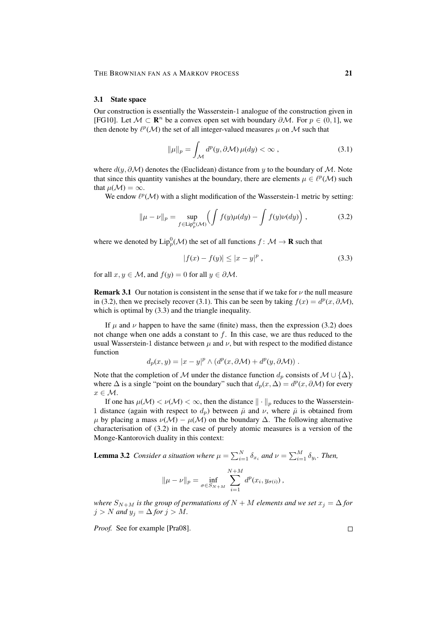### 3.1 State space

Our construction is essentially the Wasserstein-1 analogue of the construction given in [FG10]. Let  $M \subset \mathbb{R}^n$  be a convex open set with boundary  $\partial M$ . For  $p \in (0, 1]$ , we then denote by  $\ell^p(\mathcal{M})$  the set of all integer-valued measures  $\mu$  on  $\mathcal M$  such that

$$
\|\mu\|_{p} = \int_{\mathcal{M}} d^{p}(y, \partial \mathcal{M}) \,\mu(dy) < \infty \,, \tag{3.1}
$$

where  $d(y, \partial M)$  denotes the (Euclidean) distance from y to the boundary of M. Note that since this quantity vanishes at the boundary, there are elements  $\mu \in \ell^p(\mathcal{M})$  such that  $\mu(\mathcal{M}) = \infty$ .

We endow  $\ell^p(\mathcal{M})$  with a slight modification of the Wasserstein-1 metric by setting:

$$
\|\mu - \nu\|_p = \sup_{f \in \text{Lip}_p^0(\mathcal{M})} \left( \int f(y)\mu(dy) - \int f(y)\nu(dy) \right),\tag{3.2}
$$

where we denoted by  $\mathrm{Lip}_p^0(\mathcal{M})$  the set of all functions  $f\colon \mathcal{M}\to\mathbf{R}$  such that

$$
|f(x) - f(y)| \le |x - y|^p,
$$
\n(3.3)

for all  $x, y \in M$ , and  $f(y) = 0$  for all  $y \in \partial M$ .

**Remark 3.1** Our notation is consistent in the sense that if we take for  $\nu$  the null measure in (3.2), then we precisely recover (3.1). This can be seen by taking  $f(x) = d^p(x, \partial \mathcal{M})$ , which is optimal by  $(3.3)$  and the triangle inequality.

If  $\mu$  and  $\nu$  happen to have the same (finite) mass, then the expression (3.2) does not change when one adds a constant to  $f$ . In this case, we are thus reduced to the usual Wasserstein-1 distance between  $\mu$  and  $\nu$ , but with respect to the modified distance function

$$
d_p(x, y) = |x - y|^p \wedge (d^p(x, \partial \mathcal{M}) + d^p(y, \partial \mathcal{M})).
$$

Note that the completion of M under the distance function  $d_p$  consists of  $M \cup \{\Delta\}$ , where  $\Delta$  is a single "point on the boundary" such that  $d_p(x, \Delta) = d^p(x, \partial \mathcal{M})$  for every  $x \in \mathcal{M}$ .

If one has  $\mu(\mathcal{M}) < \nu(\mathcal{M}) < \infty$ , then the distance  $\|\cdot\|_p$  reduces to the Wasserstein-1 distance (again with respect to  $d<sub>n</sub>$ ) between  $\bar{\mu}$  and  $\nu$ , where  $\bar{\mu}$  is obtained from  $\mu$  by placing a mass  $\nu(\mathcal{M}) - \mu(\mathcal{M})$  on the boundary  $\Delta$ . The following alternative characterisation of (3.2) in the case of purely atomic measures is a version of the Monge-Kantorovich duality in this context:

**Lemma 3.2** Consider a situation where  $\mu = \sum_{i=1}^{N} \delta_{x_i}$  and  $\nu = \sum_{i=1}^{M} \delta_{y_i}$ . Then,

$$
\|\mu - \nu\|_{p} = \inf_{\sigma \in S_{N+M}} \sum_{i=1}^{N+M} d^{p}(x_{i}, y_{\sigma(i)})
$$

*where*  $S_{N+M}$  *is the group of permutations of*  $N + M$  *elements and we set*  $x_j = \Delta$  *for*  $j > N$  *and*  $y_j = \Delta$  *for*  $j > M$ *.* 

*Proof.* See for example [Pra08].

 $\Box$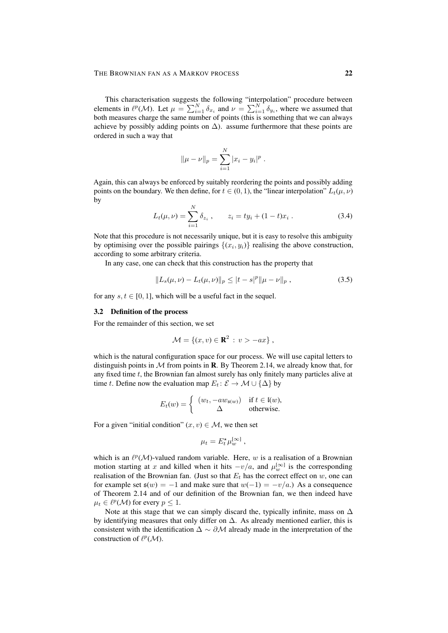### THE BROWNIAN FAN AS A MARKOV PROCESS 22

This characterisation suggests the following "interpolation" procedure between elements in  $\ell^p(\mathcal{M})$ . Let  $\mu = \sum_{i=1}^N \delta_{x_i}$  and  $\nu = \sum_{i=1}^N \delta_{y_i}$ , where we assumed that both measures charge the same number of points (this is something that we can always achieve by possibly adding points on  $\Delta$ ). assume furthermore that these points are ordered in such a way that

$$
\|\mu - \nu\|_p = \sum_{i=1}^N |x_i - y_i|^p.
$$

Again, this can always be enforced by suitably reordering the points and possibly adding points on the boundary. We then define, for  $t \in (0, 1)$ , the "linear interpolation"  $L_t(\mu, \nu)$ by

$$
L_t(\mu, \nu) = \sum_{i=1}^N \delta_{z_i}, \qquad z_i = ty_i + (1-t)x_i.
$$
 (3.4)

Note that this procedure is not necessarily unique, but it is easy to resolve this ambiguity by optimising over the possible pairings  $\{(x_i, y_i)\}\)$  realising the above construction, according to some arbitrary criteria.

In any case, one can check that this construction has the property that

$$
||L_s(\mu, \nu) - L_t(\mu, \nu)||_p \le |t - s|^p ||\mu - \nu||_p , \qquad (3.5)
$$

for any  $s, t \in [0, 1]$ , which will be a useful fact in the sequel.

#### 3.2 Definition of the process

For the remainder of this section, we set

$$
\mathcal{M} = \{(x, v) \in \mathbf{R}^2 : v > -ax\},\,
$$

which is the natural configuration space for our process. We will use capital letters to distinguish points in  $M$  from points in R. By Theorem 2.14, we already know that, for any fixed time t, the Brownian fan almost surely has only finitely many particles alive at time t. Define now the evaluation map  $E_t: \mathcal{E} \to \mathcal{M} \cup {\{\Delta\}}$  by

$$
E_t(w) = \begin{cases} (w_t, -aw_{\mathfrak{s}(w)}) & \text{if } t \in \mathfrak{l}(w), \\ \Delta & \text{otherwise.} \end{cases}
$$

For a given "initial condition"  $(x, v) \in M$ , we then set

$$
\mu_t = E_t^* \mu_w^{[\infty]} \;,
$$

which is an  $\ell^p(\mathcal{M})$ -valued random variable. Here, w is a realisation of a Brownian motion starting at x and killed when it hits  $-v/a$ , and  $\mu_w^{\infty}$  is the corresponding realisation of the Brownian fan. (Just so that  $E_t$  has the correct effect on w, one can for example set  $\mathfrak{s}(w) = -1$  and make sure that  $w(-1) = -v/a$ . As a consequence of Theorem 2.14 and of our definition of the Brownian fan, we then indeed have  $\mu_t \in \ell^p(\mathcal{M})$  for every  $p \leq 1$ .

Note at this stage that we can simply discard the, typically infinite, mass on  $\Delta$ by identifying measures that only differ on  $\Delta$ . As already mentioned earlier, this is consistent with the identification  $\Delta \sim \partial \mathcal{M}$  already made in the interpretation of the construction of  $\ell^p(\mathcal{M})$ .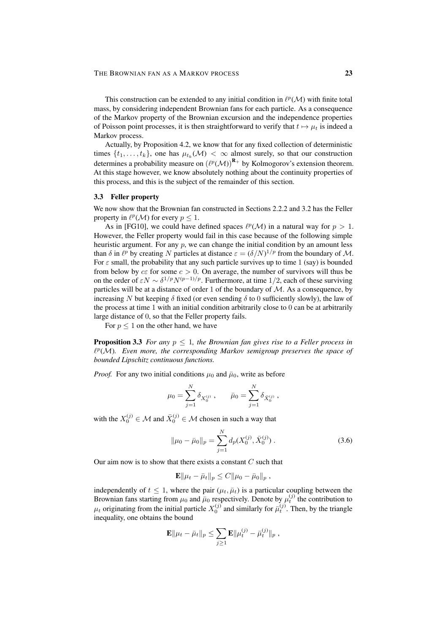#### THE BROWNIAN FAN AS A MARKOV PROCESS 23

This construction can be extended to any initial condition in  $\ell^p(\mathcal{M})$  with finite total mass, by considering independent Brownian fans for each particle. As a consequence of the Markov property of the Brownian excursion and the independence properties of Poisson point processes, it is then straightforward to verify that  $t \mapsto \mu_t$  is indeed a Markov process.

Actually, by Proposition 4.2, we know that for any fixed collection of deterministic times  $\{t_1, \ldots, t_k\}$ , one has  $\mu_{t_k}(\mathcal{M}) < \infty$  almost surely, so that our construction determines a probability measure on  $(\ell^p(\mathcal{M}))^{\mathbf{R}_+}$  by Kolmogorov's extension theorem. At this stage however, we know absolutely nothing about the continuity properties of this process, and this is the subject of the remainder of this section.

### 3.3 Feller property

We now show that the Brownian fan constructed in Sections 2.2.2 and 3.2 has the Feller property in  $\ell^p(\mathcal{M})$  for every  $p \leq 1$ .

As in [FG10], we could have defined spaces  $\ell^p(\mathcal{M})$  in a natural way for  $p > 1$ . However, the Feller property would fail in this case because of the following simple heuristic argument. For any  $p$ , we can change the initial condition by an amount less than  $\delta$  in  $\ell^p$  by creating N particles at distance  $\varepsilon = (\delta/N)^{1/p}$  from the boundary of M. For  $\varepsilon$  small, the probability that any such particle survives up to time 1 (say) is bounded from below by  $c\epsilon$  for some  $c > 0$ . On average, the number of survivors will thus be on the order of  $\varepsilon N \sim \delta^{1/p} N^{(p-1)/p}$ . Furthermore, at time 1/2, each of these surviving particles will be at a distance of order 1 of the boundary of  $M$ . As a consequence, by increasing N but keeping  $\delta$  fixed (or even sending  $\delta$  to 0 sufficiently slowly), the law of the process at time 1 with an initial condition arbitrarily close to 0 can be at arbitrarily large distance of 0, so that the Feller property fails.

For  $p \leq 1$  on the other hand, we have

Proposition 3.3 *For any* p ≤ 1*, the Brownian fan gives rise to a Feller process in*  $\ell^p(\mathcal{M})$ . Even more, the corresponding Markov semigroup preserves the space of *bounded Lipschitz continuous functions.*

*Proof.* For any two initial conditions  $\mu_0$  and  $\bar{\mu}_0$ , write as before

$$
\mu_0 = \sum_{j=1}^N \delta_{X_0^{(j)}} \, , \qquad \bar{\mu}_0 = \sum_{j=1}^N \delta_{\bar{X}_0^{(j)}} \, ,
$$

with the  $X_0^{(j)} \in \mathcal{M}$  and  $\bar{X}_0^{(j)} \in \mathcal{M}$  chosen in such a way that

$$
\|\mu_0 - \bar{\mu}_0\|_p = \sum_{j=1}^N d_p(X_0^{(j)}, \bar{X}_0^{(j)})\,. \tag{3.6}
$$

Our aim now is to show that there exists a constant  $C$  such that

$$
\mathbf{E} \|\mu_t - \bar{\mu}_t\|_p \leq C \|\mu_0 - \bar{\mu}_0\|_p,
$$

independently of  $t \leq 1$ , where the pair  $(\mu_t, \bar{\mu}_t)$  is a particular coupling between the Brownian fans starting from  $\mu_0$  and  $\bar{\mu}_0$  respectively. Denote by  $\mu_t^{(j)}$  the contribution to  $\mu_t$  originating from the initial particle  $X_0^{(j)}$  and similarly for  $\bar{\mu}_t^{(j)}$ . Then, by the triangle inequality, one obtains the bound

$$
\mathbf{E} \|\mu_t - \bar{\mu}_t\|_p \leq \sum_{j\geq 1} \mathbf{E} \|\mu_t^{(j)} - \bar{\mu}_t^{(j)}\|_p,
$$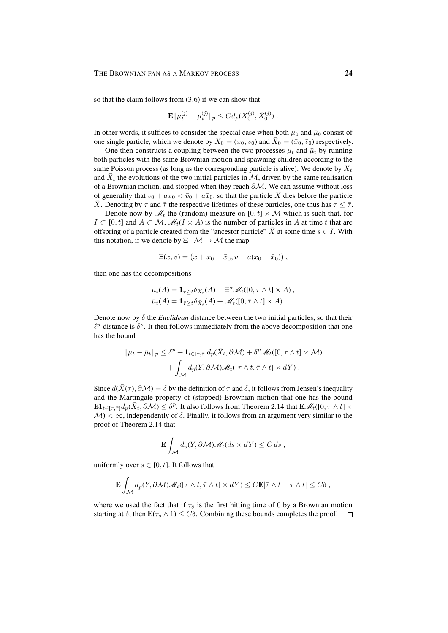so that the claim follows from (3.6) if we can show that

$$
\mathbf{E} \|\mu_t^{(j)} - \bar{\mu}_t^{(j)}\|_p \le C d_p(X_0^{(j)}, \bar{X}_0^{(j)})\;.
$$

In other words, it suffices to consider the special case when both  $\mu_0$  and  $\bar{\mu}_0$  consist of one single particle, which we denote by  $\overline{X}_0 = (x_0, v_0)$  and  $\overline{X}_0 = (\overline{x}_0, \overline{v}_0)$  respectively.

One then constructs a coupling between the two processes  $\mu_t$  and  $\bar{\mu}_t$  by running both particles with the same Brownian motion and spawning children according to the same Poisson process (as long as the corresponding particle is alive). We denote by  $X_t$ and  $\bar{X}_t$  the evolutions of the two initial particles in  $\mathcal{M}$ , driven by the same realisation of a Brownian motion, and stopped when they reach  $\partial M$ . We can assume without loss of generality that  $v_0 + ax_0 < \bar{v}_0 + a\bar{x}_0$ , so that the particle X dies before the particle  $\bar{X}$ . Denoting by  $\tau$  and  $\bar{\tau}$  the respective lifetimes of these particles, one thus has  $\tau \leq \bar{\tau}$ .

Denote now by  $\mathcal{M}_t$  the (random) measure on  $[0, t] \times \mathcal{M}$  which is such that, for  $I \subset [0, t]$  and  $A \subset \mathcal{M}, \mathcal{M}_t(I \times A)$  is the number of particles in A at time t that are offspring of a particle created from the "ancestor particle"  $\overline{X}$  at some time  $s \in I$ . With this notation, if we denote by  $\Xi \colon \mathcal{M} \to \mathcal{M}$  the map

$$
\Xi(x,v) = (x + x_0 - \bar{x}_0, v - a(x_0 - \bar{x}_0)),
$$

then one has the decompositions

$$
\mu_t(A) = \mathbf{1}_{\tau \ge t} \delta_{X_t}(A) + \Xi^{\star} \mathcal{M}_t([0, \tau \wedge t] \times A),
$$
  

$$
\bar{\mu}_t(A) = \mathbf{1}_{\bar{\tau} \ge t} \delta_{\bar{X}_t}(A) + \mathcal{M}_t([0, \bar{\tau} \wedge t] \times A).
$$

Denote now by  $\delta$  the *Euclidean* distance between the two initial particles, so that their  $\ell^p$ -distance is  $\delta^p$ . It then follows immediately from the above decomposition that one has the bound

$$
\|\mu_t - \bar{\mu}_t\|_p \leq \delta^p + \mathbf{1}_{t \in [\tau, \bar{\tau}]} d_p(\bar{X}_t, \partial \mathcal{M}) + \delta^p \mathcal{M}_t([0, \tau \wedge t] \times \mathcal{M}) + \int_{\mathcal{M}} d_p(Y, \partial \mathcal{M}) \mathcal{M}_t([\tau \wedge t, \bar{\tau} \wedge t] \times dY).
$$

Since  $d(\bar{X}(\tau), \partial \mathcal{M}) = \delta$  by the definition of  $\tau$  and  $\delta$ , it follows from Jensen's inequality and the Martingale property of (stopped) Brownian motion that one has the bound  $\mathbf{E} \mathbf{1}_{t \in [\tau, \bar{\tau}]} d_p(\bar{X}_t, \partial \mathcal{M}) \leq \delta^p$ . It also follows from Theorem 2.14 that  $\mathbf{E} \mathcal{M}_t([0, \tau \wedge t] \times$  $\mathcal{M}<\infty$ , independently of  $\delta$ . Finally, it follows from an argument very similar to the proof of Theorem 2.14 that

$$
\mathbf{E} \int_{\mathcal{M}} d_p(Y, \partial \mathcal{M}) \mathscr{M}_t(ds \times dY) \leq C \, ds \;,
$$

uniformly over  $s \in [0, t]$ . It follows that

$$
\mathbf{E} \int_{\mathcal{M}} d_p(Y, \partial \mathcal{M}) \mathscr{M}_t([\tau \wedge t, \overline{\tau} \wedge t] \times dY) \leq C \mathbf{E} |\overline{\tau} \wedge t - \tau \wedge t| \leq C \delta,
$$

where we used the fact that if  $\tau_{\delta}$  is the first hitting time of 0 by a Brownian motion starting at  $\delta$ , then  $\mathbf{E}(\tau_{\delta} \wedge 1) \leq C\delta$ . Combining these bounds completes the proof.  $\square$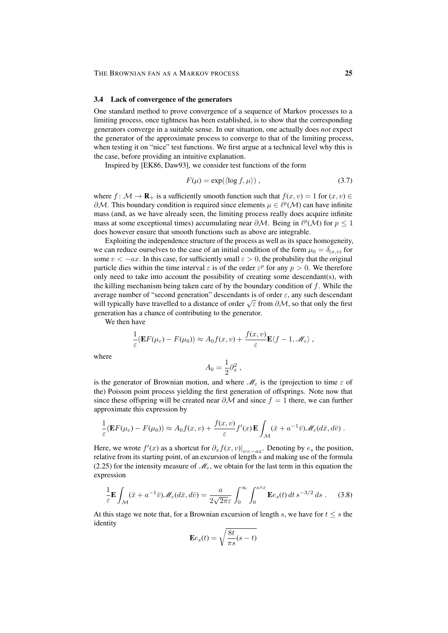#### 3.4 Lack of convergence of the generators

One standard method to prove convergence of a sequence of Markov processes to a limiting process, once tightness has been established, is to show that the corresponding generators converge in a suitable sense. In our situation, one actually does *not* expect the generator of the approximate process to converge to that of the limiting process, when testing it on "nice" test functions. We first argue at a technical level why this is the case, before providing an intuitive explanation.

Inspired by [EK86, Daw93], we consider test functions of the form

$$
F(\mu) = \exp(\langle \log f, \mu \rangle) , \qquad (3.7)
$$

where  $f: \mathcal{M} \to \mathbf{R}_{+}$  is a sufficiently smooth function such that  $f(x, v) = 1$  for  $(x, v) \in$  $\partial M$ . This boundary condition is required since elements  $\mu \in \ell^p(\mathcal{M})$  can have infinite mass (and, as we have already seen, the limiting process really does acquire infinite mass at some exceptional times) accumulating near  $\partial M$ . Being in  $\ell^p(\mathcal{M})$  for  $p \leq 1$ does however ensure that smooth functions such as above are integrable.

Exploiting the independence structure of the process as well as its space homogeneity, we can reduce ourselves to the case of an initial condition of the form  $\mu_0 = \delta_{(x,v)}$  for some  $v < -ax$ . In this case, for sufficiently small  $\varepsilon > 0$ , the probability that the original particle dies within the time interval  $\varepsilon$  is of the order  $\varepsilon^p$  for any  $p > 0$ . We therefore only need to take into account the possibility of creating some descendant(s), with the killing mechanism being taken care of by the boundary condition of  $f$ . While the average number of "second generation" descendants is of order  $\varepsilon$ , any such descendant average number of second generation descendants is of order  $\epsilon$ , any such descendant<br>will typically have travelled to a distance of order  $\sqrt{\epsilon}$  from  $\partial M$ , so that only the first generation has a chance of contributing to the generator.

We then have

$$
\frac{1}{\varepsilon}(\mathbf{E}F(\mu_{\varepsilon}) - F(\mu_0)) \approx A_0 f(x, v) + \frac{f(x, v)}{\varepsilon} \mathbf{E}\langle f - 1, \mathscr{M}_{\varepsilon} \rangle,
$$

where

$$
A_0 = \frac{1}{2}\partial_x^2,
$$

is the generator of Brownian motion, and where  $\mathcal{M}_{\varepsilon}$  is the (projection to time  $\varepsilon$  of the) Poisson point process yielding the first generation of offsprings. Note now that since these offspring will be created near  $\partial \mathcal{M}$  and since  $f = 1$  there, we can further approximate this expression by

$$
\frac{1}{\varepsilon}(\mathbf{E}F(\mu_{\varepsilon}) - F(\mu_0)) \approx A_0 f(x, v) + \frac{f(x, v)}{\varepsilon} f'(x) \mathbf{E} \int_{\mathcal{M}} (\bar{x} + a^{-1}\bar{v}) \mathscr{M}_{\varepsilon}(d\bar{x}, d\bar{v}).
$$

Here, we wrote  $f'(x)$  as a shortcut for  $\partial_x f(x, v)|_{v=-ax}$ . Denoting by  $e_s$  the position, relative from its starting point, of an excursion of length s and making use of the formula (2.25) for the intensity measure of  $\mathcal{M}_{\varepsilon}$ , we obtain for the last term in this equation the expression

$$
\frac{1}{\varepsilon} \mathbf{E} \int_{\mathcal{M}} (\bar{x} + a^{-1} \bar{v}) \mathcal{M}_{\varepsilon} (d\bar{x}, d\bar{v}) = \frac{a}{2\sqrt{2\pi}\varepsilon} \int_0^{\infty} \int_0^{s \wedge \varepsilon} \mathbf{E} e_s(t) dt s^{-3/2} ds . \tag{3.8}
$$

At this stage we note that, for a Brownian excursion of length s, we have for  $t \leq s$  the identity

$$
\mathbf{E}e_s(t) = \sqrt{\frac{8t}{\pi s}(s-t)}
$$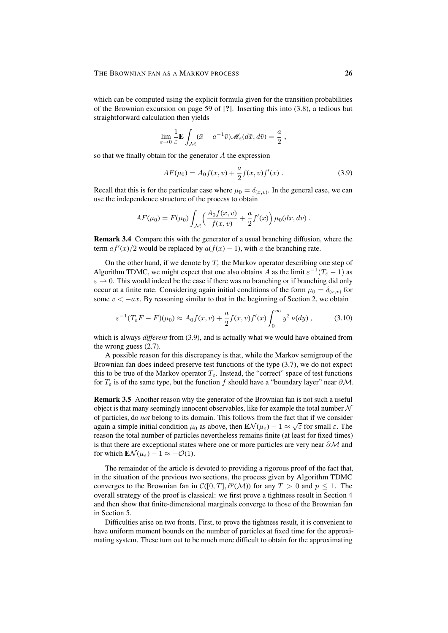which can be computed using the explicit formula given for the transition probabilities of the Brownian excursion on page 59 of [?]. Inserting this into (3.8), a tedious but straightforward calculation then yields

$$
\lim_{\varepsilon \to 0} \frac{1}{\varepsilon} \mathbf{E} \int_{\mathcal{M}} (\bar{x} + a^{-1} \bar{v}) \mathscr{M}_{\varepsilon} (d\bar{x}, d\bar{v}) = \frac{a}{2} ,
$$

so that we finally obtain for the generator A the expression

$$
AF(\mu_0) = A_0 f(x, v) + \frac{a}{2} f(x, v) f'(x) . \tag{3.9}
$$

Recall that this is for the particular case where  $\mu_0 = \delta_{(x,v)}$ . In the general case, we can use the independence structure of the process to obtain

$$
AF(\mu_0) = F(\mu_0) \int_{\mathcal{M}} \left( \frac{A_0 f(x, v)}{f(x, v)} + \frac{a}{2} f'(x) \right) \mu_0(dx, dv) .
$$

Remark 3.4 Compare this with the generator of a usual branching diffusion, where the term  $af'(x)/2$  would be replaced by  $a(f(x) - 1)$ , with a the branching rate.

On the other hand, if we denote by  $T_{\varepsilon}$  the Markov operator describing one step of Algorithm TDMC, we might expect that one also obtains A as the limit  $\varepsilon^{-1}(T_{\varepsilon}-1)$  as  $\varepsilon \to 0$ . This would indeed be the case if there was no branching or if branching did only occur at a finite rate. Considering again initial conditions of the form  $\mu_0 = \delta_{(x,v)}$  for some  $v < -ax$ . By reasoning similar to that in the beginning of Section 2, we obtain

$$
\varepsilon^{-1}(T_{\varepsilon}F - F)(\mu_0) \approx A_0 f(x, v) + \frac{a}{2} f(x, v) f'(x) \int_0^\infty y^2 \nu(dy), \qquad (3.10)
$$

which is always *different* from (3.9), and is actually what we would have obtained from the wrong guess (2.7).

A possible reason for this discrepancy is that, while the Markov semigroup of the Brownian fan does indeed preserve test functions of the type (3.7), we do not expect this to be true of the Markov operator  $T_{\varepsilon}$ . Instead, the "correct" space of test functions for  $T_{\varepsilon}$  is of the same type, but the function f should have a "boundary layer" near  $\partial M$ .

Remark 3.5 Another reason why the generator of the Brownian fan is not such a useful object is that many seemingly innocent observables, like for example the total number  $\mathcal N$ of particles, do *not* belong to its domain. This follows from the fact that if we consider of particles. The matrix of the matrix of the matrix of the matrix of the matrix of the matrix of the matrix of the matrix of the again a simple initial condition  $\mu_0$  as above, then  $\mathbf{E} \mathcal{N}(\mu_\varepsilon) - 1 \approx \sqrt{\varepsilon}$  for small  $\varepsilon$ . The reason the total number of particles nevertheless remains finite (at least for fixed times) is that there are exceptional states where one or more particles are very near  $\partial M$  and for which  $\mathbf{E} \mathcal{N}(\mu_{\varepsilon}) - 1 \approx -\mathcal{O}(1)$ .

The remainder of the article is devoted to providing a rigorous proof of the fact that, in the situation of the previous two sections, the process given by Algorithm TDMC converges to the Brownian fan in  $\mathcal{C}([0,T], \ell^p(\mathcal{M}))$  for any  $T > 0$  and  $p \leq 1$ . The overall strategy of the proof is classical: we first prove a tightness result in Section 4 and then show that finite-dimensional marginals converge to those of the Brownian fan in Section 5.

Difficulties arise on two fronts. First, to prove the tightness result, it is convenient to have uniform moment bounds on the number of particles at fixed time for the approximating system. These turn out to be much more difficult to obtain for the approximating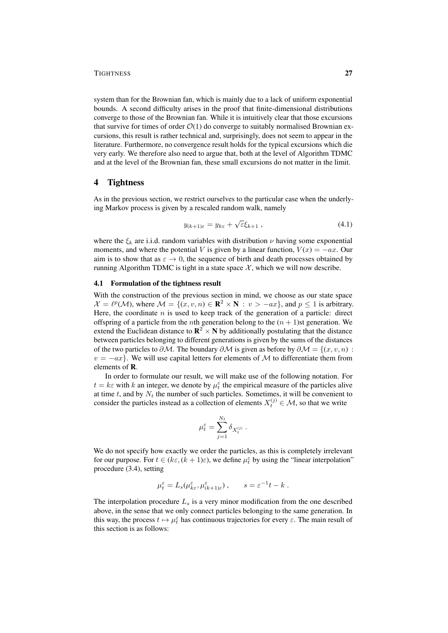system than for the Brownian fan, which is mainly due to a lack of uniform exponential bounds. A second difficulty arises in the proof that finite-dimensional distributions converge to those of the Brownian fan. While it is intuitively clear that those excursions that survive for times of order  $\mathcal{O}(1)$  do converge to suitably normalised Brownian excursions, this result is rather technical and, surprisingly, does not seem to appear in the literature. Furthermore, no convergence result holds for the typical excursions which die very early. We therefore also need to argue that, both at the level of Algorithm TDMC and at the level of the Brownian fan, these small excursions do not matter in the limit.

## 4 Tightness

As in the previous section, we restrict ourselves to the particular case when the underlying Markov process is given by a rescaled random walk, namely

$$
y_{(k+1)\varepsilon} = y_{k\varepsilon} + \sqrt{\varepsilon} \xi_{k+1} \,, \tag{4.1}
$$

where the  $\xi_k$  are i.i.d. random variables with distribution  $\nu$  having some exponential moments, and where the potential V is given by a linear function,  $V(x) = -ax$ . Our aim is to show that as  $\varepsilon \to 0$ , the sequence of birth and death processes obtained by running Algorithm TDMC is tight in a state space  $\mathcal{X}$ , which we will now describe.

# 4.1 Formulation of the tightness result

With the construction of the previous section in mind, we choose as our state space  $\mathcal{X} = \ell^p(\mathcal{M})$ , where  $\mathcal{M} = \{(x, v, n) \in \mathbb{R}^2 \times \mathbb{N} : v > -ax\}$ , and  $p \le 1$  is arbitrary. Here, the coordinate  $n$  is used to keep track of the generation of a particle: direct offspring of a particle from the *n*th generation belong to the  $(n + 1)$ st generation. We extend the Euclidean distance to  $\mathbb{R}^2 \times \mathbb{N}$  by additionally postulating that the distance between particles belonging to different generations is given by the sums of the distances of the two particles to  $\partial M$ . The boundary  $\partial M$  is given as before by  $\partial M = \{(x, v, n) :$  $v = -ax$ . We will use capital letters for elements of M to differentiate them from elements of R.

In order to formulate our result, we will make use of the following notation. For  $t = k\varepsilon$  with k an integer, we denote by  $\mu_t^{\varepsilon}$  the empirical measure of the particles alive at time t, and by  $N_t$  the number of such particles. Sometimes, it will be convenient to consider the particles instead as a collection of elements  $X_t^{(j)} \in \mathcal{M}$ , so that we write

$$
\mu_t^{\varepsilon} = \sum_{j=1}^{N_t} \delta_{X_t^{(j)}}.
$$

We do not specify how exactly we order the particles, as this is completely irrelevant for our purpose. For  $t \in (k\varepsilon, (k+1)\varepsilon)$ , we define  $\mu_t^{\varepsilon}$  by using the "linear interpolation" procedure (3.4), setting

$$
\mu_t^{\varepsilon} = L_s(\mu_{k\varepsilon}^{\varepsilon}, \mu_{(k+1)\varepsilon}^{\varepsilon}), \qquad s = \varepsilon^{-1}t - k.
$$

The interpolation procedure  $L<sub>s</sub>$  is a very minor modification from the one described above, in the sense that we only connect particles belonging to the same generation. In this way, the process  $t \mapsto \mu_t^{\varepsilon}$  has continuous trajectories for every  $\varepsilon$ . The main result of this section is as follows: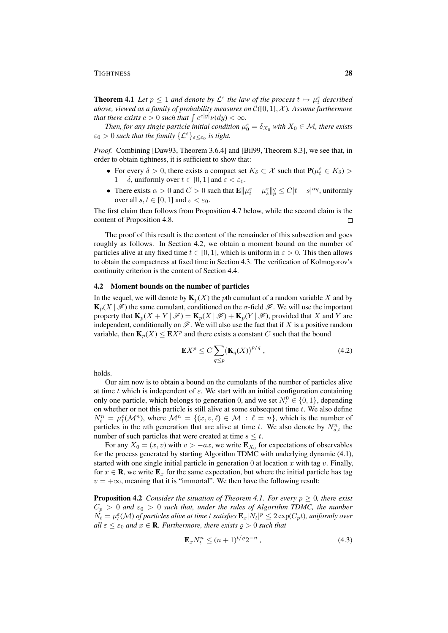**Theorem 4.1** Let  $p \leq 1$  and denote by  $\mathcal{L}^{\varepsilon}$  the law of the process  $t \mapsto \mu_t^{\varepsilon}$  described *above, viewed as a family of probability measures on* C([0, 1], X )*. Assume furthermore that there exists*  $c > 0$  *such that*  $\int e^{c|y|} \nu(dy) < \infty$ *.* 

*Then, for any single particle initial condition*  $\mu_0^{\epsilon} = \delta_{X_0}$  *with*  $X_0 \in \mathcal{M}$ *, there exists*  $\varepsilon_0 > 0$  such that the family  $\{\mathcal{L}^{\varepsilon}\}_{\varepsilon \leq \varepsilon_0}$  is tight.

*Proof.* Combining [Daw93, Theorem 3.6.4] and [Bil99, Theorem 8.3], we see that, in order to obtain tightness, it is sufficient to show that:

- For every  $\delta > 0$ , there exists a compact set  $K_{\delta} \subset \mathcal{X}$  such that  $P(\mu_t^{\varepsilon} \in K_{\delta}) >$ 1 –  $\delta$ , uniformly over  $t \in [0, 1]$  and  $\varepsilon < \varepsilon_0$ .
- There exists  $\alpha > 0$  and  $C > 0$  such that  $\mathbf{E} \|\mu_t^{\varepsilon} \mu_s^{\varepsilon}\|_p^q \le C|t s|^{\alpha q}$ , uniformly over all  $s, t \in [0, 1]$  and  $\varepsilon < \varepsilon_0$ .

The first claim then follows from Proposition 4.7 below, while the second claim is the content of Proposition 4.8.  $\Box$ 

The proof of this result is the content of the remainder of this subsection and goes roughly as follows. In Section 4.2, we obtain a moment bound on the number of particles alive at any fixed time  $t \in [0, 1]$ , which is uniform in  $\varepsilon > 0$ . This then allows to obtain the compactness at fixed time in Section 4.3. The verification of Kolmogorov's continuity criterion is the content of Section 4.4.

#### 4.2 Moment bounds on the number of particles

In the sequel, we will denote by  $\mathbf{K}_p(X)$  the pth cumulant of a random variable X and by  $\mathbf{K}_p(X \mid \mathcal{F})$  the same cumulant, conditioned on the  $\sigma$ -field  $\mathcal{F}$ . We will use the important property that  $\mathbf{K}_p(X+Y|\mathcal{F}) = \mathbf{K}_p(X|\mathcal{F}) + \mathbf{K}_p(Y|\mathcal{F})$ , provided that X and Y are independent, conditionally on  $\mathscr{F}$ . We will also use the fact that if X is a positive random variable, then  $\mathbf{K}_p(X) \leq \mathbf{E} X^p$  and there exists a constant C such that the bound

$$
\mathbf{E}X^p \le C \sum_{q \le p} (\mathbf{K}_q(X))^{p/q} , \qquad (4.2)
$$

holds.

Our aim now is to obtain a bound on the cumulants of the number of particles alive at time t which is independent of  $\varepsilon$ . We start with an initial configuration containing only one particle, which belongs to generation 0, and we set  $N_t^0 \in \{0, 1\}$ , depending on whether or not this particle is still alive at some subsequent time  $t$ . We also define  $N_t^n = \mu_t^{\varepsilon}(\mathcal{M}^n)$ , where  $\mathcal{M}^n = \{(x, v, \ell) \in \mathcal{M} : \ell = n\}$ , which is the number of particles in the *n*th generation that are alive at time t. We also denote by  $N_{s,t}^n$  the number of such particles that were created at time  $s \leq t$ .

For any  $X_0 = (x, v)$  with  $v > -ax$ , we write  $\mathbf{E}_{X_0}$  for expectations of observables for the process generated by starting Algorithm TDMC with underlying dynamic (4.1), started with one single initial particle in generation  $0$  at location  $x$  with tag  $v$ . Finally, for  $x \in \mathbf{R}$ , we write  $\mathbf{E}_x$  for the same expectation, but where the initial particle has tag  $v = +\infty$ , meaning that it is "immortal". We then have the following result:

**Proposition 4.2** *Consider the situation of Theorem 4.1. For every*  $p \geq 0$ *, there exist*  $C_p > 0$  and  $\varepsilon_0 > 0$  such that, under the rules of Algorithm TDMC, the number  $\tilde{N_t} = \mu_t^\varepsilon(\mathcal{M})$  of particles alive at time  $t$  satisfies  $\mathbf{E}_x |N_t|^p \leq 2 \exp(C_p t)$ , uniformly over *all*  $\varepsilon \leq \varepsilon_0$  *and*  $x \in \mathbf{R}$ *. Furthermore, there exists*  $\rho > 0$  *such that* 

$$
\mathbf{E}_x N_t^n \le (n+1)^{t/\varrho} 2^{-n} \,, \tag{4.3}
$$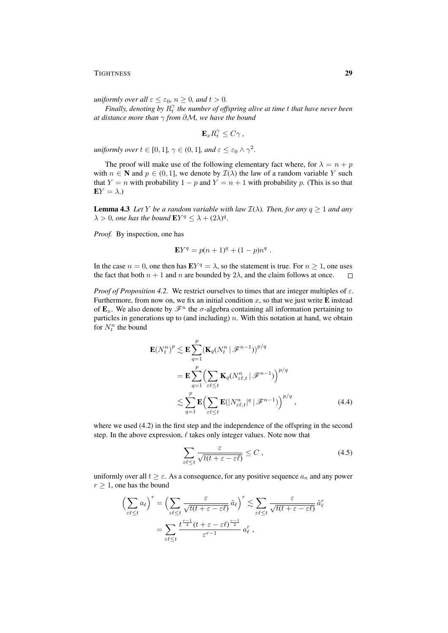*uniformly over all*  $\varepsilon \leq \varepsilon_0$ *,*  $n \geq 0$ *, and*  $t > 0$ *.* 

*Finally, denoting by*  $R_t^{\gamma}$  *the number of offspring alive at time t that have never been at distance more than* γ *from* ∂M*, we have the bound*

$$
\mathbf{E}_{x}R_{t}^{\gamma }\leq C\gamma \ ,
$$

*uniformly over*  $t \in [0,1]$ ,  $\gamma \in (0,1]$ *, and*  $\varepsilon \leq \varepsilon_0 \wedge \gamma^2$ *.* 

The proof will make use of the following elementary fact where, for  $\lambda = n + p$ with  $n \in \mathbb{N}$  and  $p \in (0, 1]$ , we denote by  $\mathcal{I}(\lambda)$  the law of a random variable Y such that Y = n with probability 1 – p and Y =  $n + 1$  with probability p. (This is so that  $EY = \lambda$ .)

**Lemma 4.3** *Let Y be a random variable with law*  $\mathcal{I}(\lambda)$ *. Then, for any*  $q \geq 1$  *and any*  $\lambda > 0$ , one has the bound  $EY^q \leq \lambda + (2\lambda)^q$ .

*Proof.* By inspection, one has

$$
\mathbf{E}Y^q = p(n+1)^q + (1-p)n^q.
$$

In the case  $n = 0$ , one then has  $EY^q = \lambda$ , so the statement is true. For  $n \ge 1$ , one uses the fact that both  $n + 1$  and n are bounded by  $2\lambda$ , and the claim follows at once.  $\Box$ 

*Proof of Proposition 4.2.* We restrict ourselves to times that are integer multiples of  $\varepsilon$ . Furthermore, from now on, we fix an initial condition  $x$ , so that we just write **E** instead of  $\mathbf{E}_x$ . We also denote by  $\mathscr{F}^n$  the  $\sigma$ -algebra containing all information pertaining to particles in generations up to (and including)  $n$ . With this notation at hand, we obtain for  $N_t^n$  the bound

$$
\mathbf{E}(N_t^n)^p \lesssim \mathbf{E} \sum_{q=1}^p (\mathbf{K}_q (N_t^n \mid \mathcal{F}^{n-1}))^{p/q}
$$
  
= 
$$
\mathbf{E} \sum_{q=1}^p \Biggl( \sum_{\varepsilon \ell \le t} \mathbf{K}_q (N_{\varepsilon \ell,t}^n \mid \mathcal{F}^{n-1}) \Biggr)^{p/q}
$$
  

$$
\lesssim \sum_{q=1}^p \mathbf{E} \Biggl( \sum_{\varepsilon \ell \le t} \mathbf{E} (|N_{\varepsilon \ell,t}^n|^q \mid \mathcal{F}^{n-1}) \Biggr)^{p/q}, \tag{4.4}
$$

where we used  $(4.2)$  in the first step and the independence of the offspring in the second step. In the above expression,  $\ell$  takes only integer values. Note now that

$$
\sum_{\varepsilon\ell \leq t} \frac{\varepsilon}{\sqrt{t(t + \varepsilon - \varepsilon \ell)}} \leq C \,,\tag{4.5}
$$

uniformly over all  $t \geq \varepsilon$ . As a consequence, for any positive sequence  $a_n$  and any power  $r \geq 1$ , one has the bound

$$
\left(\sum_{\varepsilon\ell\leq t} a_\ell\right)^r = \left(\sum_{\varepsilon\ell\leq t} \frac{\varepsilon}{\sqrt{t(t+\varepsilon-\varepsilon\ell)}} \tilde{a}_\ell\right)^r \lesssim \sum_{\varepsilon\ell\leq t} \frac{\varepsilon}{\sqrt{t(t+\varepsilon-\varepsilon\ell)}} \tilde{a}_\ell^r
$$

$$
= \sum_{\varepsilon\ell\leq t} \frac{t^{\frac{r-1}{2}}(t+\varepsilon-\varepsilon\ell)^{\frac{r-1}{2}}}{\varepsilon^{r-1}} a_\ell^r,
$$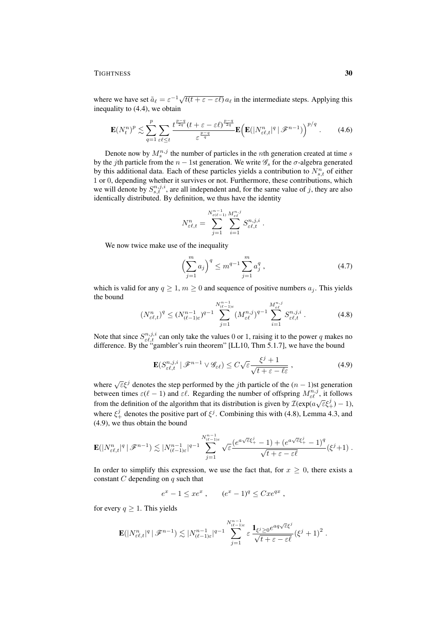where we have set  $\tilde{a}_{\ell} = \varepsilon^{-1} \sqrt{t(t + \varepsilon - \varepsilon \ell)} a_{\ell}$  in the intermediate steps. Applying this inequality to (4.4), we obtain

$$
\mathbf{E}(N_t^n)^p \lesssim \sum_{q=1}^p \sum_{\varepsilon \in \mathcal{L}} \frac{t^{\frac{p-q}{2q}} (t + \varepsilon - \varepsilon \ell)^{\frac{p-q}{2q}}}{\varepsilon^{\frac{p-q}{q}}} \mathbf{E}\Big(\mathbf{E}(|N_{\varepsilon \ell, t}^n|^q \,|\, \mathcal{F}^{n-1})\Big)^{p/q} \,. \tag{4.6}
$$

Denote now by  $M_s^{n,j}$  the number of particles in the *n*th generation created at time *s* by the jth particle from the  $n - 1$ st generation. We write  $\mathscr{G}_s$  for the  $\sigma$ -algebra generated by this additional data. Each of these particles yields a contribution to  $N_{s,t}^n$  of either 1 or 0, depending whether it survives or not. Furthermore, these contributions, which we will denote by  $S_{s,t}^{n,j,i}$ , are all independent and, for the same value of j, they are also identically distributed. By definition, we thus have the identity

$$
N_{\varepsilon\ell,t}^n = \sum_{j=1}^{N_{\varepsilon(\ell-1)}^{n-1}} \sum_{i=1}^{M_{\varepsilon\ell}^{n,j}} S_{\varepsilon\ell,t}^{n,j,i}.
$$

We now twice make use of the inequality

$$
\left(\sum_{j=1}^{m} a_j\right)^q \le m^{q-1} \sum_{j=1}^{m} a_j^q ,\qquad (4.7)
$$

which is valid for any  $q \ge 1$ ,  $m \ge 0$  and sequence of positive numbers  $a_j$ . This yields the bound

$$
(N_{\varepsilon\ell,t}^n)^q \le (N_{(\ell-1)\varepsilon}^{n-1})^{q-1} \sum_{j=1}^{N_{(\ell-1)\varepsilon}^{n-1}} (M_{\varepsilon\ell}^{n,j})^{q-1} \sum_{i=1}^{M_{\varepsilon\ell}^{n,j}} S_{\varepsilon\ell,t}^{n,j,i}.
$$
 (4.8)

Note that since  $S_{\varepsilon \ell,t}^{n,j,i}$  can only take the values 0 or 1, raising it to the power q makes no difference. By the "gambler's ruin theorem" [LL10, Thm 5.1.7], we have the bound

$$
\mathbf{E}(S_{\varepsilon\ell,t}^{n,j,i} \mid \mathscr{F}^{n-1} \lor \mathscr{G}_{\varepsilon\ell}) \le C\sqrt{\varepsilon} \frac{\xi^j + 1}{\sqrt{t + \varepsilon - \ell\varepsilon}} ,\qquad(4.9)
$$

where  $\sqrt{\varepsilon} \xi^j$  denotes the step performed by the *j*th particle of the  $(n - 1)$ st generation between times  $\varepsilon(\ell - 1)$  and  $\varepsilon \ell$ . Regarding the number of offspring  $M_{\varepsilon \ell}^{n,j}$ , it follows from the definition of the algorithm that its distribution is given by  $\mathcal{I}(\exp(a\sqrt{\epsilon}\xi_+^j)-1)$ , where  $\xi_{+}^{j}$  denotes the positive part of  $\xi^{j}$ . Combining this with (4.8), Lemma 4.3, and (4.9), we thus obtain the bound

$$
\mathbf{E}(|N_{\varepsilon\ell,t}^n|^q \,|\, \mathscr{F}^{n-1}) \lesssim |N_{(\ell-1)\varepsilon}^{n-1}|^{q-1} \sum_{j=1}^{N_{(\ell-1)\varepsilon}^{n-1}} \sqrt{\varepsilon} \frac{(e^{a\sqrt{\varepsilon}\xi_+^j}-1)+(e^{a\sqrt{\varepsilon}\xi_+^j}-1)^q}{\sqrt{t+\varepsilon-\varepsilon\ell}}(\xi^j+1) .
$$

In order to simplify this expression, we use the fact that, for  $x \geq 0$ , there exists a constant  $C$  depending on  $q$  such that

$$
e^x - 1 \leq xe^x
$$
,  $(e^x - 1)^q \leq Cxe^{qx}$ ,

for every  $q \geq 1$ . This yields

$$
\mathbf{E}(|N_{\varepsilon \ell,t}^n|^q \, | \, \mathscr{F}^{n-1}) \lesssim |N_{(\ell-1)\varepsilon}^{n-1}|^{q-1} \sum_{j=1}^{N_{(\ell-1)\varepsilon}^{n-1}} \varepsilon \frac{\mathbf{1}_{\xi^j \geq 0} e^{aq\sqrt{\varepsilon}\xi^j}}{\sqrt{t+\varepsilon-\varepsilon \ell}} \left(\xi^j+1\right)^2.
$$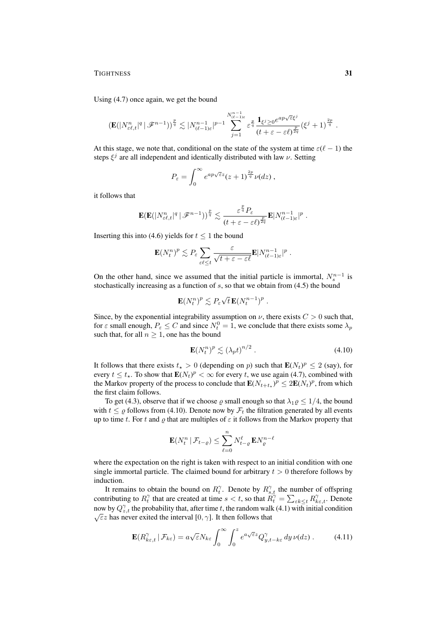Using (4.7) once again, we get the bound

$$
\left(\mathbf{E}(|N_{\varepsilon\ell,t}^n|^q \,|\, \mathscr{F}^{n-1})\right)^{\frac{p}{q}} \lesssim |N_{(\ell-1)\varepsilon}^{n-1}|^{p-1} \sum_{j=1}^{N_{(\ell-1)\varepsilon}^{n-1}} \varepsilon^{\frac{p}{q}} \frac{\mathbf{1}_{\xi^j \geq 0} e^{ap\sqrt{\varepsilon}\xi^j}}{(t+\varepsilon-\varepsilon\ell)^{\frac{p}{2q}}} \left(\xi^j+1\right)^{\frac{2p}{q}}.
$$

At this stage, we note that, conditional on the state of the system at time  $\varepsilon(\ell - 1)$  the steps  $\xi^j$  are all independent and identically distributed with law  $\nu$ . Setting

$$
P_{\varepsilon} = \int_0^{\infty} e^{ap\sqrt{\varepsilon}z}(z+1)^{\frac{2p}{q}}\nu(dz),
$$

it follows that

$$
\mathbf{E}(\mathbf{E}(|N_{\varepsilon \ell,t}^n|^q \,|\, \mathscr{F}^{n-1}))^{\frac{p}{q}} \lesssim \frac{\varepsilon^{\frac{p}{q}} P_\varepsilon}{(t+\varepsilon-\varepsilon \ell)^{\frac{p}{2q}}} \mathbf{E}|N_{(\ell-1)\varepsilon}^{n-1}|^p \;.
$$

Inserting this into (4.6) yields for  $t < 1$  the bound

$$
\mathbf{E}(N_t^n)^p \lesssim P_\varepsilon \sum_{\varepsilon \ell \le t} \frac{\varepsilon}{\sqrt{t + \varepsilon - \varepsilon \ell}} \mathbf{E} |N_{(\ell-1)\varepsilon}^{n-1}|^p.
$$

On the other hand, since we assumed that the initial particle is immortal,  $N_s^{n-1}$  is stochastically increasing as a function of  $s$ , so that we obtain from  $(4.5)$  the bound

$$
\mathbf{E}(N_t^n)^p \lesssim P_\varepsilon \sqrt{t} \, \mathbf{E}(N_t^{n-1})^p \; .
$$

Since, by the exponential integrability assumption on  $\nu$ , there exists  $C > 0$  such that, for  $\varepsilon$  small enough,  $P_{\varepsilon} \leq C$  and since  $N_t^0 = 1$ , we conclude that there exists some  $\lambda_p$ such that, for all  $n \geq 1$ , one has the bound

$$
\mathbf{E}(N_t^n)^p \lesssim \left(\lambda_p t\right)^{n/2} \,. \tag{4.10}
$$

It follows that there exists  $t_* > 0$  (depending on p) such that  $\mathbf{E}(N_t)^p \leq 2$  (say), for every  $t \le t_*$ . To show that  $\mathbf{E}(N_t)^p < \infty$  for every t, we use again (4.7), combined with the Markov property of the process to conclude that  $\mathbf{E}(N_{t+t_{\star}})^p \leq 2\mathbf{E}(N_t)^p$ , from which the first claim follows.

To get (4.3), observe that if we choose  $\varrho$  small enough so that  $\lambda_1 \varrho \leq 1/4$ , the bound with  $t \leq \rho$  follows from (4.10). Denote now by  $\mathcal{F}_t$  the filtration generated by all events up to time t. For t and  $\rho$  that are multiples of  $\varepsilon$  it follows from the Markov property that

$$
\mathbf{E}(N_t^n\,|\,\mathcal{F}_{t-\varrho})\leq \sum_{\ell=0}^n N_{t-\varrho}^\ell \,\mathbf{E} N_\varrho^{n-\ell}
$$

where the expectation on the right is taken with respect to an initial condition with one single immortal particle. The claimed bound for arbitrary  $t > 0$  therefore follows by induction.

It remains to obtain the bound on  $R_t^{\gamma}$ . Denote by  $R_{s,t}^{\gamma}$  the number of offspring contributing to  $R_t^{\gamma}$  that are created at time  $s < t$ , so that  $R_t^{\gamma} = \sum_{\varepsilon k \leq t} R_{k\varepsilon,t}^{\gamma}$ . Denote now by  $Q_{z,t}^{\gamma}$  the probability that, after time t, the random walk (4.1) with initial condition  $\sqrt{\varepsilon}$ z has never exited the interval [0,  $\gamma$ ]. It then follows that

$$
\mathbf{E}(R_{k\varepsilon,t}^{\gamma} \,|\, \mathcal{F}_{k\varepsilon}) = a\sqrt{\varepsilon}N_{k\varepsilon} \int_0^{\infty} \int_0^z e^{a\sqrt{\varepsilon}z} Q_{y,t-k\varepsilon}^{\gamma} \, dy \, \nu(dz) \,. \tag{4.11}
$$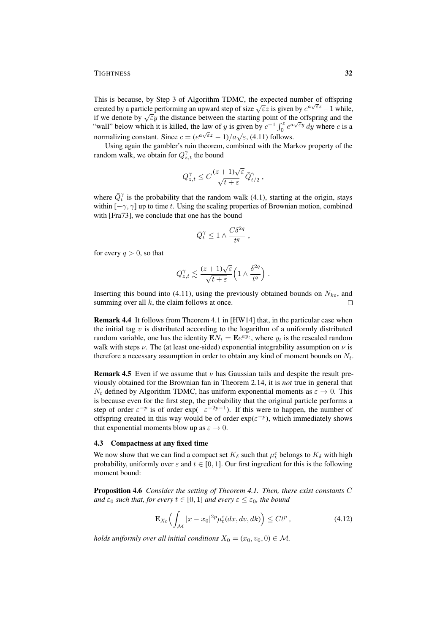This is because, by Step 3 of Algorithm TDMC, the expected number of offspring This is because, by step 5 of Argorium TDMC, the expected number of orispring created by a particle performing an upward step of size  $\sqrt{\varepsilon}z$  is given by  $e^{a\sqrt{\varepsilon}z} - 1$  while, created by a particle performing an upward step of size  $\sqrt{\epsilon}z$  is given by  $e^{-y} - 1$  while<br>if we denote by  $\sqrt{\epsilon}y$  the distance between the starting point of the offspring and the "wall" below which it is killed, the law of y is given by  $c^{-1} \int_0^z e^{a\sqrt{\varepsilon}y} dy$  where c is a normalizing constant. Since  $c = (e^{a\sqrt{\epsilon}z} - 1)/a\sqrt{\epsilon}$ , (4.11) follows.

Using again the gambler's ruin theorem, combined with the Markov property of the random walk, we obtain for  $Q_{z,t}^{\gamma}$  the bound

$$
Q_{z,t}^{\gamma} \leq C \frac{(z+1)\sqrt{\varepsilon}}{\sqrt{t+\varepsilon}} \bar{Q}_{t/2}^{\gamma} ,
$$

where  $\overline{Q}_t^{\gamma}$  is the probability that the random walk (4.1), starting at the origin, stays within  $[-\gamma, \gamma]$  up to time t. Using the scaling properties of Brownian motion, combined with [Fra73], we conclude that one has the bound

$$
\bar Q_t^\gamma \leq 1 \wedge \frac{C \delta^{2q}}{t^q} \; ,
$$

for every  $q > 0$ , so that

$$
Q_{z,t}^{\gamma} \lesssim \frac{(z+1)\sqrt{\varepsilon}}{\sqrt{t+\varepsilon}} \left(1 \wedge \frac{\delta^{2q}}{t^{q}}\right).
$$

Inserting this bound into (4.11), using the previously obtained bounds on  $N_{k\varepsilon}$ , and summing over all  $k$ , the claim follows at once.  $\Box$ 

Remark 4.4 It follows from Theorem 4.1 in [HW14] that, in the particular case when the initial tag  $v$  is distributed according to the logarithm of a uniformly distributed random variable, one has the identity  $\mathbf{E}N_t = \mathbf{E}e^{ay_t}$ , where  $y_t$  is the rescaled random walk with steps  $\nu$ . The (at least one-sided) exponential integrability assumption on  $\nu$  is therefore a necessary assumption in order to obtain any kind of moment bounds on  $N_t$ .

**Remark 4.5** Even if we assume that  $\nu$  has Gaussian tails and despite the result previously obtained for the Brownian fan in Theorem 2.14, it is *not* true in general that  $N_t$  defined by Algorithm TDMC, has uniform exponential moments as  $\varepsilon \to 0$ . This is because even for the first step, the probability that the original particle performs a step of order  $\varepsilon^{-p}$  is of order  $\exp(-\varepsilon^{-2p-1})$ . If this were to happen, the number of offspring created in this way would be of order  $exp(\varepsilon^{-p})$ , which immediately shows that exponential moments blow up as  $\varepsilon \to 0$ .

#### 4.3 Compactness at any fixed time

We now show that we can find a compact set  $K_{\delta}$  such that  $\mu_t^{\epsilon}$  belongs to  $K_{\delta}$  with high probability, uniformly over  $\varepsilon$  and  $t \in [0, 1]$ . Our first ingredient for this is the following moment bound:

Proposition 4.6 *Consider the setting of Theorem 4.1. Then, there exist constants* C *and*  $\varepsilon_0$  *such that, for every*  $t \in [0, 1]$  *and every*  $\varepsilon \leq \varepsilon_0$ *, the bound* 

$$
\mathbf{E}_{X_0}\Big(\int_{\mathcal{M}} |x - x_0|^{2p} \mu_t^{\varepsilon}(dx, dv, dk)\Big) \le C t^p ,\tag{4.12}
$$

*holds uniformly over all initial conditions*  $X_0 = (x_0, v_0, 0) \in \mathcal{M}$ .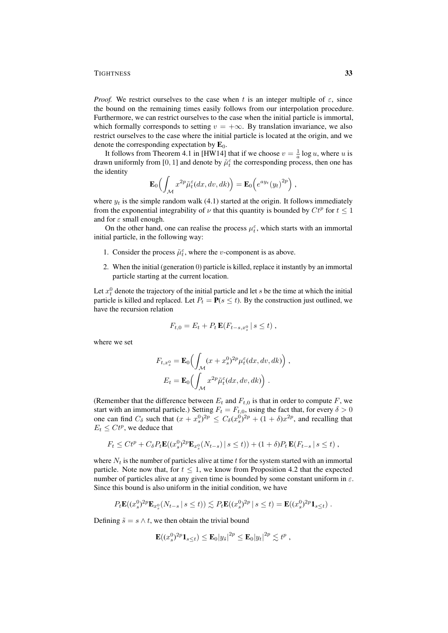*Proof.* We restrict ourselves to the case when t is an integer multiple of  $\varepsilon$ , since the bound on the remaining times easily follows from our interpolation procedure. Furthermore, we can restrict ourselves to the case when the initial particle is immortal, which formally corresponds to setting  $v = +\infty$ . By translation invariance, we also restrict ourselves to the case where the initial particle is located at the origin, and we denote the corresponding expectation by  $\mathbf{E}_0$ .

It follows from Theorem 4.1 in [HW14] that if we choose  $v = \frac{1}{a} \log u$ , where u is drawn uniformly from [0, 1] and denote by  $\tilde{\mu}_t^{\varepsilon}$  the corresponding process, then one has the identity

$$
\mathbf{E}_0\Big(\int_{\mathcal{M}}x^{2p}\tilde{\mu}_t^{\varepsilon}(dx,dv,dk)\Big)=\mathbf{E}_0\Big(e^{ay_t}(y_t)^{2p}\Big)\;,
$$

where  $y_t$  is the simple random walk (4.1) started at the origin. It follows immediately from the exponential integrability of  $\nu$  that this quantity is bounded by  $Ct^p$  for  $t \leq 1$ and for  $\varepsilon$  small enough.

On the other hand, one can realise the process  $\mu_t^{\varepsilon}$ , which starts with an immortal initial particle, in the following way:

- 1. Consider the process  $\tilde{\mu}_t^{\varepsilon}$ , where the *v*-component is as above.
- 2. When the initial (generation 0) particle is killed, replace it instantly by an immortal particle starting at the current location.

Let  $x_t^0$  denote the trajectory of the initial particle and let s be the time at which the initial particle is killed and replaced. Let  $P_t = P(s \le t)$ . By the construction just outlined, we have the recursion relation

$$
F_{t,0} = E_t + P_t \mathbf{E}(F_{t-s,x_s^0} \,|\, s \leq t) \,,
$$

where we set

$$
F_{t,x_s^0} = \mathbf{E}_0 \Big( \int_{\mathcal{M}} (x + x_s^0)^{2p} \mu_t^{\varepsilon} (dx, dv, dk) \Big) ,
$$
  

$$
E_t = \mathbf{E}_0 \Big( \int_{\mathcal{M}} x^{2p} \tilde{\mu}_t^{\varepsilon} (dx, dv, dk) \Big) .
$$

(Remember that the difference between  $E_t$  and  $F_{t,0}$  is that in order to compute F, we start with an immortal particle.) Setting  $F_t = F_{t,0}$ , using the fact that, for every  $\delta > 0$ one can find  $C_{\delta}$  such that  $(x + x_s^0)^{2p} \le C_{\delta}(x_s^0)^{2p} + (1 + \delta)x^{2p}$ , and recalling that  $E_t \leq Ct^p$ , we deduce that

$$
F_t \leq Ct^p + C_{\delta} P_t \mathbf{E}((x_s^0)^{2p} \mathbf{E}_{x_s^0}(N_{t-s}) \mid s \leq t)) + (1+\delta) P_t \mathbf{E}(F_{t-s} \mid s \leq t),
$$

where  $N_t$  is the number of particles alive at time t for the system started with an immortal particle. Note now that, for  $t \leq 1$ , we know from Proposition 4.2 that the expected number of particles alive at any given time is bounded by some constant uniform in  $\varepsilon$ . Since this bound is also uniform in the initial condition, we have

$$
P_t \mathbf{E}((x_s^0)^{2p} \mathbf{E}_{x_s^0}(N_{t-s} \mid s \leq t)) \lesssim P_t \mathbf{E}((x_s^0)^{2p} \mid s \leq t) = \mathbf{E}((x_s^0)^{2p} \mathbf{1}_{s \leq t}).
$$

Defining  $\tilde{s} = s \wedge t$ , we then obtain the trivial bound

$$
\mathbf{E}((x_s^0)^{2p}\mathbf{1}_{s\leq t}) \leq \mathbf{E}_0|y_{\tilde{s}}|^{2p} \leq \mathbf{E}_0|y_t|^{2p} \lesssim t^p,
$$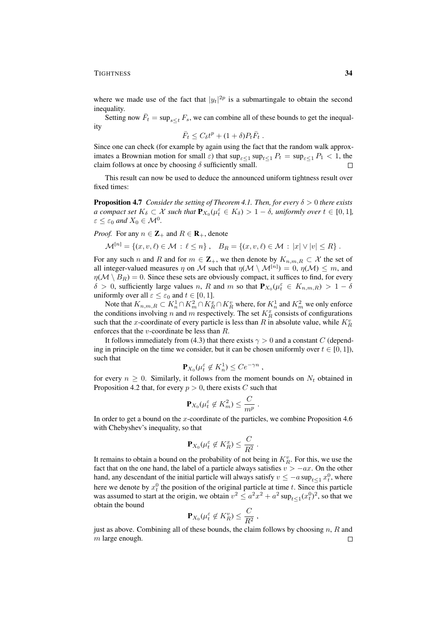where we made use of the fact that  $|y_t|^{2p}$  is a submartingale to obtain the second inequality.

Setting now  $\bar{F}_t = \sup_{s \le t} F_s$ , we can combine all of these bounds to get the inequality

$$
\bar{F}_t \leq C_\delta t^p + (1+\delta)P_t\bar{F}_t.
$$

Since one can check (for example by again using the fact that the random walk approximates a Brownian motion for small  $\varepsilon$ ) that  $\sup_{\varepsilon \leq 1} \sup_{t \leq 1} P_t = \sup_{\varepsilon \leq 1} P_1 < 1$ , the claim follows at once by choosing  $\delta$  sufficiently small.  $\Box$ 

This result can now be used to deduce the announced uniform tightness result over fixed times:

Proposition 4.7 *Consider the setting of Theorem 4.1. Then, for every* δ > 0 *there exists a* compact set  $K_{\delta} \subset \mathcal{X}$  such that  $\mathbf{P}_{X_0}(\mu_t^{\varepsilon} \in K_{\delta}) > 1 - \delta$ , uniformly over  $t \in [0,1]$ ,  $\varepsilon \leq \varepsilon_0$  and  $X_0 \in \mathcal{M}^0$ .

*Proof.* For any  $n \in \mathbb{Z}_+$  and  $R \in \mathbb{R}_+$ , denote

$$
\mathcal{M}^{[n]} = \{(x, v, \ell) \in \mathcal{M} : \ell \leq n\}, \quad B_R = \{(x, v, \ell) \in \mathcal{M} : |x| \vee |v| \leq R\}.
$$

For any such n and R and for  $m \in \mathbb{Z}_+$ , we then denote by  $K_{n,m,B} \subset \mathcal{X}$  the set of all integer-valued measures  $\eta$  on M such that  $\eta(\mathcal{M} \setminus \mathcal{M}^{[n]}) = 0$ ,  $\eta(\mathcal{M}) \leq m$ , and  $\eta(\mathcal{M} \setminus B_R) = 0$ . Since these sets are obviously compact, it suffices to find, for every  $\delta > 0$ , sufficiently large values n, R and m so that  $P_{X_0}(\mu_t^{\varepsilon} \in K_{n,m,R}) > 1 - \delta$ uniformly over all  $\varepsilon \leq \varepsilon_0$  and  $t \in [0, 1]$ .

Note that  $K_{n,m,R}\subset K^1_n\cap K^2_m\cap K^x_R\cap K^v_R$  where, for  $K^1_n$  and  $K^2_m$  we only enforce the conditions involving *n* and *m* respectively. The set  $K_R^x$  consists of configurations such that the x-coordinate of every particle is less than R in absolute value, while  $K_R^v$ enforces that the v-coordinate be less than R.

It follows immediately from (4.3) that there exists  $\gamma > 0$  and a constant C (depending in principle on the time we consider, but it can be chosen uniformly over  $t \in [0, 1]$ ), such that

$$
\mathbf{P}_{X_0}(\mu_t^{\varepsilon} \notin K_n^1) \le C e^{-\gamma n},
$$

for every  $n \geq 0$ . Similarly, it follows from the moment bounds on  $N_t$  obtained in Proposition 4.2 that, for every  $p > 0$ , there exists C such that

$$
\mathbf{P}_{X_0}(\mu_t^{\varepsilon} \notin K_m^2) \leq \frac{C}{m^p} .
$$

In order to get a bound on the x-coordinate of the particles, we combine Proposition  $4.6$ with Chebyshev's inequality, so that

$$
\mathbf{P}_{X_0}(\mu_t^{\varepsilon} \notin K_R^x) \leq \frac{C}{R^2}.
$$

It remains to obtain a bound on the probability of not being in  $K_R^v$ . For this, we use the fact that on the one hand, the label of a particle always satisfies  $v > -ax$ . On the other hand, any descendant of the initial particle will always satisfy  $v \le -a \sup_{t \le 1} x_t^0$ , where here we denote by  $x_t^0$  the position of the original particle at time t. Since this particle was assumed to start at the origin, we obtain  $v^2 \le a^2 x^2 + a^2 \sup_{t \le 1} (x_t^0)^2$ , so that we obtain the bound

$$
\mathbf{P}_{X_0}(\mu_t^{\varepsilon} \notin K_R^v) \leq \frac{C}{R^2},
$$

just as above. Combining all of these bounds, the claim follows by choosing  $n$ ,  $R$  and  $m$  large enough.  $\Box$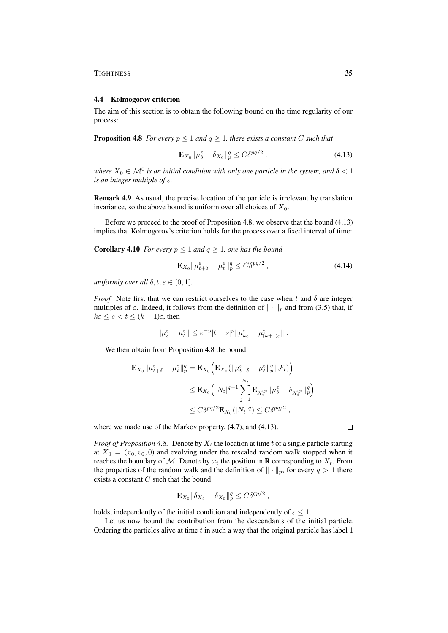#### 4.4 Kolmogorov criterion

The aim of this section is to obtain the following bound on the time regularity of our process:

**Proposition 4.8** *For every*  $p \leq 1$  *and*  $q \geq 1$ *, there exists a constant* C *such that* 

$$
\mathbf{E}_{X_0} \|\mu_{\delta}^{\varepsilon} - \delta_{X_0}\|_p^q \le C\delta^{pq/2} \,, \tag{4.13}
$$

where  $X_0 \in \mathcal{M}^0$  is an initial condition with only one particle in the system, and  $\delta < 1$ *is an integer multiple of* ε*.*

Remark 4.9 As usual, the precise location of the particle is irrelevant by translation invariance, so the above bound is uniform over all choices of  $X_0$ .

Before we proceed to the proof of Proposition 4.8, we observe that the bound (4.13) implies that Kolmogorov's criterion holds for the process over a fixed interval of time:

**Corollary 4.10** *For every*  $p \leq 1$  *and*  $q \geq 1$ *, one has the bound* 

$$
\mathbf{E}_{X_0} \|\mu_{t+\delta}^{\varepsilon} - \mu_t^{\varepsilon}\|_p^q \le C\delta^{pq/2} \,,\tag{4.14}
$$

*uniformly over all*  $\delta, t, \varepsilon \in [0, 1]$ *.* 

*Proof.* Note first that we can restrict ourselves to the case when t and  $\delta$  are integer multiples of  $\varepsilon$ . Indeed, it follows from the definition of  $\|\cdot\|_p$  and from (3.5) that, if  $k \in \leq s < t \leq (k+1)\varepsilon$ , then

$$
\|\mu_s^\varepsilon-\mu_t^\varepsilon\|\leq \varepsilon^{-p}|t-s|^p\|\mu_{k\varepsilon}^\varepsilon-\mu_{(k+1)\varepsilon}^\varepsilon\|\;.
$$

We then obtain from Proposition 4.8 the bound

$$
\mathbf{E}_{X_0} \|\mu_{t+\delta}^{\varepsilon} - \mu_t^{\varepsilon}\|_p^q = \mathbf{E}_{X_0} \left( \mathbf{E}_{X_0} (\|\mu_{t+\delta}^{\varepsilon} - \mu_t^{\varepsilon}\|_p^q | \mathcal{F}_t) \right)
$$
  
\n
$$
\leq \mathbf{E}_{X_0} \left( |N_t|^{q-1} \sum_{j=1}^{N_t} \mathbf{E}_{X_t^{(j)}} \|\mu_{\delta}^{\varepsilon} - \delta_{X_t^{(j)}} \|_p^q \right)
$$
  
\n
$$
\leq C \delta^{pq/2} \mathbf{E}_{X_0} (|N_t|^q) \leq C \delta^{pq/2} ,
$$

where we made use of the Markov property, (4.7), and (4.13).

*Proof of Proposition 4.8.* Denote by  $X_t$  the location at time t of a single particle starting at  $X_0 = (x_0, v_0, 0)$  and evolving under the rescaled random walk stopped when it reaches the boundary of M. Denote by  $x_t$  the position in **R** corresponding to  $X_t$ . From the properties of the random walk and the definition of  $\|\cdot\|_p$ , for every  $q > 1$  there exists a constant  $C$  such that the bound

$$
\mathbf{E}_{X_0} \|\delta_{X_\delta} - \delta_{X_0}\|_p^q \leq C \delta^{qp/2} \;,
$$

holds, independently of the initial condition and independently of  $\varepsilon \leq 1$ .

Let us now bound the contribution from the descendants of the initial particle. Ordering the particles alive at time  $t$  in such a way that the original particle has label  $1$ 

 $\Box$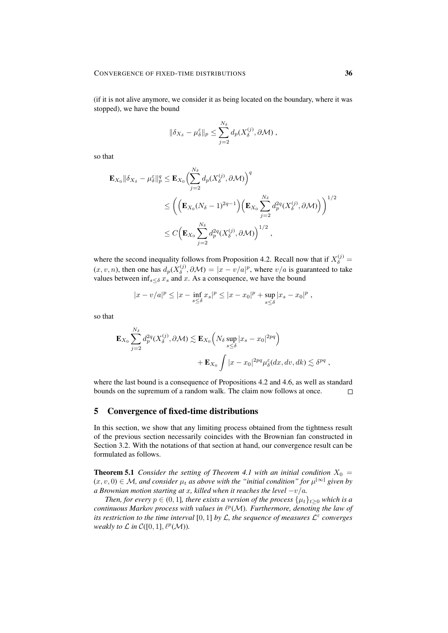(if it is not alive anymore, we consider it as being located on the boundary, where it was stopped), we have the bound

$$
\|\delta_{X_{\delta}}-\mu_{\delta}^{\varepsilon}\|_{p}\leq \sum_{j=2}^{N_{\delta}}d_{p}(X_{\delta}^{(j)},\partial\mathcal{M}),
$$

so that

$$
\mathbf{E}_{X_0} \|\delta_{X_{\delta}} - \mu_{\delta}^{\varepsilon}\|_p^q \le \mathbf{E}_{X_0} \Biggl( \sum_{j=2}^{N_{\delta}} d_p(X_{\delta}^{(j)}, \partial \mathcal{M}) \Biggr)^q
$$
  
\$\le \left( \left( \mathbf{E}\_{X\_0} (N\_{\delta} - 1)^{2q-1} \right) \left( \mathbf{E}\_{X\_0} \sum\_{j=2}^{N\_{\delta}} d\_p^{2q}(X\_{\delta}^{(j)}, \partial \mathcal{M}) \right) \right)^{1/2}\$  
\$\le C \left( \mathbf{E}\_{X\_0} \sum\_{j=2}^{N\_{\delta}} d\_p^{2q}(X\_{\delta}^{(j)}, \partial \mathcal{M}) \right)^{1/2}\$,

where the second inequality follows from Proposition 4.2. Recall now that if  $X_{\delta}^{(j)} =$  $(x, v, n)$ , then one has  $d_p(X_{\delta}^{(j)}, \partial \mathcal{M}) = |x - v/a|^p$ , where  $v/a$  is guaranteed to take values between  $\inf_{s \leq \delta} x_s$  and x. As a consequence, we have the bound

$$
|x - v/a|^p \le |x - \inf_{s \le \delta} x_s|^p \le |x - x_0|^p + \sup_{s \le \delta} |x_s - x_0|^p,
$$

so that

$$
\mathbf{E}_{X_0} \sum_{j=2}^{N_{\delta}} d_p^{2q}(X_{\delta}^{(j)}, \partial \mathcal{M}) \lesssim \mathbf{E}_{X_0} \Big( N_{\delta} \sup_{s \leq \delta} |x_s - x_0|^{2pq} \Big) \n+ \mathbf{E}_{X_0} \int |x - x_0|^{2pq} \mu_{\delta}^{\varepsilon}(dx, dv, dk) \lesssim \delta^{pq} ,
$$

where the last bound is a consequence of Propositions 4.2 and 4.6, as well as standard bounds on the supremum of a random walk. The claim now follows at once.  $\Box$ 

# 5 Convergence of fixed-time distributions

In this section, we show that any limiting process obtained from the tightness result of the previous section necessarily coincides with the Brownian fan constructed in Section 3.2. With the notations of that section at hand, our convergence result can be formulated as follows.

**Theorem 5.1** *Consider the setting of Theorem 4.1 with an initial condition*  $X_0 =$  $(x, v, 0) \in M$ , and consider  $\mu_t$  as above with the "initial condition" for  $\mu^{[\infty]}$  given by *a Brownian motion starting at x, killed when it reaches the level*  $-v/a$ *.* 

*Then, for every*  $p \in (0, 1]$ *, there exists a version of the process*  $\{\mu_t\}_{t>0}$  *which is a* continuous Markov process with values in  $\ell^p(\mathcal{M})$ . Furthermore, denoting the law of *its restriction to the time interval* [0, 1] *by* L*, the sequence of measures* L ε *converges weakly to*  $\mathcal L$  *in*  $\mathcal C([0,1], \ell^p(\mathcal M))$ *.*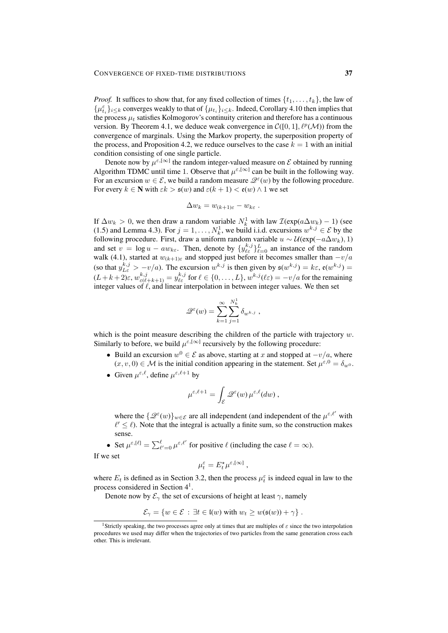*Proof.* It suffices to show that, for any fixed collection of times  $\{t_1, \ldots, t_k\}$ , the law of  $\{\mu_{t_i}^{\varepsilon}\}_{i \leq k}$  converges weakly to that of  $\{\mu_{t_i}\}_{i \leq k}$ . Indeed, Corollary 4.10 then implies that the process  $\mu_t$  satisfies Kolmogorov's continuity criterion and therefore has a continuous version. By Theorem 4.1, we deduce weak convergence in  $\mathcal{C}([0,1], \ell^p(\mathcal{M}))$  from the convergence of marginals. Using the Markov property, the superposition property of the process, and Proposition 4.2, we reduce ourselves to the case  $k = 1$  with an initial condition consisting of one single particle.

Denote now by  $\mu^{\epsilon,[\infty]}$  the random integer-valued measure on  $\mathcal E$  obtained by running Algorithm TDMC until time 1. Observe that  $\mu^{\epsilon,[\infty]}$  can be built in the following way. For an excursion  $w \in \mathcal{E}$ , we build a random measure  $\mathcal{Q}^{\varepsilon}(w)$  by the following procedure. For every  $k \in \mathbb{N}$  with  $\epsilon k > \mathfrak{s}(w)$  and  $\varepsilon(k+1) < \mathfrak{e}(w) \wedge 1$  we set

$$
\Delta w_k = w_{(k+1)\varepsilon} - w_{k\varepsilon} .
$$

If  $\Delta w_k > 0$ , we then draw a random variable  $N_k^1$  with law  $\mathcal{I}(\exp(a\Delta w_k) - 1)$  (see (1.5) and Lemma 4.3). For  $j = 1, ..., N_k^1$ , we build i.i.d. excursions  $w^{k,j} \in \mathcal{E}$  by the following procedure. First, draw a uniform random variable  $u \sim \mathcal{U}(\exp(-a\Delta w_k), 1)$ and set  $v = \log u - aw_{k\epsilon}$ . Then, denote by  $\{y_{\ell\epsilon}^{k,j}\}_{\ell=0}^L$  an instance of the random walk (4.1), started at  $w_{(k+1)\varepsilon}$  and stopped just before it becomes smaller than  $-v/a$ (so that  $y_{L\varepsilon}^{k,j} > -v/a$ ). The excursion  $w^{k,j}$  is then given by  $\mathfrak{s}(w^{k,j}) = k\varepsilon$ ,  $\mathfrak{e}(w^{k,j}) =$  $(L+k+2)\varepsilon$ ,  $w_{\varepsilon(\ell+k+1)}^{k,j} = y_{\ell\varepsilon}^{k,j}$  for  $\ell \in \{0,\ldots,L\}$ ,  $w^{k,j}(\ell\varepsilon) = -v/a$  for the remaining integer values of  $\ell$ , and linear interpolation in between integer values. We then set

$$
\mathscr{Q}^{\varepsilon}(w) = \sum_{k=1}^{\infty} \sum_{j=1}^{N_k^1} \delta_{w^{k,j}} ,
$$

which is the point measure describing the children of the particle with trajectory  $w$ . Similarly to before, we build  $\mu^{\epsilon,[\infty]}$  recursively by the following procedure:

- Build an excursion  $w^0 \in \mathcal{E}$  as above, starting at x and stopped at  $-v/a$ , where  $(x, v, 0) \in \mathcal{M}$  is the initial condition appearing in the statement. Set  $\mu^{\varepsilon, 0} = \delta_{w^0}$ .
- Given  $\mu^{\varepsilon,\ell}$ , define  $\mu^{\varepsilon,\ell+1}$  by

$$
\mu^{\varepsilon,\ell+1} = \int_{\mathcal{E}} \mathscr{Q}^{\varepsilon}(w) \, \mu^{\varepsilon,\ell}(dw) \, ,
$$

where the  $\{\mathcal{Q}^{\epsilon}(w)\}_{w \in \mathcal{E}}$  are all independent (and independent of the  $\mu^{\epsilon,\ell'}$  with  $\ell' \leq \ell$ ). Note that the integral is actually a finite sum, so the construction makes sense.

• Set  $\mu^{\varepsilon,[\ell]} = \sum_{\ell'=0}^{\ell} \mu^{\varepsilon,\ell'}$  for positive  $\ell$  (including the case  $\ell = \infty$ ).

If we set

$$
\mu^\varepsilon_t=E_t^\star\mu^{\varepsilon,[\infty]}\ ,
$$

where  $E_t$  is defined as in Section 3.2, then the process  $\mu_t^{\epsilon}$  is indeed equal in law to the process considered in Section 4<sup>1</sup>.

Denote now by  $\mathcal{E}_{\gamma}$  the set of excursions of height at least  $\gamma$ , namely

$$
\mathcal{E}_{\gamma} = \{ w \in \mathcal{E} : \exists t \in \mathfrak{l}(w) \text{ with } w_t \ge w(\mathfrak{s}(w)) + \gamma \} .
$$

<sup>&</sup>lt;sup>1</sup>Strictly speaking, the two processes agree only at times that are multiples of  $\varepsilon$  since the two interpolation procedures we used may differ when the trajectories of two particles from the same generation cross each other. This is irrelevant.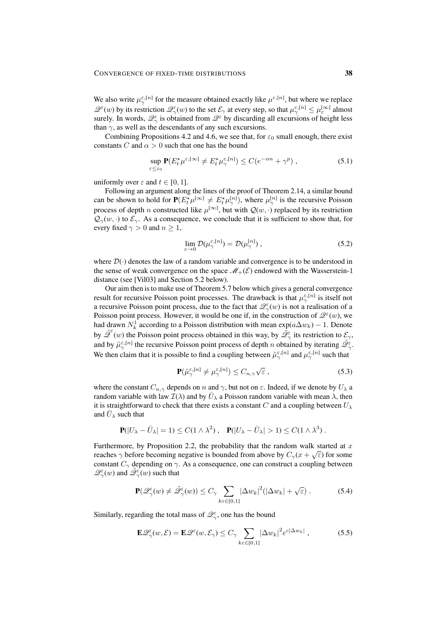We also write  $\mu_{\gamma}^{\varepsilon,[n]}$  for the measure obtained exactly like  $\mu^{\varepsilon,[n]}$ , but where we replace  $\mathscr{Q}^{\varepsilon}(w)$  by its restriction  $\mathscr{Q}^{\varepsilon}_{\gamma}(w)$  to the set  $\mathcal{E}_{\gamma}$  at every step, so that  $\mu_{\gamma}^{\varepsilon,[n]} \leq \mu_{\varepsilon}^{[\infty]}$  almost surely. In words,  $\mathcal{Q}_{\gamma}^{\varepsilon}$  is obtained from  $\mathcal{Q}^{\varepsilon}$  by discarding all excursions of height less than  $\gamma$ , as well as the descendants of any such excursions.

Combining Propositions 4.2 and 4.6, we see that, for  $\varepsilon_0$  small enough, there exist constants C and  $\alpha > 0$  such that one has the bound

$$
\sup_{\varepsilon \le \varepsilon_0} \mathbf{P}(E_t^* \mu^{\varepsilon, [\infty]} \ne E_t^* \mu_\gamma^{\varepsilon, [n]}) \le C(e^{-\alpha n} + \gamma^p) ,\tag{5.1}
$$

uniformly over  $\varepsilon$  and  $t \in [0, 1]$ .

Following an argument along the lines of the proof of Theorem 2.14, a similar bound can be shown to hold for  $P(E_t^* \mu^{[\infty]} \neq E_t^* \mu^{[n]}_1)$ , where  $\mu^{[n]}_2$  is the recursive Poisson process of depth *n* constructed like  $\mu^{\lfloor \infty \rfloor}$ , but with  $\mathcal{Q}(w, \cdot)$  replaced by its restriction  $\mathcal{Q}_{\gamma}(w, \cdot)$  to  $\mathcal{E}_{\gamma}$ . As a consequence, we conclude that it is sufficient to show that, for every fixed  $\gamma > 0$  and  $n \geq 1$ ,

$$
\lim_{\varepsilon \to 0} \mathcal{D}(\mu_{\gamma}^{\varepsilon, [n]}) = \mathcal{D}(\mu_{\gamma}^{[n]}), \tag{5.2}
$$

where  $\mathcal{D}(\cdot)$  denotes the law of a random variable and convergence is to be understood in the sense of weak convergence on the space  $\mathcal{M}_+(\mathcal{E})$  endowed with the Wasserstein-1 distance (see [Vil03] and Section 5.2 below).

Our aim then is to make use of Theorem 5.7 below which gives a general convergence result for recursive Poisson point processes. The drawback is that  $\mu_{\gamma}^{\varepsilon,[n]}$  is itself not a recursive Poisson point process, due to the fact that  $\mathscr{Q}^{\epsilon}_{\gamma}(w)$  is not a realisation of a Poisson point process. However, it would be one if, in the construction of  $\mathscr{Q}^{\epsilon}(w)$ , we had drawn  $N_k^1$  according to a Poisson distribution with mean  $\exp(a\Delta w_k) - 1$ . Denote by  $\tilde{\mathscr{Q}}^{\varepsilon}(w)$  the Poisson point process obtained in this way, by  $\tilde{\mathscr{Q}}^{\varepsilon}_{\gamma}$  its restriction to  $\mathcal{E}_{\gamma}$ , and by  $\tilde{\mu}_{\gamma}^{\varepsilon,[n]}$  the recursive Poisson point process of depth n obtained by iterating  $\tilde{\mathcal{Q}}_{\gamma}^{\varepsilon}$ . We then claim that it is possible to find a coupling between  $\tilde{\mu}_{\gamma}^{\varepsilon,[n]}$  and  $\mu_{\gamma}^{\varepsilon,[n]}$  such that

$$
\mathbf{P}(\tilde{\mu}_{\gamma}^{\varepsilon,[n]} \neq \mu_{\gamma}^{\varepsilon,[n]}) \leq C_{n,\gamma} \sqrt{\varepsilon} ,\qquad(5.3)
$$

where the constant  $C_{n,\gamma}$  depends on n and  $\gamma$ , but not on  $\varepsilon$ . Indeed, if we denote by  $U_{\lambda}$  a random variable with law  $\mathcal{I}(\lambda)$  and by  $\bar{U}_{\lambda}$  a Poisson random variable with mean  $\lambda$ , then it is straightforward to check that there exists a constant C and a coupling between  $U_{\lambda}$ and  $\bar{U}_{\lambda}$  such that

$$
\mathbf{P}(|U_{\lambda} - \bar{U}_{\lambda}| = 1) \le C(1 \wedge \lambda^2), \quad \mathbf{P}(|U_{\lambda} - \bar{U}_{\lambda}| > 1) \le C(1 \wedge \lambda^3).
$$

Furthermore, by Proposition 2.2, the probability that the random walk started at x reaches  $\gamma$  before becoming negative is bounded from above by  $C_{\gamma}(x+\sqrt{\varepsilon})$  for some constant  $C_{\gamma}$  depending on  $\gamma$ . As a consequence, one can construct a coupling between  $\mathscr{Q}_{\gamma}(w)$  and  $\overline{\mathscr{Q}}_{\gamma}(w)$  such that

$$
\mathbf{P}(\mathcal{Q}_{\gamma}^{\varepsilon}(w) \neq \tilde{\mathcal{Q}}_{\gamma}^{\varepsilon}(w)) \leq C_{\gamma} \sum_{k \varepsilon \in [0,1]} |\Delta w_{k}|^{2} (|\Delta w_{k}| + \sqrt{\varepsilon}). \tag{5.4}
$$

Similarly, regarding the total mass of  $\mathscr{Q}_{\gamma}^{\varepsilon}$ , one has the bound

$$
\mathbf{E}\mathscr{Q}_{\gamma}^{\varepsilon}(w,\mathcal{E}) = \mathbf{E}\mathscr{Q}^{\varepsilon}(w,\mathcal{E}_{\gamma}) \leq C_{\gamma} \sum_{k\varepsilon \in [0,1]} |\Delta w_{k}|^{2} e^{c|\Delta w_{k}|}, \qquad (5.5)
$$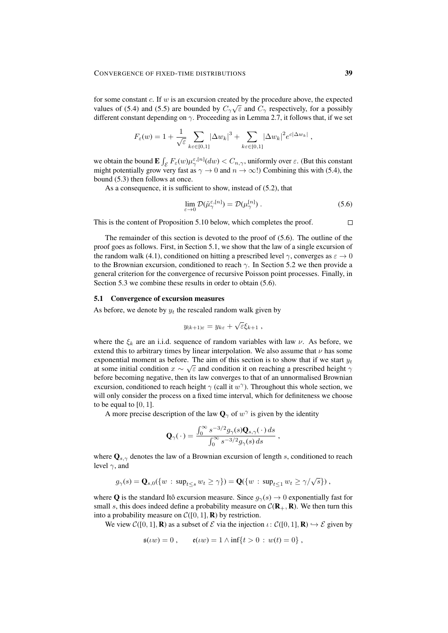for some constant  $c$ . If  $w$  is an excursion created by the procedure above, the expected values of (5.4) and (5.5) are bounded by  $C_{\gamma}\sqrt{\varepsilon}$  and  $C_{\gamma}$  respectively, for a possibly different constant depending on  $\gamma$ . Proceeding as in Lemma 2.7, it follows that, if we set

$$
F_{\varepsilon}(w) = 1 + \frac{1}{\sqrt{\varepsilon}} \sum_{k \in \{0,1\}} |\Delta w_k|^3 + \sum_{k \in \{0,1\}} |\Delta w_k|^2 e^{c|\Delta w_k|},
$$

we obtain the bound  $\mathbf{E}\int_{\mathcal{E}} F_{\varepsilon}(w)\mu_{\gamma}^{\varepsilon,[n]}(dw) < C_{n,\gamma}$ , uniformly over  $\varepsilon$ . (But this constant might potentially grow very fast as  $\gamma \to 0$  and  $n \to \infty$ !) Combining this with (5.4), the bound (5.3) then follows at once.

As a consequence, it is sufficient to show, instead of (5.2), that

$$
\lim_{\varepsilon \to 0} \mathcal{D}(\tilde{\mu}_{\gamma}^{\varepsilon, [n]}) = \mathcal{D}(\mu_{\gamma}^{[n]}) . \tag{5.6}
$$

This is the content of Proposition 5.10 below, which completes the proof.

The remainder of this section is devoted to the proof of (5.6). The outline of the proof goes as follows. First, in Section 5.1, we show that the law of a single excursion of the random walk (4.1), conditioned on hitting a prescribed level  $\gamma$ , converges as  $\varepsilon \to 0$ to the Brownian excursion, conditioned to reach  $\gamma$ . In Section 5.2 we then provide a general criterion for the convergence of recursive Poisson point processes. Finally, in Section 5.3 we combine these results in order to obtain  $(5.6)$ .

#### 5.1 Convergence of excursion measures

As before, we denote by  $y_t$  the rescaled random walk given by

$$
y_{(k+1)\varepsilon} = y_{k\varepsilon} + \sqrt{\varepsilon} \xi_{k+1} ,
$$

where the  $\xi_k$  are an i.i.d. sequence of random variables with law  $\nu$ . As before, we extend this to arbitrary times by linear interpolation. We also assume that  $\nu$  has some exponential moment as before. The aim of this section is to show that if we start  $y_t$ at some initial condition  $x \sim \sqrt{\varepsilon}$  and condition it on reaching a prescribed height  $\gamma$ before becoming negative, then its law converges to that of an unnormalised Brownian excursion, conditioned to reach height  $\gamma$  (call it  $w^{\gamma}$ ). Throughout this whole section, we will only consider the process on a fixed time interval, which for definiteness we choose to be equal to  $[0, 1]$ .

A more precise description of the law  $\mathbf{Q}_{\gamma}$  of  $w^{\gamma}$  is given by the identity

$$
\mathbf{Q}_{\gamma}(\cdot) = \frac{\int_0^\infty s^{-3/2} g_{\gamma}(s) \mathbf{Q}_{s,\gamma}(\cdot) ds}{\int_0^\infty s^{-3/2} g_{\gamma}(s) ds},
$$

where  $\mathbf{Q}_{s,\gamma}$  denotes the law of a Brownian excursion of length s, conditioned to reach level  $\gamma$ , and

$$
g_{\gamma}(s) = \mathbf{Q}_{s,0}(\{w \,:\, \sup_{t \leq s} w_t \geq \gamma\}) = \mathbf{Q}(\{w \,:\, \sup_{t \leq 1} w_t \geq \gamma/\sqrt{s}\}),
$$

where Q is the standard Itô excursion measure. Since  $g_{\gamma}(s) \rightarrow 0$  exponentially fast for small s, this does indeed define a probability measure on  $\mathcal{C}(\mathbf{R}_+, \mathbf{R})$ . We then turn this into a probability measure on  $C([0, 1], \mathbf{R})$  by restriction.

We view  $C([0, 1], \mathbf{R})$  as a subset of E via the injection  $\iota: C([0, 1], \mathbf{R}) \hookrightarrow \mathcal{E}$  given by

$$
\mathfrak{s}(uw) = 0
$$
,  $\mathfrak{e}(uw) = 1 \wedge \inf\{t > 0 : w(t) = 0\}$ ,

 $\Box$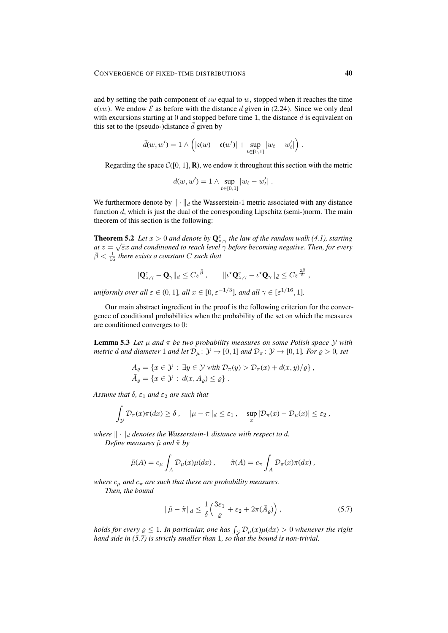and by setting the path component of  $\iota w$  equal to w, stopped when it reaches the time  $e(uw)$ . We endow  $\mathcal E$  as before with the distance d given in (2.24). Since we only deal with excursions starting at 0 and stopped before time 1, the distance  $d$  is equivalent on this set to the (pseudo-)distance  $\bar{d}$  given by

$$
\bar{d}(w, w') = 1 \wedge \left( |\mathfrak{e}(w) - \mathfrak{e}(w')| + \sup_{t \in [0,1]} |w_t - w'_t| \right).
$$

Regarding the space  $C([0, 1], \mathbf{R})$ , we endow it throughout this section with the metric

$$
d(w, w') = 1 \wedge \sup_{t \in [0,1]} |w_t - w'_t|.
$$

We furthermore denote by  $\|\cdot\|_d$  the Wasserstein-1 metric associated with any distance function  $d$ , which is just the dual of the corresponding Lipschitz (semi-)norm. The main theorem of this section is the following:

**Theorem 5.2** *Let*  $x > 0$  *and denote by*  $\mathbf{Q}_{z, \gamma}^{\varepsilon}$  *the law of the random walk* (4.1), starting *at* z = εx *and conditioned to reach level* γ *before becoming negative. Then, for every*  $\bar{\beta} < \frac{1}{16}$  there exists a constant C such that

$$
\|\mathbf{Q}_{z,\gamma}^{\varepsilon}-\mathbf{Q}_{\gamma}\|_{d}\leq C\varepsilon^{\bar{\beta}}\,,\qquad\|\iota^{\star}\mathbf{Q}_{z,\gamma}^{\varepsilon}-\iota^{\star}\mathbf{Q}_{\gamma}\|_{\bar{d}}\leq C\varepsilon^{\frac{2\bar{\beta}}{5}}\,,
$$

*uniformly over all*  $\varepsilon \in (0,1]$ *, all*  $x \in [0, \varepsilon^{-1/3}]$ *, and all*  $\gamma \in [\varepsilon^{1/16}, 1]$ *.* 

Our main abstract ingredient in the proof is the following criterion for the convergence of conditional probabilities when the probability of the set on which the measures are conditioned converges to 0:

**Lemma 5.3** Let  $\mu$  and  $\pi$  be two probability measures on some Polish space Y with *metric* d and diameter 1 and let  $\mathcal{D}_{\mu}$ :  $\mathcal{Y} \to [0, 1]$  and  $\mathcal{D}_{\pi}$ :  $\mathcal{Y} \to [0, 1]$ *. For*  $\varrho > 0$ *, set* 

$$
A_{\varrho} = \{x \in \mathcal{Y} : \exists y \in \mathcal{Y} \text{ with } \mathcal{D}_{\pi}(y) > \mathcal{D}_{\pi}(x) + d(x, y)/\varrho\},\,
$$
  

$$
\bar{A}_{\varrho} = \{x \in \mathcal{Y} : d(x, A_{\varrho}) \leq \varrho\}.
$$

*Assume that*  $\delta$ ,  $\varepsilon_1$  *and*  $\varepsilon_2$  *are such that* 

$$
\int_{\mathcal{Y}} \mathcal{D}_{\pi}(x)\pi(dx) \geq \delta \,, \quad \|\mu - \pi\|_{d} \leq \varepsilon_{1} \,, \quad \sup_{x} |\mathcal{D}_{\pi}(x) - \mathcal{D}_{\mu}(x)| \leq \varepsilon_{2} \,,
$$

*where*  $\|\cdot\|_d$  *denotes the Wasserstein-1 distance with respect to d.* 

*Define measures*  $\tilde{\mu}$  *and*  $\tilde{\pi}$  *by* 

$$
\tilde{\mu}(A) = c_{\mu} \int_{A} \mathcal{D}_{\mu}(x) \mu(dx) , \qquad \tilde{\pi}(A) = c_{\pi} \int_{A} \mathcal{D}_{\pi}(x) \pi(dx) ,
$$

*where*  $c_{\mu}$  *and*  $c_{\pi}$  *are such that these are probability measures.* 

*Then, the bound*

$$
\|\tilde{\mu} - \tilde{\pi}\|_{d} \le \frac{1}{\delta} \left( \frac{3\varepsilon_1}{\varrho} + \varepsilon_2 + 2\pi(\bar{A}_{\varrho}) \right),\tag{5.7}
$$

*holds for every*  $\varrho \leq 1$ . In particular, one has  $\int_{\mathcal{Y}} \mathcal{D}_{\mu}(x) \mu(dx) > 0$  whenever the right *hand side in (5.7) is strictly smaller than* 1*, so that the bound is non-trivial.*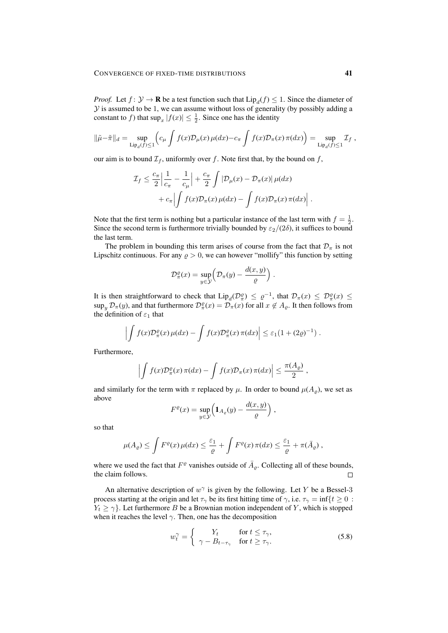*Proof.* Let  $f: \mathcal{Y} \to \mathbf{R}$  be a test function such that  $Lip_d(f) \leq 1$ . Since the diameter of  $Y$  is assumed to be 1, we can assume without loss of generality (by possibly adding a constant to f) that  $\sup_x |f(x)| \leq \frac{1}{2}$ . Since one has the identity

$$
\|\tilde{\mu}-\tilde{\pi}\|_{d} = \sup_{\text{Lip}_{d}(f)\leq 1} \left(c_{\mu} \int f(x) \mathcal{D}_{\mu}(x) \mu(dx) - c_{\pi} \int f(x) \mathcal{D}_{\pi}(x) \pi(dx)\right) = \sup_{\text{Lip}_{d}(f)\leq 1} \mathcal{I}_{f},
$$

our aim is to bound  $\mathcal{I}_f$ , uniformly over f. Note first that, by the bound on f,

$$
\mathcal{I}_f \leq \frac{c_\pi}{2} \left| \frac{1}{c_\pi} - \frac{1}{c_\mu} \right| + \frac{c_\pi}{2} \int |\mathcal{D}_\mu(x) - \mathcal{D}_\pi(x)| \mu(dx) \n+ c_\pi \left| \int f(x) \mathcal{D}_\pi(x) \mu(dx) - \int f(x) \mathcal{D}_\pi(x) \pi(dx) \right|.
$$

Note that the first term is nothing but a particular instance of the last term with  $f = \frac{1}{2}$ . Since the second term is furthermore trivially bounded by  $\varepsilon_2/(2\delta)$ , it suffices to bound the last term.

The problem in bounding this term arises of course from the fact that  $\mathcal{D}_{\pi}$  is not Lipschitz continuous. For any  $\rho > 0$ , we can however "mollify" this function by setting

$$
\mathcal{D}_{\pi}^{\varrho}(x) = \sup_{y \in \mathcal{Y}} \left( \mathcal{D}_{\pi}(y) - \frac{d(x, y)}{\varrho} \right).
$$

It is then straightforward to check that  $\text{Lip}_d(\mathcal{D}_\pi^{\varrho}) \leq \varrho^{-1}$ , that  $\mathcal{D}_\pi(x) \leq \mathcal{D}_\pi^{\varrho}(x) \leq$  $\sup_y \mathcal{D}_{\pi}(y)$ , and that furthermore  $\mathcal{D}_{\pi}^{\rho}(x) = \mathcal{D}_{\pi}(x)$  for all  $x \notin A_{\rho}$ . It then follows from the definition of  $\varepsilon_1$  that

$$
\left| \int f(x) \mathcal{D}^{\varrho}_{\pi}(x) \mu(dx) - \int f(x) \mathcal{D}^{\varrho}_{\pi}(x) \pi(dx) \right| \leq \varepsilon_1 (1 + (2\varrho)^{-1}).
$$

Furthermore,

$$
\left| \int f(x) \mathcal{D}^{\varrho}_{\pi}(x) \, \pi(dx) - \int f(x) \mathcal{D}_{\pi}(x) \, \pi(dx) \right| \leq \frac{\pi(A_{\varrho})}{2} \,,
$$

and similarly for the term with  $\pi$  replaced by  $\mu$ . In order to bound  $\mu(A_{\rho})$ , we set as above

$$
F^{\varrho}(x) = \sup_{y \in \mathcal{Y}} \left( \mathbf{1}_{A_{\varrho}}(y) - \frac{d(x, y)}{\varrho} \right),
$$

so that

$$
\mu(A_{\varrho}) \leq \int F^{\varrho}(x) \mu(dx) \leq \frac{\varepsilon_1}{\varrho} + \int F^{\varrho}(x) \pi(dx) \leq \frac{\varepsilon_1}{\varrho} + \pi(\bar{A}_{\varrho}),
$$

where we used the fact that  $F^{\varrho}$  vanishes outside of  $\overline{A}_{\varrho}$ . Collecting all of these bounds, the claim follows.  $\Box$ 

An alternative description of  $w^{\gamma}$  is given by the following. Let Y be a Bessel-3 process starting at the origin and let  $\tau_{\gamma}$  be its first hitting time of  $\gamma$ , i.e.  $\tau_{\gamma} = \inf\{t \ge 0 :$  $Y_t \geq \gamma$ . Let furthermore B be a Brownian motion independent of Y, which is stopped when it reaches the level  $\gamma$ . Then, one has the decomposition

$$
w_t^{\gamma} = \begin{cases} Y_t & \text{for } t \le \tau_{\gamma}, \\ \gamma - B_{t-\tau_{\gamma}} & \text{for } t \ge \tau_{\gamma}. \end{cases}
$$
(5.8)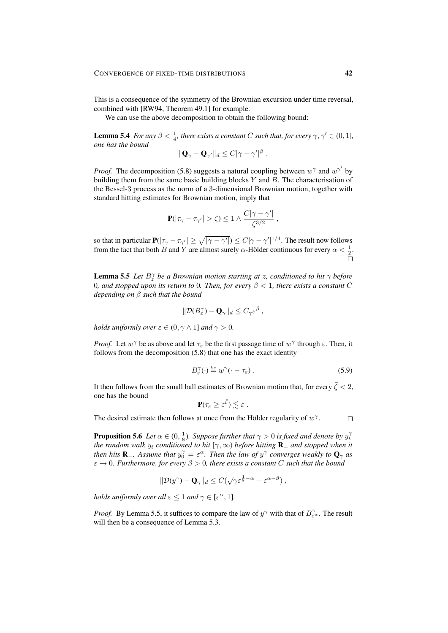This is a consequence of the symmetry of the Brownian excursion under time reversal, combined with [RW94, Theorem 49.1] for example.

We can use the above decomposition to obtain the following bound:

**Lemma 5.4** *For any*  $\beta < \frac{1}{4}$ *, there exists a constant C such that, for every*  $\gamma, \gamma' \in (0, 1]$ *, one has the bound*

$$
\|\mathbf{Q}_{\gamma}-\mathbf{Q}_{\gamma'}\|_d\leq C|\gamma-\gamma'|^{\beta}.
$$

*Proof.* The decomposition (5.8) suggests a natural coupling between  $w^{\gamma}$  and  $w^{\gamma'}$  by building them from the same basic building blocks  $Y$  and  $B$ . The characterisation of the Bessel-3 process as the norm of a 3-dimensional Brownian motion, together with standard hitting estimates for Brownian motion, imply that

$$
\mathbf{P}(|\tau_{\gamma}-\tau_{\gamma'}|>\zeta)\leq 1\wedge \frac{C|\gamma-\gamma'|}{\zeta^{3/2}}\;,
$$

so that in particular  $P(|\tau_{\gamma}-\tau_{\gamma'}|\geq\sqrt{|\gamma-\gamma'|})\leq C|\gamma-\gamma'|^{1/4}$ . The result now follows from the fact that both B and Y are almost surely  $\alpha$ -Hölder continuous for every  $\alpha < \frac{1}{2}$ .

**Lemma 5.5** *Let*  $B_{z}^{\gamma}$  *be a Brownian motion starting at z, conditioned to hit*  $\gamma$  *before* 0*, and stopped upon its return to* 0*. Then, for every*  $\beta$  < 1*, there exists a constant* C *depending on* β *such that the bound*

$$
\|\mathcal{D}(B_{\varepsilon}^{\gamma})-\mathbf{Q}_{\gamma}\|_{d}\leq C_{\gamma}\varepsilon^{\beta},
$$

*holds uniformly over*  $\varepsilon \in (0, \gamma \wedge 1]$  *and*  $\gamma > 0$ *.* 

*Proof.* Let  $w^{\gamma}$  be as above and let  $\tau_{\varepsilon}$  be the first passage time of  $w^{\gamma}$  through  $\varepsilon$ . Then, it follows from the decomposition (5.8) that one has the exact identity

$$
B_{\varepsilon}^{\gamma}(\cdot) \stackrel{\text{law}}{=} w^{\gamma}(\cdot - \tau_{\varepsilon}) \ . \tag{5.9}
$$

It then follows from the small ball estimates of Brownian motion that, for every  $\bar{\zeta}$  < 2, one has the bound

$$
\mathbf{P}(\tau_{\varepsilon}\geq \varepsilon^{\bar{\zeta}})\lesssim \varepsilon.
$$

The desired estimate then follows at once from the Hölder regularity of  $w^{\gamma}$ .

 $\Box$ 

**Proposition 5.6** Let  $\alpha \in (0, \frac{1}{8})$ . Suppose further that  $\gamma > 0$  is fixed and denote by  $y_t^{\gamma}$ *the random walk*  $y_t$  *conditioned to hit*  $[\gamma, \infty)$  *before hitting*  $\mathbf{R}_-$  *and stopped when it then hits*  $\mathbf{R}_-$ *. Assume that*  $y_0^\gamma = \varepsilon^\alpha$ *. Then the law of*  $y^\gamma$  *converges weakly to*  $\mathbf{Q}_\gamma$  *as*  $\varepsilon \to 0$ *. Furthermore, for every*  $\beta > 0$ *, there exists a constant* C *such that the bound* 

$$
\|\mathcal{D}(y^{\gamma})-\mathbf{Q}_{\gamma}\|_{d}\leq C(\sqrt{\gamma}\varepsilon^{\frac{1}{8}-\alpha}+\varepsilon^{\alpha-\beta})\;,
$$

*holds uniformly over all*  $\varepsilon \leq 1$  *and*  $\gamma \in [\varepsilon^\alpha, 1]$ *.* 

*Proof.* By Lemma 5.5, it suffices to compare the law of  $y^{\gamma}$  with that of  $B_{\varepsilon^{\alpha}}^{\gamma}$ . The result will then be a consequence of Lemma 5.3.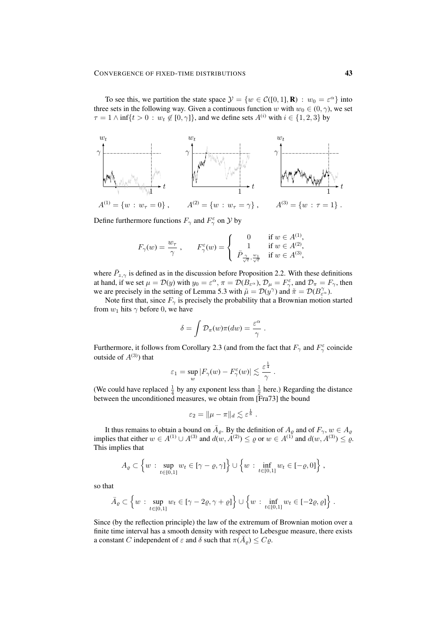To see this, we partition the state space  $\mathcal{Y} = \{w \in \mathcal{C}([0,1], \mathbf{R}) : w_0 = \varepsilon^{\alpha}\}\$ into three sets in the following way. Given a continuous function w with  $w_0 \in (0, \gamma)$ , we set  $\tau = 1 \wedge \inf\{t > 0 : w_t \notin [0, \gamma]\}\$ , and we define sets  $A^{(i)}$  with  $i \in \{1, 2, 3\}$  by



Define furthermore functions  $F_{\gamma}$  and  $F_{\gamma}^{\varepsilon}$  on  $\mathcal{Y}$  by

$$
F_{\gamma}(w) = \frac{w_{\tau}}{\gamma} , \qquad F_{\gamma}^{\varepsilon}(w) = \begin{cases} 0 & \text{if } w \in A^{(1)}, \\ 1 & \text{if } w \in A^{(2)}, \\ \bar{P}_{\frac{\gamma}{\sqrt{\varepsilon}}}, \frac{w_{1}}{\sqrt{\varepsilon}} & \text{if } w \in A^{(3)}, \end{cases}
$$

where  $\bar{P}_{z,\gamma}$  is defined as in the discussion before Proposition 2.2. With these definitions at hand, if we set  $\mu = \mathcal{D}(y)$  with  $y_0 = \varepsilon^{\alpha}, \pi = \mathcal{D}(B_{\varepsilon^{\alpha}}), \mathcal{D}_{\mu} = F_{\gamma}^{\varepsilon}$ , and  $\mathcal{D}_{\pi} = F_{\gamma}$ , then we are precisely in the setting of Lemma 5.3 with  $\tilde{\mu} = \mathcal{D}(y^{\gamma})$  and  $\tilde{\pi} = \mathcal{D}(B_{\varepsilon}^{\gamma})$ .

Note first that, since  $F_{\gamma}$  is precisely the probability that a Brownian motion started from  $w_1$  hits  $\gamma$  before 0, we have

$$
\delta = \int \mathcal{D}_{\pi}(w)\pi(dw) = \frac{\varepsilon^{\alpha}}{\gamma}.
$$

Furthermore, it follows from Corollary 2.3 (and from the fact that  $F_{\gamma}$  and  $F_{\gamma}^{\epsilon}$  coincide outside of  $A^{(3)}$ ) that

$$
\varepsilon_1 = \sup_w |F_{\gamma}(w) - F_{\gamma}^{\varepsilon}(w)| \lesssim \frac{\varepsilon^{\frac{1}{4}}}{\gamma}.
$$

(We could have replaced  $\frac{1}{4}$  by any exponent less than  $\frac{1}{2}$  here.) Regarding the distance between the unconditioned measures, we obtain from [Fra73] the bound

$$
\varepsilon_2 = \|\mu - \pi\|_d \lesssim \varepsilon^{\frac{1}{8}}.
$$

It thus remains to obtain a bound on  $\overline{A}_{\varrho}$ . By the definition of  $A_{\varrho}$  and of  $F_{\gamma}$ ,  $w \in A_{\varrho}$ implies that either  $w \in A^{(1)} \cup A^{(3)}$  and  $d(w, A^{(2)}) \le \varrho$  or  $w \in A^{(1)}$  and  $d(w, A^{(3)}) \le \varrho$ . This implies that

$$
A_{\varrho} \subset \left\{ w : \sup_{t \in [0,1]} w_t \in [\gamma - \varrho, \gamma] \right\} \cup \left\{ w : \inf_{t \in [0,1]} w_t \in [-\varrho, 0] \right\},\
$$

so that

$$
\bar{A}_{\varrho} \subset \left\{ w : \sup_{t \in [0,1]} w_t \in [\gamma - 2\varrho, \gamma + \varrho] \right\} \cup \left\{ w : \inf_{t \in [0,1]} w_t \in [-2\varrho, \varrho] \right\}.
$$

Since (by the reflection principle) the law of the extremum of Brownian motion over a finite time interval has a smooth density with respect to Lebesgue measure, there exists a constant C independent of  $\varepsilon$  and  $\delta$  such that  $\pi(\overline{A}_{\varrho}) \leq C_{\varrho}$ .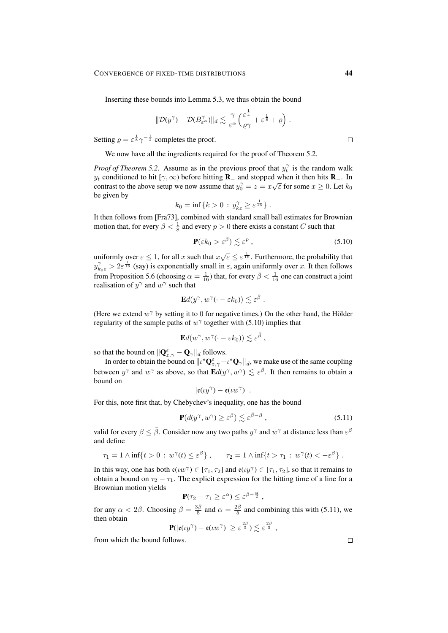Inserting these bounds into Lemma 5.3, we thus obtain the bound

$$
\|\mathcal{D}(y^{\gamma})-\mathcal{D}(B^{\gamma}_{\varepsilon^{\alpha}})\|_{d}\lesssim \frac{\gamma}{\varepsilon^{\alpha}}\Big(\frac{\varepsilon^{\frac{1}{4}}}{\varrho\gamma}+\varepsilon^{\frac{1}{8}}+\varrho\Big).
$$

Setting  $\rho = \varepsilon^{\frac{1}{8}} \gamma^{-\frac{1}{2}}$  completes the proof.

We now have all the ingredients required for the proof of Theorem 5.2.

*Proof of Theorem 5.2.* Assume as in the previous proof that  $y_t^{\gamma}$  is the random walk  $y_t$  conditioned to hit [ $\gamma$ ,  $\infty$ ) before hitting **R**<sub>−</sub> and stopped when it then hits **R**<sub>−</sub>. In contrast to the above setup we now assume that  $y_0^\gamma = z = x\sqrt{\varepsilon}$  for some  $x \ge 0$ . Let  $k_0$ be given by

$$
k_0 = \inf\left\{k > 0 \,:\, y_{k\varepsilon}^\gamma \geq \varepsilon^{\frac{1}{16}}\right\}.
$$

It then follows from [Fra73], combined with standard small ball estimates for Brownian motion that, for every  $\beta < \frac{1}{8}$  and every  $p > 0$  there exists a constant C such that

$$
\mathbf{P}(\varepsilon k_0 > \varepsilon^{\beta}) \lesssim \varepsilon^p , \qquad (5.10)
$$

uniformly over  $\varepsilon \leq 1$ , for all x such that  $x\sqrt{\varepsilon} \leq \varepsilon^{\frac{1}{16}}$ . Furthermore, the probability that  $y_{k_0\varepsilon}^{\gamma} > 2\varepsilon^{\frac{1}{16}}$  (say) is exponentially small in  $\varepsilon$ , again uniformly over x. It then follows from Proposition 5.6 (choosing  $\alpha = \frac{1}{16}$ ) that, for every  $\bar{\beta} < \frac{1}{16}$  one can construct a joint realisation of  $y^{\gamma}$  and  $w^{\gamma}$  such that

$$
\mathbf{E}d(y^{\gamma},w^{\gamma}(\cdot-\varepsilon k_0))\lesssim \varepsilon^{\bar{\beta}}.
$$

(Here we extend  $w^{\gamma}$  by setting it to 0 for negative times.) On the other hand, the Hölder regularity of the sample paths of  $w^{\gamma}$  together with (5.10) implies that

$$
\mathbf{E} d(w^{\gamma}, w^{\gamma}(\cdot - \varepsilon k_0)) \lesssim \varepsilon^{\bar{\beta}} ,
$$

so that the bound on  $\|\mathbf{Q}_{z,\gamma}^{\varepsilon}-\mathbf{Q}_{\gamma}\|_{d}$  follows.

In order to obtain the bound on  $\| \iota^\star \mathbf Q_{z,\gamma}^\varepsilon - \iota^\star \mathbf Q_\gamma\|_{\bar d},$  we make use of the same coupling between  $y^{\gamma}$  and  $w^{\gamma}$  as above, so that  $\mathbf{E}d(y^{\gamma}, w^{\gamma}) \lesssim \varepsilon^{\overline{\beta}}$ . It then remains to obtain a bound on

$$
\left|\mathfrak{e}(\iota y^{\gamma})-\mathfrak{e}(\iota w^{\gamma})\right|.
$$

For this, note first that, by Chebychev's inequality, one has the bound

$$
\mathbf{P}(d(y^{\gamma}, w^{\gamma}) \ge \varepsilon^{\beta}) \lesssim \varepsilon^{\bar{\beta}-\beta} ,\qquad(5.11)
$$

valid for every  $\beta \leq \bar{\beta}$ . Consider now any two paths  $y^{\gamma}$  and  $w^{\gamma}$  at distance less than  $\varepsilon^{\beta}$ and define

$$
\tau_1 = 1 \wedge \inf\{t > 0 : w^\gamma(t) \le \varepsilon^\beta\}, \qquad \tau_2 = 1 \wedge \inf\{t > \tau_1 : w^\gamma(t) < -\varepsilon^\beta\}.
$$

In this way, one has both  $\mathfrak{e}(\iota w^{\gamma}) \in [\tau_1, \tau_2]$  and  $\mathfrak{e}(\iota y^{\gamma}) \in [\tau_1, \tau_2]$ , so that it remains to obtain a bound on  $\tau_2 - \tau_1$ . The explicit expression for the hitting time of a line for a Brownian motion yields

$$
\mathbf{P}(\tau_2 - \tau_1 \ge \varepsilon^{\alpha}) \le \varepsilon^{\beta - \frac{\alpha}{2}},
$$

for any  $\alpha < 2\beta$ . Choosing  $\beta = \frac{3\bar{\beta}}{5}$  and  $\alpha = \frac{2\bar{\beta}}{5}$  and combining this with (5.11), we then obtain

$$
\mathbf{P}(|\mathfrak{e}(\iota y^{\gamma})-\mathfrak{e}(\iota w^{\gamma})|\geq \varepsilon^{\frac{2\bar{\beta}}{5}})\lesssim \varepsilon^{\frac{2\bar{\beta}}{5}}\;,
$$

from which the bound follows.

 $\Box$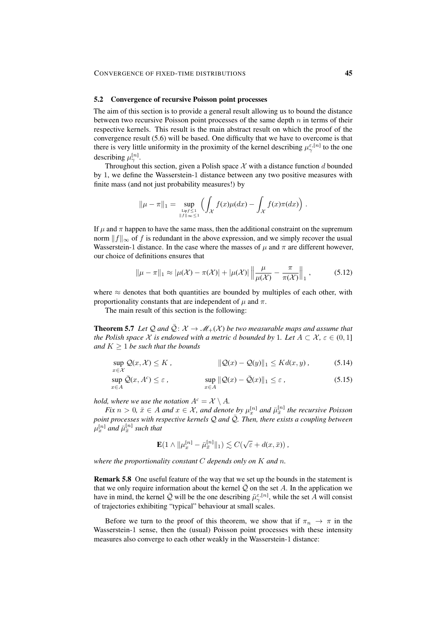#### 5.2 Convergence of recursive Poisson point processes

The aim of this section is to provide a general result allowing us to bound the distance between two recursive Poisson point processes of the same depth  $n$  in terms of their respective kernels. This result is the main abstract result on which the proof of the convergence result (5.6) will be based. One difficulty that we have to overcome is that there is very little uniformity in the proximity of the kernel describing  $\mu_{\gamma}^{\varepsilon,[n]}$  to the one describing  $\mu_{\gamma}^{[n]}$ .

Throughout this section, given a Polish space  $\mathcal X$  with a distance function d bounded by 1, we define the Wasserstein-1 distance between any two positive measures with finite mass (and not just probability measures!) by

$$
\|\mu - \pi\|_1 = \sup_{\substack{\text{Lipf} \leq 1 \\ \|f\|_{\infty} \leq 1}} \left( \int_{\mathcal{X}} f(x) \mu(dx) - \int_{\mathcal{X}} f(x) \pi(dx) \right).
$$

If  $\mu$  and  $\pi$  happen to have the same mass, then the additional constraint on the supremum norm  $||f||_{\infty}$  of f is redundant in the above expression, and we simply recover the usual Wasserstein-1 distance. In the case where the masses of  $\mu$  and  $\pi$  are different however, our choice of definitions ensures that

$$
\|\mu - \pi\|_1 \approx |\mu(\mathcal{X}) - \pi(\mathcal{X})| + |\mu(\mathcal{X})| \left\| \frac{\mu}{\mu(\mathcal{X})} - \frac{\pi}{\pi(\mathcal{X})} \right\|_1, \tag{5.12}
$$

where  $\approx$  denotes that both quantities are bounded by multiples of each other, with proportionality constants that are independent of  $\mu$  and  $\pi$ .

The main result of this section is the following:

**Theorem 5.7** Let Q and  $\overline{Q}$ :  $X \to M_+(X)$  be two measurable maps and assume that *the Polish space*  $\mathcal X$  *is endowed with a metric d bounded by* 1*. Let*  $A \subset \mathcal X$ ,  $\varepsilon \in (0,1]$ *and*  $K \geq 1$  *be such that the bounds* 

$$
\sup_{x \in \mathcal{X}} \mathcal{Q}(x, \mathcal{X}) \le K, \qquad \|\mathcal{Q}(x) - \mathcal{Q}(y)\|_1 \le K d(x, y), \qquad (5.14)
$$

$$
\sup_{x \in A} \bar{\mathcal{Q}}(x, A^c) \le \varepsilon, \qquad \qquad \sup_{x \in A} \|\mathcal{Q}(x) - \bar{\mathcal{Q}}(x)\|_1 \le \varepsilon, \tag{5.15}
$$

*hold, where we use the notation*  $A^c = \mathcal{X} \setminus A$ *.* 

*Fix*  $n > 0$ ,  $\bar{x} \in A$  and  $x \in \mathcal{X}$ , and denote by  $\mu_x^{[n]}$  and  $\bar{\mu}_{\bar{x}}^{[n]}$  the recursive Poisson *point processes with respective kernels*  $\mathcal Q$  *and*  $\overline{\mathcal Q}$ *. Then, there exists a coupling between*  $\mu_x^{[n]}$  and  $\bar{\mu}_{\bar{x}}^{[n]}$  such that

$$
\mathbf{E}(1 \wedge ||\mu_x^{[n]} - \bar{\mu}_{\bar{x}}^{[n]}||_1) \lesssim C(\sqrt{\varepsilon} + d(x, \bar{x})),
$$

*where the proportionality constant* C *depends only on* K *and* n*.*

Remark 5.8 One useful feature of the way that we set up the bounds in the statement is that we only require information about the kernel  $\overline{Q}$  on the set A. In the application we have in mind, the kernel  $\bar{Q}$  will be the one describing  $\tilde{\mu}_{\gamma}^{\varepsilon,[n]}$ , while the set A will consist of trajectories exhibiting "typical" behaviour at small scales.

Before we turn to the proof of this theorem, we show that if  $\pi_n \to \pi$  in the Wasserstein-1 sense, then the (usual) Poisson point processes with these intensity measures also converge to each other weakly in the Wasserstein-1 distance: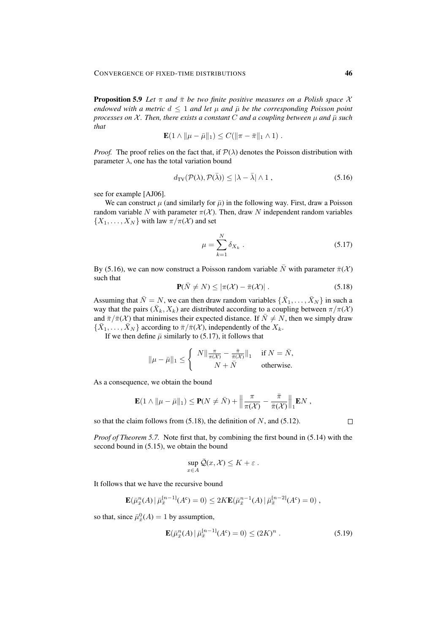**Proposition 5.9** *Let*  $\pi$  *and*  $\bar{\pi}$  *be two finite positive measures on a Polish space*  $\chi$ *endowed with a metric*  $d \leq 1$  *and let*  $\mu$  *and*  $\bar{\mu}$  *be the corresponding Poisson point processes on*  $\mathcal X$ *. Then, there exists a constant* C *and a coupling between*  $\mu$  *and*  $\bar{\mu}$  *such that*

$$
\mathbf{E}(1 \wedge \|\mu - \bar{\mu}\|_1) \leq C(\|\pi - \bar{\pi}\|_1 \wedge 1) .
$$

*Proof.* The proof relies on the fact that, if  $P(\lambda)$  denotes the Poisson distribution with parameter  $\lambda$ , one has the total variation bound

$$
d_{\text{TV}}(\mathcal{P}(\lambda), \mathcal{P}(\bar{\lambda})) \le |\lambda - \bar{\lambda}| \wedge 1 , \qquad (5.16)
$$

see for example [AJ06].

We can construct  $\mu$  (and similarly for  $\bar{\mu}$ ) in the following way. First, draw a Poisson random variable N with parameter  $\pi(\mathcal{X})$ . Then, draw N independent random variables  $\{X_1, \ldots, X_N\}$  with law  $\pi/\pi(\mathcal{X})$  and set

$$
\mu = \sum_{k=1}^{N} \delta_{X_k} \tag{5.17}
$$

By (5.16), we can now construct a Poisson random variable  $\bar{N}$  with parameter  $\bar{\pi}(\mathcal{X})$ such that

$$
\mathbf{P}(\bar{N} \neq N) \leq |\pi(\mathcal{X}) - \bar{\pi}(\mathcal{X})|.
$$
 (5.18)

Assuming that  $\bar{N} = N$ , we can then draw random variables  $\{\bar{X}_1, \ldots, \bar{X}_N\}$  in such a way that the pairs  $(\bar{X}_k, X_k)$  are distributed according to a coupling between  $\pi/\pi(\mathcal{X})$ and  $\bar{\pi}/\bar{\pi}(\mathcal{X})$  that minimises their expected distance. If  $\bar{N} \neq N$ , then we simply draw  $\{\bar{X}_1, \ldots, \bar{X}_N\}$  according to  $\bar{\pi}/\bar{\pi}(\mathcal{X})$ , independently of the  $X_k$ .

If we then define  $\bar{\mu}$  similarly to (5.17), it follows that

$$
\|\mu - \bar{\mu}\|_1 \le \begin{cases} N \|\frac{\pi}{\pi(\mathcal{X})} - \frac{\bar{\pi}}{\bar{\pi}(\mathcal{X})}\|_1 & \text{if } N = \bar{N}, \\ N + \bar{N} & \text{otherwise.} \end{cases}
$$

As a consequence, we obtain the bound

$$
\mathbf{E}(1 \wedge \|\mu - \bar{\mu}\|_1) \leq \mathbf{P}(N \neq \bar{N}) + \left\|\frac{\pi}{\pi(\mathcal{X})} - \frac{\bar{\pi}}{\bar{\pi}(\mathcal{X})}\right\|_1 \mathbf{E} N ,
$$

so that the claim follows from  $(5.18)$ , the definition of N, and  $(5.12)$ .

 $\Box$ 

*Proof of Theorem 5.7.* Note first that, by combining the first bound in (5.14) with the second bound in (5.15), we obtain the bound

$$
\sup_{x \in A} \bar{\mathcal{Q}}(x, \mathcal{X}) \leq K + \varepsilon \; .
$$

It follows that we have the recursive bound

$$
\mathbf{E}(\bar{\mu}_{\bar{x}}^n(A) | \bar{\mu}_{\bar{x}}^{[n-1]}(A^c) = 0) \le 2K \mathbf{E}(\bar{\mu}_{\bar{x}}^{n-1}(A) | \bar{\mu}_{\bar{x}}^{[n-2]}(A^c) = 0),
$$

so that, since  $\bar{\mu}_{\bar{x}}^0(A) = 1$  by assumption,

$$
\mathbf{E}(\bar{\mu}_{\bar{x}}^n(A) | \bar{\mu}_{\bar{x}}^{[n-1]}(A^c) = 0) \le (2K)^n . \tag{5.19}
$$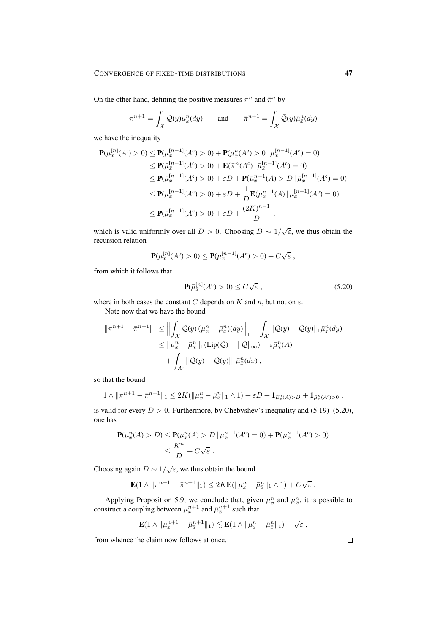On the other hand, defining the positive measures  $\pi^n$  and  $\bar{\pi}^n$  by

$$
\pi^{n+1} = \int_{\mathcal{X}} \mathcal{Q}(y) \mu_x^n(dy) \quad \text{and} \quad \bar{\pi}^{n+1} = \int_{\mathcal{X}} \bar{\mathcal{Q}}(y) \bar{\mu}_x^n(dy)
$$

we have the inequality

$$
\begin{split} \mathbf{P}(\bar{\mu}_{\bar{x}}^{[n]}(A^c) > 0) \le \mathbf{P}(\bar{\mu}_{\bar{x}}^{[n-1]}(A^c) > 0) + \mathbf{P}(\bar{\mu}_{\bar{x}}^{n}(A^c) > 0 \mid \bar{\mu}_{\bar{x}}^{[n-1]}(A^c) = 0) \\ &\le \mathbf{P}(\bar{\mu}_{\bar{x}}^{[n-1]}(A^c) > 0) + \mathbf{E}(\bar{\pi}^n(A^c) \mid \bar{\mu}_{\bar{x}}^{[n-1]}(A^c) = 0) \\ &\le \mathbf{P}(\bar{\mu}_{\bar{x}}^{[n-1]}(A^c) > 0) + \varepsilon D + \mathbf{P}(\bar{\mu}_{\bar{x}}^{n-1}(A) > D \mid \bar{\mu}_{\bar{x}}^{[n-1]}(A^c) = 0) \\ &\le \mathbf{P}(\bar{\mu}_{\bar{x}}^{[n-1]}(A^c) > 0) + \varepsilon D + \frac{1}{D} \mathbf{E}(\bar{\mu}_{\bar{x}}^{n-1}(A) \mid \bar{\mu}_{\bar{x}}^{[n-1]}(A^c) = 0) \\ &\le \mathbf{P}(\bar{\mu}_{\bar{x}}^{[n-1]}(A^c) > 0) + \varepsilon D + \frac{(2K)^{n-1}}{D}, \end{split}
$$

which is valid uniformly over all  $D > 0$ . Choosing  $D \sim 1/\sqrt{\varepsilon}$ , we thus obtain the recursion relation

$$
\mathbf{P}(\bar{\mu}_{\bar{x}}^{[n]}(A^c) > 0) \leq \mathbf{P}(\bar{\mu}_{\bar{x}}^{[n-1]}(A^c) > 0) + C\sqrt{\varepsilon} ,
$$

from which it follows that

$$
\mathbf{P}(\bar{\mu}_{\bar{x}}^{[n]}(A^c) > 0) \le C\sqrt{\varepsilon} \,, \tag{5.20}
$$

where in both cases the constant  $C$  depends on  $K$  and  $n,$  but not on  $\varepsilon.$ 

Note now that we have the bound

$$
\begin{aligned} \|\pi^{n+1} - \bar{\pi}^{n+1}\|_1 &\le \left\|\int_{\mathcal{X}} \mathcal{Q}(y) \left(\mu_x^n - \bar{\mu}_x^n\right) (dy)\right\|_1 + \int_{\mathcal{X}} \|\mathcal{Q}(y) - \bar{\mathcal{Q}}(y)\|_1 \bar{\mu}_x^n (dy) \\ &\le \|\mu_x^n - \bar{\mu}_x^n\|_1 (\mathrm{Lip}(\mathcal{Q}) + \|\mathcal{Q}\|_{\infty}) + \varepsilon \bar{\mu}_x^n (A) \\ &+ \int_{A^c} \|\mathcal{Q}(y) - \bar{\mathcal{Q}}(y)\|_1 \bar{\mu}_x^n (dx) \,, \end{aligned}
$$

so that the bound

$$
1 \wedge \|\pi^{n+1} - \bar{\pi}^{n+1}\|_1 \leq 2K(\|\mu^n_x - \bar{\mu}^n_x\|_1 \wedge 1) + \varepsilon D + \mathbf{1}_{\bar{\mu}^n_x(A) > D} + \mathbf{1}_{\bar{\mu}^n_x(A^c) > 0},
$$

is valid for every  $D > 0$ . Furthermore, by Chebyshev's inequality and (5.19)–(5.20), one has

$$
\mathbf{P}(\bar{\mu}_{\bar{x}}^n(A) > D) \le \mathbf{P}(\bar{\mu}_{\bar{x}}^n(A) > D \mid \bar{\mu}_{\bar{x}}^{n-1}(A^c) = 0) + \mathbf{P}(\bar{\mu}_{\bar{x}}^{n-1}(A^c) > 0) \\ \le \frac{K^n}{D} + C\sqrt{\varepsilon} \, .
$$

Choosing again  $D \sim 1/\sqrt{\varepsilon}$ , we thus obtain the bound

$$
\mathbf{E}(1 \wedge \|\pi^{n+1} - \bar{\pi}^{n+1}\|_1) \le 2K\mathbf{E}(\|\mu^n_x - \bar{\mu}^n_{\bar{x}}\|_1 \wedge 1) + C\sqrt{\varepsilon}.
$$

Applying Proposition 5.9, we conclude that, given  $\mu_x^n$  and  $\bar{\mu}_x^n$ , it is possible to construct a coupling between  $\mu_x^{n+1}$  and  $\bar{\mu}_x^{n+1}$  such that

$$
\mathbf{E}(1\wedge\|\mu_x^{n+1}-\bar\mu_{\bar x}^{n+1}\|_1)\lesssim \mathbf{E}(1\wedge\|\mu_x^{n}-\bar\mu_{\bar x}^{n}\|_1)+\sqrt{\varepsilon}\ ,
$$

from whence the claim now follows at once.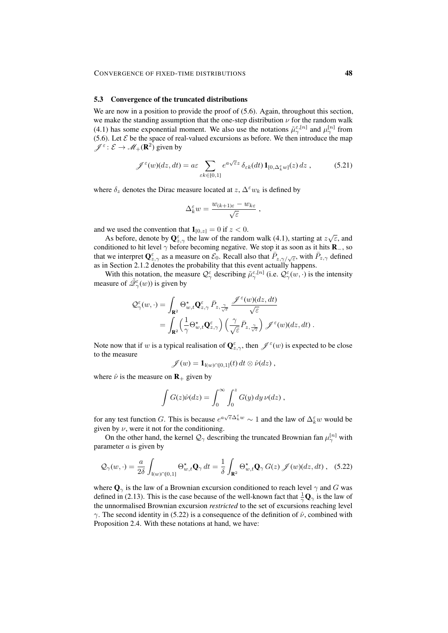#### 5.3 Convergence of the truncated distributions

We are now in a position to provide the proof of  $(5.6)$ . Again, throughout this section, we make the standing assumption that the one-step distribution  $\nu$  for the random walk (4.1) has some exponential moment. We also use the notations  $\tilde{\mu}_{\gamma}^{\varepsilon,[n]}$  and  $\mu_{\gamma}^{[n]}$  from (5.6). Let  $\mathcal E$  be the space of real-valued excursions as before. We then introduce the map  $\mathscr{J}^{\varepsilon} : \mathcal{E} \to \mathscr{M}_+({\bf R}^2)$  given by

$$
\mathscr{J}^{\varepsilon}(w)(dz,dt) = a\varepsilon \sum_{\varepsilon k \in [0,1]} e^{a\sqrt{\varepsilon}z} \delta_{\varepsilon k}(dt) \mathbf{1}_{[0,\Delta_k^{\varepsilon}w]}(z) dz ,
$$
 (5.21)

where  $\delta_z$  denotes the Dirac measure located at  $z, \Delta^{\epsilon} w_k$  is defined by

$$
\Delta_k^{\varepsilon} w = \frac{w_{(k+1)\varepsilon} - w_{k\varepsilon}}{\sqrt{\varepsilon}} ,
$$

and we used the convention that  $\mathbf{1}_{[0,z]} = 0$  if  $z < 0$ .

As before, denote by  $\mathbf{Q}_{z,\gamma}^{\varepsilon}$  the law of the random walk (4.1), starting at  $z\sqrt{\varepsilon}$ , and conditioned to hit level  $\gamma$  before becoming negative. We stop it as soon as it hits  $\mathbf{R}_-$ , so that we interpret  $\mathbf{Q}_{z,\gamma}^{\varepsilon}$  as a measure on  $\mathcal{E}_0$ . Recall also that  $\bar{P}_{z,\gamma/\sqrt{\varepsilon}}$ , with  $\bar{P}_{z,\gamma}$  defined as in Section 2.1.2 denotes the probability that this event actually happens.

With this notation, the measure  $\mathcal{Q}^{\varepsilon}_{\gamma}$  describing  $\tilde{\mu}^{\varepsilon,[n]}_{\gamma}$  (i.e.  $\mathcal{Q}^{\varepsilon}_{\gamma}(w,\cdot)$  is the intensity measure of  $\tilde{\mathcal{Q}}_{\gamma}^{\varepsilon}(w)$ ) is given by

$$
\mathcal{Q}_{\gamma}^{\varepsilon}(w,\cdot) = \int_{\mathbf{R}^{2}} \Theta_{w,t}^{\star} \mathbf{Q}_{z,\gamma}^{\varepsilon} \, \bar{P}_{z,\frac{\gamma}{\sqrt{\varepsilon}}} \, \frac{\mathscr{J}^{\varepsilon}(w)(dz,dt)}{\sqrt{\varepsilon}} \newline = \int_{\mathbf{R}^{2}} \left(\frac{1}{\gamma} \Theta_{w,t}^{\star} \mathbf{Q}_{z,\gamma}^{\varepsilon}\right) \left(\frac{\gamma}{\sqrt{\varepsilon}} \bar{P}_{z,\frac{\gamma}{\sqrt{\varepsilon}}}\right) \mathscr{J}^{\varepsilon}(w)(dz,dt) .
$$

Note now that if w is a typical realisation of  $\mathbf{Q}^{\varepsilon}_{z,\gamma}$ , then  $\mathcal{J}^{\varepsilon}(w)$  is expected to be close to the measure

$$
\mathscr{J}(w) = \mathbf{1}_{\mathfrak{l}(w)\cap[0,1]}(t) dt \otimes \hat{\nu}(dz),
$$

where  $\hat{\nu}$  is the measure on **R**<sub>+</sub> given by

$$
\int G(z)\hat{\nu}(dz) = \int_0^\infty \int_0^z G(y) \, dy \, \nu(dz) ,
$$

for any test function G. This is because  $e^{a\sqrt{\epsilon}\Delta_k^{\epsilon}w} \sim 1$  and the law of  $\Delta_k^{\epsilon}w$  would be given by  $\nu$ , were it not for the conditioning.

On the other hand, the kernel  $\mathcal{Q}_{\gamma}$  describing the truncated Brownian fan  $\mu_{\gamma}^{[n]}$  with parameter  $a$  is given by

$$
\mathcal{Q}_{\gamma}(w,\cdot) = \frac{a}{2\delta} \int_{\mathfrak{l}(w)\cap[0,1]} \Theta_{w,t}^{\star} \mathbf{Q}_{\gamma} dt = \frac{1}{\delta} \int_{\mathbf{R}^2} \Theta_{w,t}^{\star} \mathbf{Q}_{\gamma} G(z) \mathscr{J}(w) dz, dt), \quad (5.22)
$$

where  $\mathbf{Q}_{\gamma}$  is the law of a Brownian excursion conditioned to reach level  $\gamma$  and G was defined in (2.13). This is the case because of the well-known fact that  $\frac{1}{\gamma} \mathbf{Q}_{\gamma}$  is the law of the unnormalised Brownian excursion *restricted* to the set of excursions reaching level γ. The second identity in (5.22) is a consequence of the definition of  $\hat{\nu}$ , combined with Proposition 2.4. With these notations at hand, we have: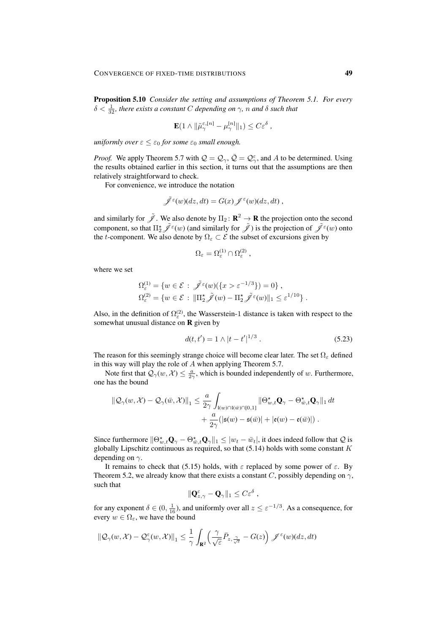Proposition 5.10 *Consider the setting and assumptions of Theorem 5.1. For every*  $\delta < \frac{1}{32}$ , there exists a constant C depending on  $\gamma$ , n and  $\delta$  such that

$$
\mathbf{E}(1 \wedge \|\tilde{\mu}_{\gamma}^{\varepsilon,[n]} - \mu_{\gamma}^{[n]}\|_1) \leq C \varepsilon^{\delta} ,
$$

*uniformly over*  $\varepsilon \leq \varepsilon_0$  *for some*  $\varepsilon_0$  *small enough.* 

*Proof.* We apply Theorem 5.7 with  $\mathcal{Q} = \mathcal{Q}_{\gamma}, \bar{\mathcal{Q}} = \mathcal{Q}_{\gamma}^{\varepsilon}$ , and A to be determined. Using the results obtained earlier in this section, it turns out that the assumptions are then relatively straightforward to check.

For convenience, we introduce the notation

$$
\tilde{\mathscr{J}}^{\varepsilon}(w)(dz,dt) = G(x) \mathscr{J}^{\varepsilon}(w)(dz,dt) ,
$$

and similarly for  $\tilde{\mathscr{J}}$ . We also denote by  $\Pi_2 \colon \mathbf{R}^2 \to \mathbf{R}$  the projection onto the second component, so that  $\Pi_2^* \tilde{\mathscr{J}}^{\varepsilon}(w)$  (and similarly for  $\tilde{\mathscr{J}}$  ) is the projection of  $\tilde{\mathscr{J}}^{\varepsilon}(w)$  onto the t-component. We also denote by  $\Omega_{\varepsilon} \subset \mathcal{E}$  the subset of excursions given by

$$
\Omega_{\varepsilon} = \Omega_{\varepsilon}^{(1)} \cap \Omega_{\varepsilon}^{(2)} ,
$$

where we set

$$
\Omega_{\varepsilon}^{(1)} = \{ w \in \mathcal{E} : \tilde{\mathscr{J}}^{\varepsilon}(w)(\{x > \varepsilon^{-1/3}\}) = 0 \},
$$
  

$$
\Omega_{\varepsilon}^{(2)} = \{ w \in \mathcal{E} : ||\Pi_{2}^{*}\tilde{\mathscr{J}}(w) - \Pi_{2}^{*}\tilde{\mathscr{J}}^{\varepsilon}(w)||_{1} \le \varepsilon^{1/10} \}.
$$

Also, in the definition of  $\Omega_{\varepsilon}^{(2)}$ , the Wasserstein-1 distance is taken with respect to the somewhat unusual distance on **R** given by

$$
d(t, t') = 1 \wedge |t - t'|^{1/3} . \tag{5.23}
$$

The reason for this seemingly strange choice will become clear later. The set  $\Omega_{\varepsilon}$  defined in this way will play the role of A when applying Theorem 5.7.

Note first that  $Q_{\gamma}(w, \mathcal{X}) \leq \frac{a}{2\gamma}$ , which is bounded independently of w. Furthermore, one has the bound

$$
\begin{aligned} \left\| \mathcal{Q}_{\gamma}(w,\mathcal{X}) - \mathcal{Q}_{\gamma}(\bar{w},\mathcal{X}) \right\|_{1} &\leq \frac{a}{2\gamma} \int_{\mathfrak{l}(w)\cap\mathfrak{l}(\bar{w})\cap\{0,1\}} \left\| \Theta_{w,t}^{\star} \mathbf{Q}_{\gamma} - \Theta_{\bar{w},t}^{\star} \mathbf{Q}_{\gamma} \right\|_{1} dt \\ &+ \frac{a}{2\gamma} (|\mathfrak{s}(w) - \mathfrak{s}(\bar{w})| + |\mathfrak{e}(w) - \mathfrak{e}(\bar{w})|) \; . \end{aligned}
$$

Since furthermore  $\|\Theta_{w,t}^{\star}\mathbf{Q}_{\gamma}-\Theta_{w,t}^{\star}\mathbf{Q}_{\gamma}\|_1 \leq |w_t - \bar{w}_t|$ , it does indeed follow that  $\mathcal{Q}$  is globally Lipschitz continuous as required, so that  $(5.14)$  holds with some constant K depending on  $\gamma$ .

It remains to check that (5.15) holds, with  $\varepsilon$  replaced by some power of  $\varepsilon$ . By Theorem 5.2, we already know that there exists a constant C, possibly depending on  $\gamma$ , such that

$$
\|\mathbf{Q}_{z,\gamma}^{\varepsilon}-\mathbf{Q}_{\gamma}\|_{1}\leq C\varepsilon^{\delta}\;,
$$

for any exponent  $\delta \in (0, \frac{1}{16})$ , and uniformly over all  $z \le \varepsilon^{-1/3}$ . As a consequence, for every  $w \in \Omega_{\varepsilon}$ , we have the bound

$$
\|\mathcal{Q}_{\gamma}(w,\mathcal{X})-\mathcal{Q}_{\gamma}(w,\mathcal{X})\|_{1}\leq\frac{1}{\gamma}\int_{\mathbf{R}^{2}}\left(\frac{\gamma}{\sqrt{\varepsilon}}\bar{P}_{z,\frac{\gamma}{\sqrt{\varepsilon}}}-G(z)\right)\mathscr{J}^{\varepsilon}(w)(dz,dt)
$$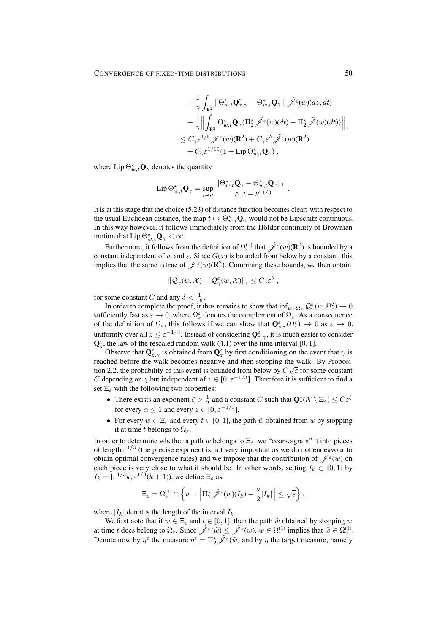$$
+ \frac{1}{\gamma} \int_{\mathbf{R}^2} \left\| \Theta_{w,t}^\star \mathbf{Q}_{z,\gamma}^\varepsilon - \Theta_{w,t}^\star \mathbf{Q}_\gamma \right\| \tilde{\mathscr{J}}^\varepsilon(w) (dz, dt) + \frac{1}{\gamma} \Big\| \int_{\mathbf{R}^2} \Theta_{w,t}^\star \mathbf{Q}_\gamma (\Pi_2^\star \tilde{\mathscr{J}}^\varepsilon(w) (dt) - \Pi_2^\star \tilde{\mathscr{J}}(w) (dt)) \Big\|_1 \leq C_\gamma \varepsilon^{1/5} \mathscr{J}^\varepsilon(w) (\mathbf{R}^2) + C_\gamma \varepsilon^\delta \tilde{\mathscr{J}}^\varepsilon(w) (\mathbf{R}^2) + C_\gamma \varepsilon^{1/10} (1 + \mathrm{Lip} \, \Theta_{w,t}^\star \mathbf{Q}_\gamma) ,
$$

.

where  $\text{Lip}\,\Theta^\star_{w,t}\mathbf{Q}_\gamma$  denotes the quantity

$$
\operatorname{Lip} \Theta_{w,t}^\star \mathbf{Q}_\gamma = \sup_{t\neq t'}\frac{\|\Theta_{w,t}^\star \mathbf{Q}_\gamma - \Theta_{w,t}^\star \mathbf{Q}_\gamma \|_1}{1\wedge|t-t'|^{1/3}}
$$

It is at this stage that the choice (5.23) of distance function becomes clear: with respect to the usual Euclidean distance, the map  $t \mapsto \Theta_{w,t}^{\star} \mathbf{Q}_{\gamma}$  would not be Lipschitz continuous. In this way however, it follows immediately from the Hölder continuity of Brownian motion that  $\operatorname{Lip} \Theta_{w,t}^{\star} \mathbf{Q}_{\gamma} < \infty$ .

Furthermore, it follows from the definition of  $\Omega_{\varepsilon}^{(2)}$  that  $\tilde{\mathscr{J}}^{\varepsilon}(w)(\mathbf{R}^2)$  is bounded by a constant independent of w and  $\varepsilon$ . Since  $G(x)$  is bounded from below by a constant, this implies that the same is true of  $\mathscr{J}^{\epsilon}(w)(\mathbf{R}^2)$ . Combining these bounds, we then obtain

$$
\|\mathcal{Q}_{\gamma}(w,\mathcal{X})-\mathcal{Q}_{\gamma}^{\varepsilon}(w,\mathcal{X})\|_{1}\leq C_{\gamma}\varepsilon^{\delta},
$$

for some constant C and any  $\delta < \frac{1}{16}$ .

In order to complete the proof, it thus remains to show that  $\inf_{w \in \Omega_{\varepsilon}} \mathcal{Q}^{\varepsilon}_{\gamma}(w, \Omega_{\varepsilon}) \to 0$ sufficiently fast as  $\varepsilon \to 0$ , where  $\Omega_{\varepsilon}^c$  denotes the complement of  $\Omega_{\varepsilon}$ . As a consequence of the definition of  $\Omega_{\varepsilon}$ , this follows if we can show that  $\mathbf{Q}^{\varepsilon}_{z,\gamma}(\Omega_{\varepsilon}^{\varepsilon}) \to 0$  as  $\varepsilon \to 0$ , uniformly over all  $z \le \varepsilon^{-1/3}$ . Instead of considering  $\mathbf{Q}^{\varepsilon}_{z,\gamma}$ , it is much easier to consider  $\mathbf{Q}_{z}^{\varepsilon}$ , the law of the rescaled random walk (4.1) over the time interval [0, 1].

Observe that  $\mathbf{Q}_{z,\gamma}^{\varepsilon}$  is obtained from  $\mathbf{Q}_{z}^{\varepsilon}$  by first conditioning on the event that  $\gamma$  is reached before the walk becomes negative and then stopping the walk. By Proposition 2.2 tion 2.2, the probability of this event is bounded from below by  $C\sqrt{\varepsilon}$  for some constant C depending on  $\gamma$  but independent of  $z \in [0, \varepsilon^{-1/3}]$ . Therefore it is sufficient to find a set  $\Xi_{\varepsilon}$  with the following two properties:

- There exists an exponent  $\zeta > \frac{1}{2}$  and a constant C such that  $\mathbf{Q}^{\varepsilon}(\mathcal{X} \setminus \Xi_{\varepsilon}) \leq C \varepsilon^{\zeta}$ for every  $\alpha \leq 1$  and every  $z \in [0, \varepsilon^{-1/3}]$ .
- For every  $w \in \Xi_{\varepsilon}$  and every  $t \in [0, 1]$ , the path  $\tilde{w}$  obtained from w by stopping it at time t belongs to  $\Omega_{\varepsilon}$ .

In order to determine whether a path w belongs to  $\Xi_{\varepsilon}$ , we "coarse-grain" it into pieces of length  $\varepsilon^{1/3}$  (the precise exponent is not very important as we do not endeavour to obtain optimal convergence rates) and we impose that the contribution of  $\tilde{\mathscr J}^\varepsilon(w)$  on each piece is very close to what it should be. In other words, setting  $I_k \subset [0, 1]$  by  $I_k = [\varepsilon^{1/3} k, \varepsilon^{1/3} (k+1))$ , we define  $\Xi_\varepsilon$  as

$$
\Xi_{\varepsilon} = \Omega_{\varepsilon}^{(1)} \cap \left\{ w \, : \, \left| \Pi_2^{\star} \tilde{\mathscr{J}}^{\varepsilon}(w)(I_k) - \frac{a}{2} |I_k| \, \right| \leq \sqrt{\varepsilon} \right\},
$$

where  $|I_k|$  denotes the length of the interval  $I_k$ .

We first note that if  $w \in \Xi_{\varepsilon}$  and  $t \in [0, 1]$ , then the path  $\tilde{w}$  obtained by stopping w at time t does belong to  $\Omega_{\varepsilon}$ . Since  $\tilde{\mathscr{J}}^{\varepsilon}(\tilde{w}) \leq \tilde{\mathscr{J}}^{\varepsilon}(w)$ ,  $w \in \Omega_{\varepsilon}^{(1)}$  implies that  $\tilde{w} \in \Omega_{\varepsilon}^{(1)}$ . Denote now by  $\eta^{\epsilon}$  the measure  $\eta^{\epsilon} = \prod_{2}^{*} \tilde{\mathscr{J}}^{\epsilon}(\tilde{w})$  and by  $\eta$  the target measure, namely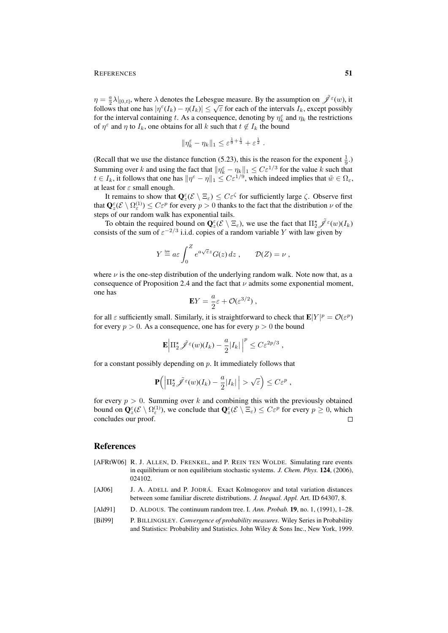$\eta = \frac{a}{2}\lambda|_{[0,t]}$ , where  $\lambda$  denotes the Lebesgue measure. By the assumption on  $\tilde{\mathscr{J}}^{\varepsilon}(w)$ , it  $\eta = \frac{1}{2} \lambda_{|[0,t]}$ , where  $\lambda$  denotes the Lebesgue measure. By the assumption on  $f(\lambda_{k})$ , it follows that one has  $|\eta^{\epsilon}(I_{k}) - \eta(I_{k})| \leq \sqrt{\epsilon}$  for each of the intervals  $I_{k}$ , except possibly for the interval containing t. As a consequence, denoting by  $\eta_k^{\varepsilon}$  and  $\eta_k$  the restrictions of  $\eta^{\epsilon}$  and  $\eta$  to  $I_k$ , one obtains for all k such that  $t \notin I_k$  the bound

$$
\|\eta_k^{\varepsilon} - \eta_k\|_1 \leq \varepsilon^{\frac{1}{9} + \frac{1}{3}} + \varepsilon^{\frac{1}{2}}.
$$

(Recall that we use the distance function (5.23), this is the reason for the exponent  $\frac{1}{9}$ .) Summing over k and using the fact that  $\|\eta_k^{\varepsilon} - \eta_k\|_1 \leq C \varepsilon^{1/3}$  for the value k such that  $t \in I_k$ , it follows that one has  $\|\eta^{\varepsilon} - \eta\|_1 \leq C \varepsilon^{1/9}$ , which indeed implies that  $\tilde{w} \in \Omega_{\varepsilon}$ , at least for  $\varepsilon$  small enough.

It remains to show that  $\mathbf{Q}_{z}^{\varepsilon}(\mathcal{E}\setminus \Xi_{\varepsilon}) \leq C\varepsilon^{\zeta}$  for sufficiently large  $\zeta$ . Observe first that  $\mathbf{Q}_{z}^{\varepsilon}(\mathcal{E}\setminus\Omega_{\varepsilon}^{(1)})\leq C\varepsilon^{p}$  for every  $p>0$  thanks to the fact that the distribution  $\nu$  of the steps of our random walk has exponential tails.

To obtain the required bound on  $\mathbf{Q}_{z}^{\varepsilon}(\mathcal{E} \setminus \Xi_{\varepsilon})$ , we use the fact that  $\Pi_{2}^{\star} \tilde{\mathscr{J}}^{\varepsilon}(w)(I_{k})$ consists of the sum of  $\varepsilon^{-2/3}$  i.i.d. copies of a random variable Y with law given by

$$
Y \stackrel{\text{law}}{=} a\varepsilon \int_0^Z e^{a\sqrt{\varepsilon}z} G(z) dz , \qquad \mathcal{D}(Z) = \nu ,
$$

where  $\nu$  is the one-step distribution of the underlying random walk. Note now that, as a consequence of Proposition 2.4 and the fact that  $\nu$  admits some exponential moment, one has

$$
\mathbf{E}Y = \frac{a}{2}\varepsilon + \mathcal{O}(\varepsilon^{3/2}),
$$

for all  $\varepsilon$  sufficiently small. Similarly, it is straightforward to check that  $\mathbf{E}|Y|^p = \mathcal{O}(\varepsilon^p)$ for every  $p > 0$ . As a consequence, one has for every  $p > 0$  the bound

$$
\mathbf{E} \left| \Pi_2^{\star} \tilde{\mathscr{J}}^{\varepsilon}(w) (I_k) - \frac{a}{2} |I_k| \right|^p \leq C \varepsilon^{2p/3},
$$

for a constant possibly depending on  $p$ . It immediately follows that

$$
\mathbf{P}\Big(\Big|\Pi_2^{\star}\tilde{\mathscr{J}}^{\varepsilon}(w)(I_k)-\frac{a}{2}|I_k|\Big|>\sqrt{\varepsilon}\Big)\leq C\varepsilon^p,
$$

for every  $p > 0$ . Summing over k and combining this with the previously obtained bound on  $\mathbf{Q}_{z}^{\varepsilon}(\mathcal{E} \setminus \Omega_{\varepsilon}^{(1)})$ , we conclude that  $\mathbf{Q}_{z}^{\varepsilon}(\mathcal{E} \setminus \Xi_{\varepsilon}) \leq C \varepsilon^{p}$  for every  $p \geq 0$ , which concludes our proof.  $\Box$ 

### References

- [AFRtW06] R. J. ALLEN, D. FRENKEL, and P. REIN TEN WOLDE. Simulating rare events in equilibrium or non equilibrium stochastic systems. *J. Chem. Phys.* 124, (2006), 024102.
- [AJ06] J. A. ADELL and P. JODRÁ. Exact Kolmogorov and total variation distances between some familiar discrete distributions. *J. Inequal. Appl.* Art. ID 64307, 8.
- [Ald91] D. ALDOUS. The continuum random tree. I. *Ann. Probab.* 19, no. 1, (1991), 1–28.
- [Bil99] P. BILLINGSLEY. *Convergence of probability measures*. Wiley Series in Probability and Statistics: Probability and Statistics. John Wiley & Sons Inc., New York, 1999.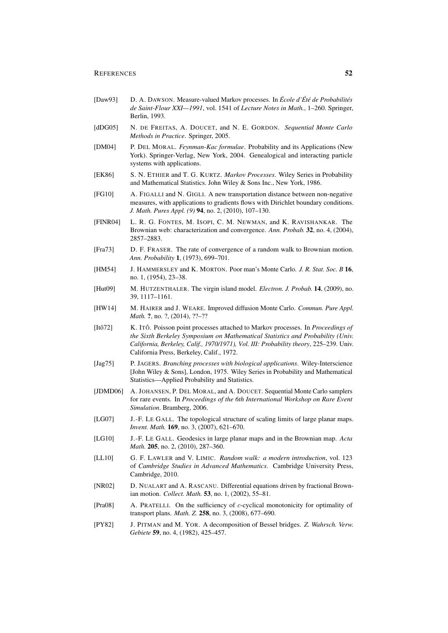#### REFERENCES 52

- [Daw93] D. A. DAWSON. Measure-valued Markov processes. In *Ecole d' ´ Et´ e de Probabilit ´ es´ de Saint-Flour XXI—1991*, vol. 1541 of *Lecture Notes in Math.*, 1–260. Springer, Berlin, 1993.
- [dDG05] N. DE FREITAS, A. DOUCET, and N. E. GORDON. *Sequential Monte Carlo Methods in Practice*. Springer, 2005.
- [DM04] P. DEL MORAL. *Feynman-Kac formulae*. Probability and its Applications (New York). Springer-Verlag, New York, 2004. Genealogical and interacting particle systems with applications.
- [EK86] S. N. ETHIER and T. G. KURTZ. *Markov Processes*. Wiley Series in Probability and Mathematical Statistics. John Wiley & Sons Inc., New York, 1986.
- [FG10] A. FIGALLI and N. GIGLI. A new transportation distance between non-negative measures, with applications to gradients flows with Dirichlet boundary conditions. *J. Math. Pures Appl. (9)* 94, no. 2, (2010), 107–130.
- [FINR04] L. R. G. FONTES, M. ISOPI, C. M. NEWMAN, and K. RAVISHANKAR. The Brownian web: characterization and convergence. *Ann. Probab.* 32, no. 4, (2004), 2857–2883.
- [Fra73] D. F. FRASER. The rate of convergence of a random walk to Brownian motion. *Ann. Probability* 1, (1973), 699–701.
- [HM54] J. HAMMERSLEY and K. MORTON. Poor man's Monte Carlo. *J. R. Stat. Soc. B* 16, no. 1, (1954), 23–38.
- [Hut09] M. HUTZENTHALER. The virgin island model. *Electron. J. Probab.* 14, (2009), no. 39, 1117–1161.
- [HW14] M. HAIRER and J. WEARE. Improved diffusion Monte Carlo. *Commun. Pure Appl. Math.* ?, no. ?, (2014), ??-??
- [Ito72] ˆ K. ITOˆ. Poisson point processes attached to Markov processes. In *Proceedings of the Sixth Berkeley Symposium on Mathematical Statistics and Probability (Univ. California, Berkeley, Calif., 1970/1971), Vol. III: Probability theory*, 225–239. Univ. California Press, Berkeley, Calif., 1972.
- [Jag75] P. JAGERS. *Branching processes with biological applications*. Wiley-Interscience [John Wiley & Sons], London, 1975. Wiley Series in Probability and Mathematical Statistics—Applied Probability and Statistics.
- [JDMD06] A. JOHANSEN, P. DEL MORAL, and A. DOUCET. Sequential Monte Carlo samplers for rare events. In *Proceedings of the 6th International Workshop on Rare Event Simulation*. Bramberg, 2006.
- [LG07] J.-F. LE GALL. The topological structure of scaling limits of large planar maps. *Invent. Math.* 169, no. 3, (2007), 621–670.
- [LG10] J.-F. LE GALL. Geodesics in large planar maps and in the Brownian map. *Acta Math.* 205, no. 2, (2010), 287–360.
- [LL10] G. F. LAWLER and V. LIMIC. *Random walk: a modern introduction*, vol. 123 of *Cambridge Studies in Advanced Mathematics*. Cambridge University Press, Cambridge, 2010.
- [NR02] D. NUALART and A. RASCANU. Differential equations driven by fractional Brownian motion. *Collect. Math.* 53, no. 1, (2002), 55–81.
- [Pra08] A. PRATELLI. On the sufficiency of c-cyclical monotonicity for optimality of transport plans. *Math. Z.* 258, no. 3, (2008), 677–690.
- [PY82] J. PITMAN and M. YOR. A decomposition of Bessel bridges. *Z. Wahrsch. Verw. Gebiete* 59, no. 4, (1982), 425–457.